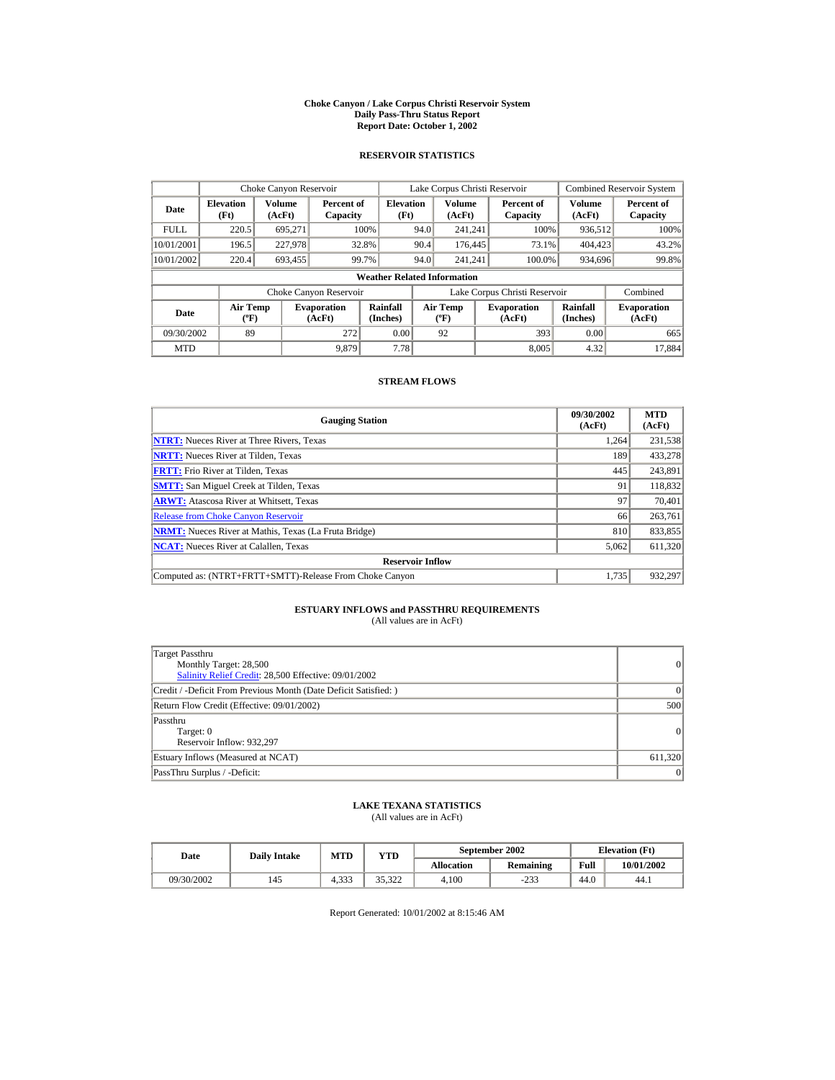#### **Choke Canyon / Lake Corpus Christi Reservoir System Daily Pass-Thru Status Report Report Date: October 1, 2002**

## **RESERVOIR STATISTICS**

|             | Choke Canyon Reservoir                      |                  |                              |                          | Lake Corpus Christi Reservoir |                                          |  |                               |                      | <b>Combined Reservoir System</b> |  |  |
|-------------|---------------------------------------------|------------------|------------------------------|--------------------------|-------------------------------|------------------------------------------|--|-------------------------------|----------------------|----------------------------------|--|--|
| Date        | <b>Elevation</b><br>(Ft)                    | Volume<br>(AcFt) | Percent of<br>Capacity       | <b>Elevation</b><br>(Ft) |                               | <b>Volume</b><br>(AcFt)                  |  | Percent of<br>Capacity        | Volume<br>(AcFt)     | Percent of<br>Capacity           |  |  |
| <b>FULL</b> | 220.5                                       | 695.271          |                              | 100%                     | 94.0                          | 241.241                                  |  | 100%                          | 936,512              | 100%                             |  |  |
| 10/01/2001  | 196.5                                       | 227,978          |                              | 32.8%                    | 90.4                          | 176,445                                  |  | 73.1%                         | 404,423              | 43.2%                            |  |  |
| 10/01/2002  | 220.4                                       | 693,455          |                              | 99.7%                    | 94.0                          | 241.241                                  |  | 100.0%                        | 934,696              | 99.8%                            |  |  |
|             | <b>Weather Related Information</b>          |                  |                              |                          |                               |                                          |  |                               |                      |                                  |  |  |
|             |                                             |                  | Choke Canyon Reservoir       |                          |                               |                                          |  | Lake Corpus Christi Reservoir |                      | Combined                         |  |  |
| Date        | <b>Air Temp</b><br>$({}^{\circ}\mathrm{F})$ |                  | <b>Evaporation</b><br>(AcFt) | Rainfall<br>(Inches)     |                               | <b>Air Temp</b><br>$({}^{\circ}{\rm F})$ |  | <b>Evaporation</b><br>(AcFt)  | Rainfall<br>(Inches) | <b>Evaporation</b><br>(AcFt)     |  |  |
| 09/30/2002  | 89                                          |                  | 272                          | 0.00                     |                               | 92                                       |  | 393                           | 0.00                 | 665                              |  |  |
| <b>MTD</b>  |                                             |                  | 9.879                        | 7.78                     |                               |                                          |  | 8.005                         | 4.32                 | 17.884                           |  |  |

## **STREAM FLOWS**

| <b>Gauging Station</b>                                       | 09/30/2002<br>(AcFt) | <b>MTD</b><br>(AcFt) |
|--------------------------------------------------------------|----------------------|----------------------|
| <b>NTRT:</b> Nueces River at Three Rivers, Texas             | 1.264                | 231,538              |
| <b>NRTT:</b> Nueces River at Tilden, Texas                   | 189                  | 433,278              |
| <b>FRTT:</b> Frio River at Tilden, Texas                     | 445                  | 243,891              |
| <b>SMTT:</b> San Miguel Creek at Tilden, Texas               | 91                   | 118,832              |
| <b>ARWT:</b> Atascosa River at Whitsett, Texas               | 97                   | 70.401               |
| <b>Release from Choke Canyon Reservoir</b>                   | 66                   | 263,761              |
| <b>NRMT:</b> Nueces River at Mathis, Texas (La Fruta Bridge) | 810                  | 833,855              |
| <b>NCAT:</b> Nueces River at Calallen, Texas                 | 5,062                | 611,320              |
| <b>Reservoir Inflow</b>                                      |                      |                      |
| Computed as: (NTRT+FRTT+SMTT)-Release From Choke Canvon      | 1.735                | 932.297              |

## **ESTUARY INFLOWS and PASSTHRU REQUIREMENTS**<br>(All values are in AcFt)

| Target Passthru<br>Monthly Target: 28,500<br>Salinity Relief Credit: 28,500 Effective: 09/01/2002 | 0         |
|---------------------------------------------------------------------------------------------------|-----------|
| Credit / -Deficit From Previous Month (Date Deficit Satisfied:)                                   | $\Omega$  |
| Return Flow Credit (Effective: 09/01/2002)                                                        | 500       |
| Passthru<br>Target: 0<br>Reservoir Inflow: 932,297                                                | $\vert$ 0 |
| Estuary Inflows (Measured at NCAT)                                                                | 611,320   |
| PassThru Surplus / -Deficit:                                                                      | $\vert$ 0 |

## **LAKE TEXANA STATISTICS**

(All values are in AcFt)

| Date       | <b>Daily Intake</b> | <b>MTD</b><br>YTD |        |                   | September 2002   | <b>Elevation</b> (Ft) |            |
|------------|---------------------|-------------------|--------|-------------------|------------------|-----------------------|------------|
|            |                     |                   |        | <b>Allocation</b> | <b>Remaining</b> | Full                  | 10/01/2002 |
| 09/30/2002 | 145                 | 222<br>4.333      | 35.322 | 4.100             | $-233$           | 44.0                  | 44.1       |

Report Generated: 10/01/2002 at 8:15:46 AM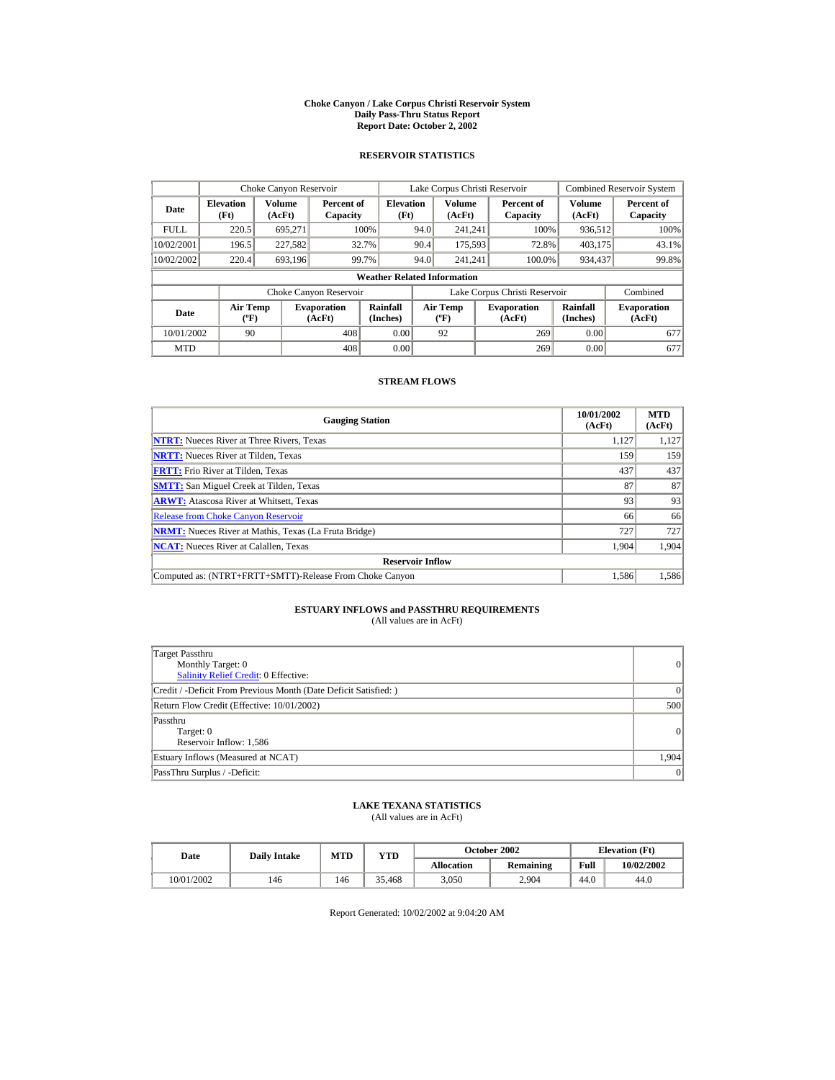#### **Choke Canyon / Lake Corpus Christi Reservoir System Daily Pass-Thru Status Report Report Date: October 2, 2002**

## **RESERVOIR STATISTICS**

|             | Choke Canyon Reservoir                      |                  |                              |                          | Lake Corpus Christi Reservoir |                                           |  |                               |                      | <b>Combined Reservoir System</b> |  |  |  |
|-------------|---------------------------------------------|------------------|------------------------------|--------------------------|-------------------------------|-------------------------------------------|--|-------------------------------|----------------------|----------------------------------|--|--|--|
| Date        | <b>Elevation</b><br>(Ft)                    | Volume<br>(AcFt) | Percent of<br>Capacity       | <b>Elevation</b><br>(Ft) |                               | Volume<br>(AcFt)                          |  | Percent of<br>Capacity        | Volume<br>(AcFt)     | Percent of<br>Capacity           |  |  |  |
| <b>FULL</b> | 220.5                                       | 695.271          |                              | 100%                     | 94.0                          | 241.241                                   |  | 100%                          | 936,512              | 100%                             |  |  |  |
| 10/02/2001  | 196.5                                       | 227,582          | 32.7%                        |                          | 90.4                          | 175,593                                   |  | 72.8%                         | 403,175              | 43.1%                            |  |  |  |
| 10/02/2002  | 220.4                                       | 693.196          | 99.7%                        |                          | 94.0                          | 241.241                                   |  | 100.0%                        | 934,437              | 99.8%                            |  |  |  |
|             | <b>Weather Related Information</b>          |                  |                              |                          |                               |                                           |  |                               |                      |                                  |  |  |  |
|             |                                             |                  | Choke Canyon Reservoir       |                          |                               |                                           |  | Lake Corpus Christi Reservoir |                      | Combined                         |  |  |  |
| Date        | <b>Air Temp</b><br>$({}^{\circ}\mathrm{F})$ |                  | <b>Evaporation</b><br>(AcFt) | Rainfall<br>(Inches)     |                               | <b>Air Temp</b><br>$({}^{\circ}\text{F})$ |  | <b>Evaporation</b><br>(AcFt)  | Rainfall<br>(Inches) | <b>Evaporation</b><br>(AcFt)     |  |  |  |
| 10/01/2002  | 90                                          |                  | 408                          | 0.00                     |                               | 92                                        |  | 269                           | 0.00                 | 677                              |  |  |  |
| <b>MTD</b>  |                                             |                  | 408                          | 0.00                     |                               |                                           |  | 269                           | 0.00                 | 677                              |  |  |  |

## **STREAM FLOWS**

| <b>Gauging Station</b>                                       | 10/01/2002<br>(AcFt) | <b>MTD</b><br>(AcFt) |
|--------------------------------------------------------------|----------------------|----------------------|
| <b>NTRT:</b> Nueces River at Three Rivers, Texas             | 1.127                | 1,127                |
| <b>NRTT:</b> Nueces River at Tilden, Texas                   | 159                  | 159                  |
| <b>FRTT:</b> Frio River at Tilden, Texas                     | 437                  | 437                  |
| <b>SMTT:</b> San Miguel Creek at Tilden, Texas               | 87                   | 87                   |
| <b>ARWT:</b> Atascosa River at Whitsett, Texas               | 93                   | 93                   |
| <b>Release from Choke Canyon Reservoir</b>                   | 66                   | 66                   |
| <b>NRMT:</b> Nueces River at Mathis, Texas (La Fruta Bridge) | 727                  | 727                  |
| <b>NCAT:</b> Nueces River at Calallen, Texas                 | 1,904                | 1.904                |
| <b>Reservoir Inflow</b>                                      |                      |                      |
| Computed as: (NTRT+FRTT+SMTT)-Release From Choke Canyon      | 1.586                | 1,586                |

# **ESTUARY INFLOWS and PASSTHRU REQUIREMENTS**<br>(All values are in AcFt)

| Target Passthru<br>Monthly Target: 0<br><b>Salinity Relief Credit: 0 Effective:</b> | 0        |
|-------------------------------------------------------------------------------------|----------|
| Credit / -Deficit From Previous Month (Date Deficit Satisfied:)                     | $\Omega$ |
| Return Flow Credit (Effective: 10/01/2002)                                          | 500      |
| Passthru<br>Target: 0<br>Reservoir Inflow: 1,586                                    | 0        |
| Estuary Inflows (Measured at NCAT)                                                  | 1,904    |
| PassThru Surplus / -Deficit:                                                        | 0        |

## **LAKE TEXANA STATISTICS**

(All values are in AcFt)

| Date       | <b>Daily Intake</b> | MTD | YTD    |                   | October 2002     |      | <b>Elevation</b> (Ft) |
|------------|---------------------|-----|--------|-------------------|------------------|------|-----------------------|
|            |                     |     |        | <b>Allocation</b> | <b>Remaining</b> | Full | 10/02/2002            |
| 10/01/2002 | 146                 | 146 | 35.468 | 3.050             | 2.904            | 44.0 | 44.0                  |

Report Generated: 10/02/2002 at 9:04:20 AM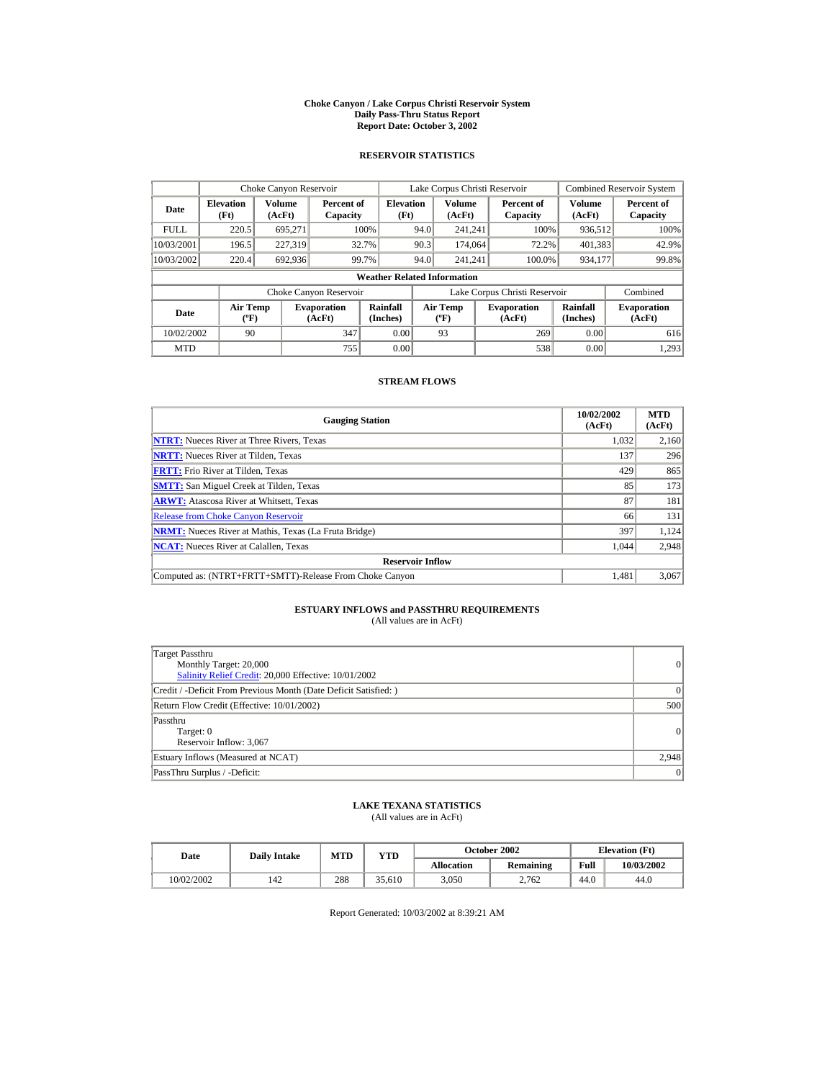#### **Choke Canyon / Lake Corpus Christi Reservoir System Daily Pass-Thru Status Report Report Date: October 3, 2002**

## **RESERVOIR STATISTICS**

|             | Choke Canyon Reservoir                      |                  |                              |                          |      | Lake Corpus Christi Reservoir             |  |                               |                      | <b>Combined Reservoir System</b> |  |  |  |
|-------------|---------------------------------------------|------------------|------------------------------|--------------------------|------|-------------------------------------------|--|-------------------------------|----------------------|----------------------------------|--|--|--|
| Date        | <b>Elevation</b><br>(Ft)                    | Volume<br>(AcFt) | Percent of<br>Capacity       | <b>Elevation</b><br>(Ft) |      | Volume<br>(AcFt)                          |  | Percent of<br>Capacity        | Volume<br>(AcFt)     | Percent of<br>Capacity           |  |  |  |
| <b>FULL</b> | 220.5                                       | 695.271          |                              | 100%                     | 94.0 | 241.241                                   |  | 100%                          | 936,512              | 100%                             |  |  |  |
| 10/03/2001  | 196.5                                       | 227.319          |                              | 32.7%                    | 90.3 | 174,064                                   |  | 72.2%                         | 401,383              | 42.9%                            |  |  |  |
| 10/03/2002  | 220.4                                       | 692.936          |                              | 99.7%                    | 94.0 | 241.241                                   |  | 100.0%                        | 934,177              | 99.8%                            |  |  |  |
|             | <b>Weather Related Information</b>          |                  |                              |                          |      |                                           |  |                               |                      |                                  |  |  |  |
|             |                                             |                  | Choke Canyon Reservoir       |                          |      |                                           |  | Lake Corpus Christi Reservoir |                      | Combined                         |  |  |  |
| Date        | <b>Air Temp</b><br>$({}^{\circ}\mathrm{F})$ |                  | <b>Evaporation</b><br>(AcFt) | Rainfall<br>(Inches)     |      | <b>Air Temp</b><br>$({}^{\circ}\text{F})$ |  | <b>Evaporation</b><br>(AcFt)  | Rainfall<br>(Inches) | <b>Evaporation</b><br>(AcFt)     |  |  |  |
| 10/02/2002  | 90                                          |                  | 347                          | 0.00                     |      | 93                                        |  | 269                           | 0.00                 | 616                              |  |  |  |
| <b>MTD</b>  |                                             |                  | 755                          | 0.00                     |      |                                           |  | 538                           | 0.00                 | 1.293                            |  |  |  |

## **STREAM FLOWS**

| <b>Gauging Station</b>                                       | 10/02/2002<br>(AcFt) | <b>MTD</b><br>(AcFt) |
|--------------------------------------------------------------|----------------------|----------------------|
| <b>NTRT:</b> Nueces River at Three Rivers, Texas             | 1,032                | 2,160                |
| <b>NRTT:</b> Nueces River at Tilden, Texas                   | 137                  | 296                  |
| <b>FRTT:</b> Frio River at Tilden, Texas                     | 429                  | 865                  |
| <b>SMTT:</b> San Miguel Creek at Tilden, Texas               | 85                   | 173                  |
| <b>ARWT:</b> Atascosa River at Whitsett, Texas               | 87                   | 181                  |
| <b>Release from Choke Canyon Reservoir</b>                   | 66                   | 131                  |
| <b>NRMT:</b> Nueces River at Mathis, Texas (La Fruta Bridge) | 397                  | 1.124                |
| <b>NCAT:</b> Nueces River at Calallen, Texas                 | 1.044                | 2,948                |
| <b>Reservoir Inflow</b>                                      |                      |                      |
| Computed as: (NTRT+FRTT+SMTT)-Release From Choke Canyon      | 1.481                | 3,067                |

# **ESTUARY INFLOWS and PASSTHRU REQUIREMENTS**<br>(All values are in AcFt)

| Target Passthru<br>Monthly Target: 20,000<br>Salinity Relief Credit: 20,000 Effective: 10/01/2002 | 0        |
|---------------------------------------------------------------------------------------------------|----------|
| Credit / -Deficit From Previous Month (Date Deficit Satisfied: )                                  | $\Omega$ |
| Return Flow Credit (Effective: 10/01/2002)                                                        | 500      |
| Passthru<br>Target: 0<br>Reservoir Inflow: 3,067                                                  | 0        |
| Estuary Inflows (Measured at NCAT)                                                                | 2,948    |
| PassThru Surplus / -Deficit:                                                                      | 0        |

## **LAKE TEXANA STATISTICS**

(All values are in AcFt)

| Date       | <b>Daily Intake</b> | MTD | $_{\rm VTD}$ |            | October 2002 |      | <b>Elevation</b> (Ft) |
|------------|---------------------|-----|--------------|------------|--------------|------|-----------------------|
|            |                     |     |              | Allocation | Remaining    | Full | 10/03/2002            |
| 10/02/2002 | 142                 | 288 | 35.610       | 3.050      | 2.762        | 44.0 | 44.0                  |

Report Generated: 10/03/2002 at 8:39:21 AM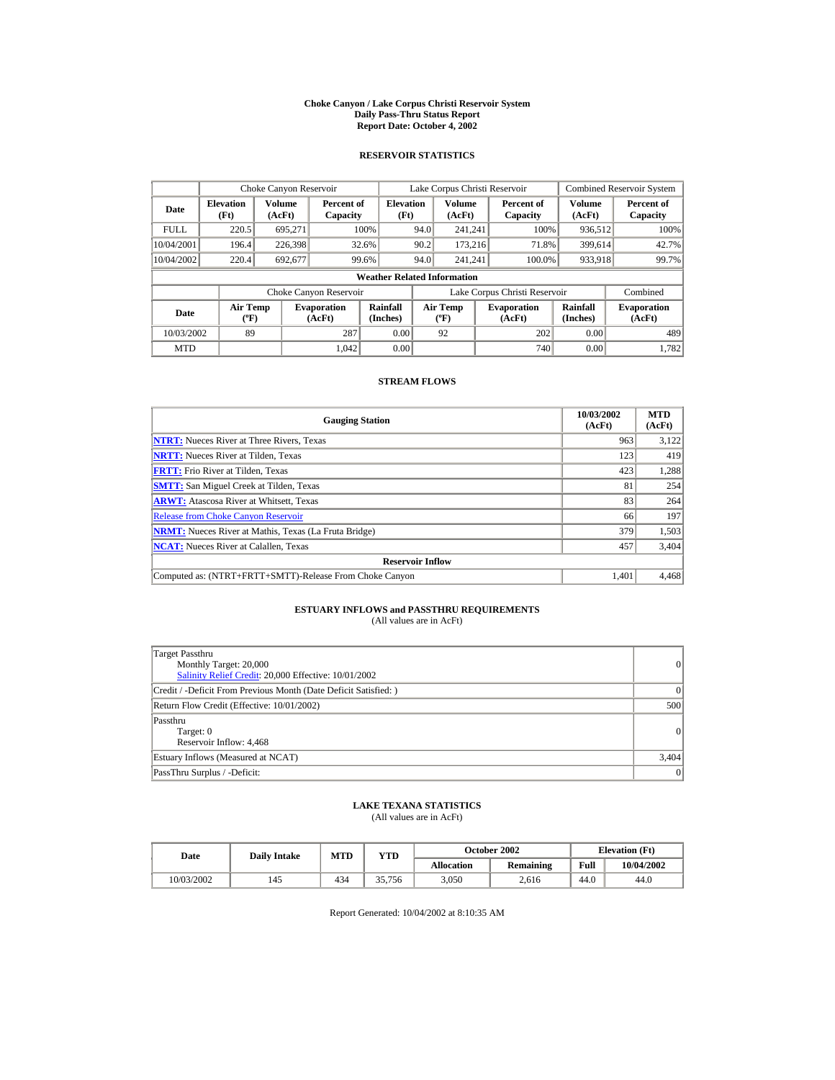#### **Choke Canyon / Lake Corpus Christi Reservoir System Daily Pass-Thru Status Report Report Date: October 4, 2002**

## **RESERVOIR STATISTICS**

|             | Choke Canyon Reservoir                      |                  |                              |                          | Lake Corpus Christi Reservoir |                                           |  |                               |                      | <b>Combined Reservoir System</b> |  |  |
|-------------|---------------------------------------------|------------------|------------------------------|--------------------------|-------------------------------|-------------------------------------------|--|-------------------------------|----------------------|----------------------------------|--|--|
| Date        | <b>Elevation</b><br>(Ft)                    | Volume<br>(AcFt) | Percent of<br>Capacity       | <b>Elevation</b><br>(Ft) |                               | Volume<br>(AcFt)                          |  | Percent of<br>Capacity        | Volume<br>(AcFt)     | Percent of<br>Capacity           |  |  |
| <b>FULL</b> | 220.5                                       | 695.271          |                              | 100%                     | 94.0                          | 241.241                                   |  | 100%                          | 936,512              | 100%                             |  |  |
| 10/04/2001  | 196.4                                       | 226,398          |                              | 32.6%                    | 90.2                          | 173.216                                   |  | 71.8%                         | 399.614              | 42.7%                            |  |  |
| 10/04/2002  | 220.4                                       | 692,677          |                              | 99.6%                    | 94.0                          | 241.241                                   |  | 100.0%                        | 933,918              | 99.7%                            |  |  |
|             | <b>Weather Related Information</b>          |                  |                              |                          |                               |                                           |  |                               |                      |                                  |  |  |
|             |                                             |                  | Choke Canyon Reservoir       |                          |                               |                                           |  | Lake Corpus Christi Reservoir |                      | Combined                         |  |  |
| Date        | <b>Air Temp</b><br>$({}^{\circ}\mathrm{F})$ |                  | <b>Evaporation</b><br>(AcFt) | Rainfall<br>(Inches)     |                               | <b>Air Temp</b><br>$({}^{\circ}\text{F})$ |  | <b>Evaporation</b><br>(AcFt)  | Rainfall<br>(Inches) | <b>Evaporation</b><br>(AcFt)     |  |  |
| 10/03/2002  | 89                                          |                  | 287                          | 0.00                     |                               | 92                                        |  | 202                           | 0.00                 | 489                              |  |  |
| <b>MTD</b>  |                                             |                  | 1.042                        | 0.00                     |                               |                                           |  | 740                           | 0.00                 | 1.782                            |  |  |

## **STREAM FLOWS**

| <b>Gauging Station</b>                                       | 10/03/2002<br>(AcFt) | <b>MTD</b><br>(AcFt) |
|--------------------------------------------------------------|----------------------|----------------------|
| <b>NTRT:</b> Nueces River at Three Rivers. Texas             | 963                  | 3,122                |
| <b>NRTT:</b> Nueces River at Tilden, Texas                   | 123                  | 419                  |
| <b>FRTT:</b> Frio River at Tilden, Texas                     | 423                  | 1,288                |
| <b>SMTT:</b> San Miguel Creek at Tilden, Texas               | 81                   | 254                  |
| <b>ARWT:</b> Atascosa River at Whitsett, Texas               | 83                   | 264                  |
| <b>Release from Choke Canyon Reservoir</b>                   | 66                   | 197                  |
| <b>NRMT:</b> Nueces River at Mathis, Texas (La Fruta Bridge) | 379                  | 1,503                |
| <b>NCAT:</b> Nueces River at Calallen, Texas                 | 457                  | 3,404                |
| <b>Reservoir Inflow</b>                                      |                      |                      |
| Computed as: (NTRT+FRTT+SMTT)-Release From Choke Canyon      | 1.401                | 4,468                |

## **ESTUARY INFLOWS and PASSTHRU REQUIREMENTS**<br>(All values are in AcFt)

| Target Passthru<br>Monthly Target: 20,000<br>Salinity Relief Credit: 20,000 Effective: 10/01/2002 | 0        |
|---------------------------------------------------------------------------------------------------|----------|
| Credit / -Deficit From Previous Month (Date Deficit Satisfied: )                                  | $\Omega$ |
| Return Flow Credit (Effective: 10/01/2002)                                                        | 500      |
| Passthru<br>Target: 0<br>Reservoir Inflow: 4,468                                                  | 0        |
| Estuary Inflows (Measured at NCAT)                                                                | 3,404    |
| PassThru Surplus / -Deficit:                                                                      | 0        |

## **LAKE TEXANA STATISTICS**

(All values are in AcFt)

| Date       | <b>Daily Intake</b> | MTD | $v_{\rm TD}$ |            | October 2002 | <b>Elevation</b> (Ft) |            |
|------------|---------------------|-----|--------------|------------|--------------|-----------------------|------------|
|            |                     |     |              | Allocation | Remaining    | Full                  | 10/04/2002 |
| 10/03/2002 | 145                 | 434 | 35.756       | 3.050      | 2.616        | 44.0                  | 44.0       |

Report Generated: 10/04/2002 at 8:10:35 AM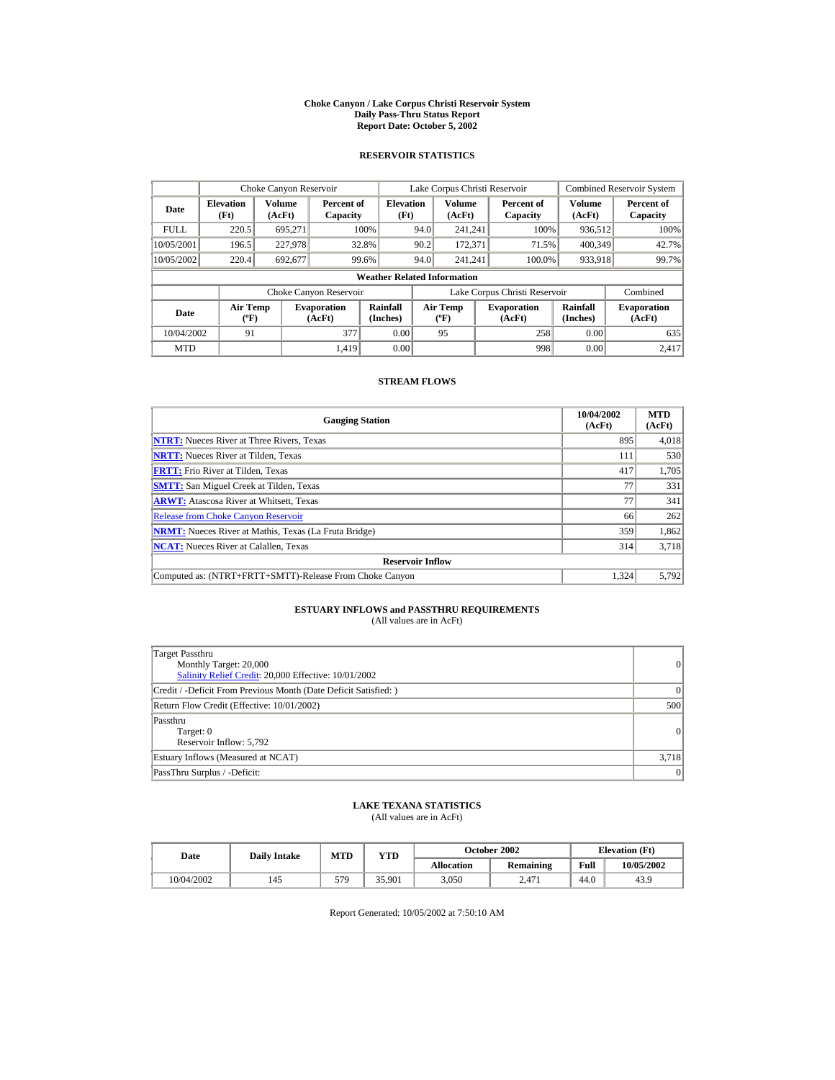#### **Choke Canyon / Lake Corpus Christi Reservoir System Daily Pass-Thru Status Report Report Date: October 5, 2002**

## **RESERVOIR STATISTICS**

|             | Choke Canyon Reservoir                      |                  |                              |                          | Lake Corpus Christi Reservoir |                                             |  |                               |                      | <b>Combined Reservoir System</b> |  |  |
|-------------|---------------------------------------------|------------------|------------------------------|--------------------------|-------------------------------|---------------------------------------------|--|-------------------------------|----------------------|----------------------------------|--|--|
| Date        | <b>Elevation</b><br>(Ft)                    | Volume<br>(AcFt) | Percent of<br>Capacity       | <b>Elevation</b><br>(Ft) |                               | Volume<br>(AcFt)                            |  | Percent of<br>Capacity        | Volume<br>(AcFt)     | Percent of<br>Capacity           |  |  |
| <b>FULL</b> | 220.5                                       | 695.271          |                              | 100%                     | 94.0                          | 241.241                                     |  | 100%                          | 936,512              | 100%                             |  |  |
| 10/05/2001  | 196.5                                       | 227,978          |                              | 32.8%                    | 90.2                          | 172,371                                     |  | 71.5%                         | 400.349              | 42.7%                            |  |  |
| 10/05/2002  | 220.4                                       | 692,677          |                              | 99.6%                    | 94.0                          | 241.241                                     |  | 100.0%                        | 933,918              | 99.7%                            |  |  |
|             | <b>Weather Related Information</b>          |                  |                              |                          |                               |                                             |  |                               |                      |                                  |  |  |
|             |                                             |                  | Choke Canyon Reservoir       |                          |                               |                                             |  | Lake Corpus Christi Reservoir |                      | Combined                         |  |  |
| Date        | <b>Air Temp</b><br>$({}^{\circ}\mathrm{F})$ |                  | <b>Evaporation</b><br>(AcFt) | Rainfall<br>(Inches)     |                               | <b>Air Temp</b><br>$({}^{\circ}\mathbf{F})$ |  | <b>Evaporation</b><br>(AcFt)  | Rainfall<br>(Inches) | <b>Evaporation</b><br>(AcFt)     |  |  |
| 10/04/2002  | 91                                          |                  | 377                          | 0.00                     |                               | 95                                          |  | 258                           | 0.00                 | 635                              |  |  |
| <b>MTD</b>  |                                             |                  | 1.419                        | 0.00                     |                               |                                             |  | 998                           | 0.00                 | 2.417                            |  |  |

## **STREAM FLOWS**

| <b>Gauging Station</b>                                       | 10/04/2002<br>(AcFt) | <b>MTD</b><br>(AcFt) |
|--------------------------------------------------------------|----------------------|----------------------|
| <b>NTRT:</b> Nueces River at Three Rivers, Texas             | 895                  | 4,018                |
| <b>NRTT:</b> Nueces River at Tilden, Texas                   | 111                  | 530                  |
| <b>FRTT:</b> Frio River at Tilden, Texas                     | 417                  | 1,705                |
| <b>SMTT:</b> San Miguel Creek at Tilden, Texas               | 77                   | 331                  |
| <b>ARWT:</b> Atascosa River at Whitsett, Texas               | 77                   | 341                  |
| <b>Release from Choke Canyon Reservoir</b>                   | 66                   | 262                  |
| <b>NRMT:</b> Nueces River at Mathis, Texas (La Fruta Bridge) | 359                  | 1,862                |
| <b>NCAT:</b> Nueces River at Calallen, Texas                 | 314                  | 3,718                |
| <b>Reservoir Inflow</b>                                      |                      |                      |
| Computed as: (NTRT+FRTT+SMTT)-Release From Choke Canyon      | 1,324                | 5,792                |

# **ESTUARY INFLOWS and PASSTHRU REQUIREMENTS**<br>(All values are in AcFt)

| Target Passthru<br>Monthly Target: 20,000<br>Salinity Relief Credit: 20,000 Effective: 10/01/2002 | 0        |
|---------------------------------------------------------------------------------------------------|----------|
| Credit / -Deficit From Previous Month (Date Deficit Satisfied: )                                  | $\Omega$ |
| Return Flow Credit (Effective: 10/01/2002)                                                        | 500      |
| Passthru<br>Target: 0<br>Reservoir Inflow: 5,792                                                  | 0        |
| Estuary Inflows (Measured at NCAT)                                                                | 3,718    |
| PassThru Surplus / -Deficit:                                                                      | 0        |

## **LAKE TEXANA STATISTICS**

(All values are in AcFt)

| Date       | <b>Daily Intake</b> | MTD | VTD    |            | October 2002 |      | <b>Elevation</b> (Ft) |
|------------|---------------------|-----|--------|------------|--------------|------|-----------------------|
|            |                     |     |        | Allocation | Remaining    | Full | 10/05/2002            |
| 10/04/2002 | 145                 | 579 | 35.901 | 3.050      | 2.471        | 44.0 | 43.9                  |

Report Generated: 10/05/2002 at 7:50:10 AM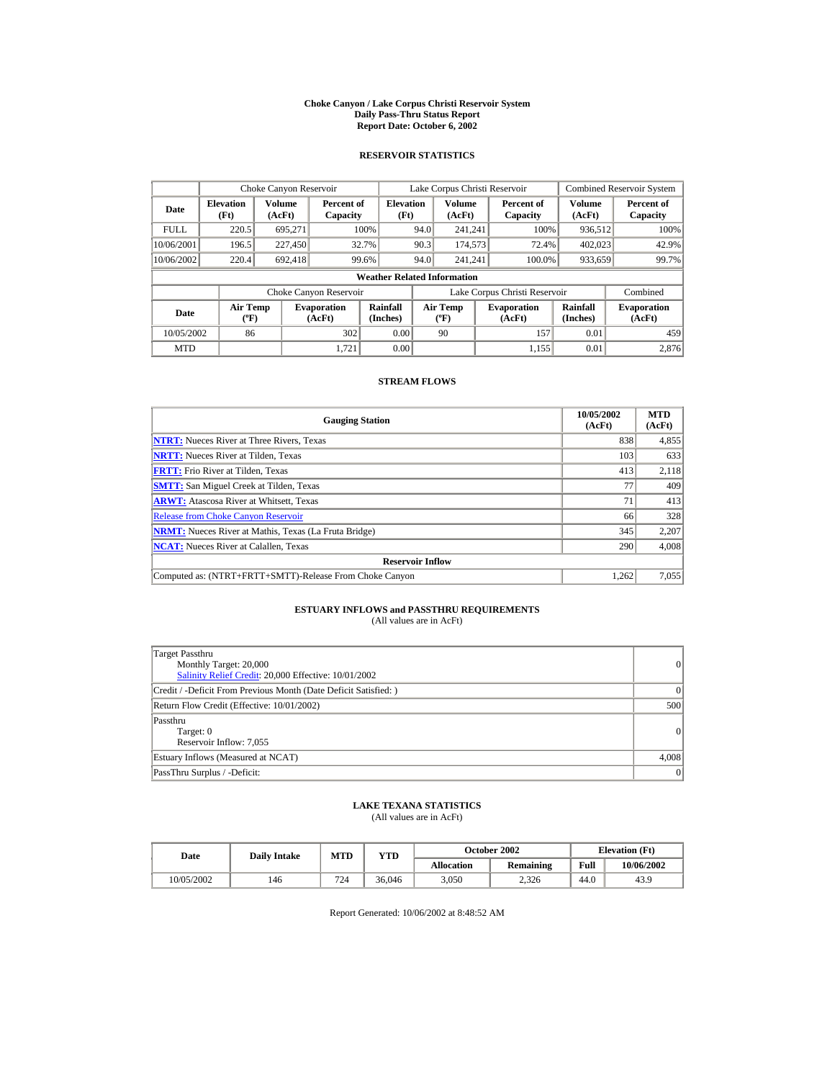#### **Choke Canyon / Lake Corpus Christi Reservoir System Daily Pass-Thru Status Report Report Date: October 6, 2002**

## **RESERVOIR STATISTICS**

|             | Choke Canyon Reservoir                      |                  |                              |                          | Lake Corpus Christi Reservoir |                                             |  |                               |                      | <b>Combined Reservoir System</b> |  |  |
|-------------|---------------------------------------------|------------------|------------------------------|--------------------------|-------------------------------|---------------------------------------------|--|-------------------------------|----------------------|----------------------------------|--|--|
| Date        | <b>Elevation</b><br>(Ft)                    | Volume<br>(AcFt) | Percent of<br>Capacity       | <b>Elevation</b><br>(Ft) |                               | Volume<br>(AcFt)                            |  | Percent of<br>Capacity        | Volume<br>(AcFt)     | Percent of<br>Capacity           |  |  |
| <b>FULL</b> | 220.5                                       | 695.271          |                              | 100%                     | 94.0                          | 241.241                                     |  | 100%                          | 936,512              | 100%                             |  |  |
| 10/06/2001  | 196.5                                       | 227,450          |                              | 32.7%                    | 90.3                          | 174,573                                     |  | 72.4%                         | 402,023              | 42.9%                            |  |  |
| 10/06/2002  | 220.4                                       | 692.418          |                              | 99.6%                    | 94.0                          | 241.241                                     |  | 100.0%                        | 933,659              | 99.7%                            |  |  |
|             | <b>Weather Related Information</b>          |                  |                              |                          |                               |                                             |  |                               |                      |                                  |  |  |
|             |                                             |                  | Choke Canyon Reservoir       |                          |                               |                                             |  | Lake Corpus Christi Reservoir |                      | Combined                         |  |  |
| Date        | <b>Air Temp</b><br>$({}^{\circ}\mathrm{F})$ |                  | <b>Evaporation</b><br>(AcFt) | Rainfall<br>(Inches)     |                               | <b>Air Temp</b><br>$({}^{\circ}\mathbf{F})$ |  | <b>Evaporation</b><br>(AcFt)  | Rainfall<br>(Inches) | <b>Evaporation</b><br>(AcFt)     |  |  |
| 10/05/2002  | 86                                          |                  | 302                          | 0.00                     |                               | 90                                          |  | 157                           | 0.01                 | 459                              |  |  |
| <b>MTD</b>  |                                             |                  | 1.721                        | 0.00                     |                               |                                             |  | 1.155                         | 0.01                 | 2.876                            |  |  |

## **STREAM FLOWS**

| <b>Gauging Station</b>                                       | 10/05/2002<br>(AcFt) | <b>MTD</b><br>(AcFt) |
|--------------------------------------------------------------|----------------------|----------------------|
| <b>NTRT:</b> Nueces River at Three Rivers, Texas             | 838                  | 4,855                |
| <b>NRTT:</b> Nueces River at Tilden, Texas                   | 103                  | 633                  |
| <b>FRTT:</b> Frio River at Tilden, Texas                     | 413                  | 2,118                |
| <b>SMTT:</b> San Miguel Creek at Tilden, Texas               | 77                   | 409                  |
| <b>ARWT:</b> Atascosa River at Whitsett, Texas               | 71                   | 413                  |
| <b>Release from Choke Canyon Reservoir</b>                   | 66                   | 328                  |
| <b>NRMT:</b> Nueces River at Mathis, Texas (La Fruta Bridge) | 345                  | 2,207                |
| <b>NCAT:</b> Nueces River at Calallen, Texas                 | 290                  | 4,008                |
| <b>Reservoir Inflow</b>                                      |                      |                      |
| Computed as: (NTRT+FRTT+SMTT)-Release From Choke Canyon      | 1.262                | 7,055                |

# **ESTUARY INFLOWS and PASSTHRU REQUIREMENTS**<br>(All values are in AcFt)

| Target Passthru<br>Monthly Target: 20,000<br>Salinity Relief Credit: 20,000 Effective: 10/01/2002 | 0        |
|---------------------------------------------------------------------------------------------------|----------|
| Credit / -Deficit From Previous Month (Date Deficit Satisfied: )                                  | $\Omega$ |
| Return Flow Credit (Effective: 10/01/2002)                                                        | 500      |
| Passthru<br>Target: 0<br>Reservoir Inflow: 7,055                                                  | 0        |
| Estuary Inflows (Measured at NCAT)                                                                | 4,008    |
| PassThru Surplus / -Deficit:                                                                      | 0        |

## **LAKE TEXANA STATISTICS**

(All values are in AcFt)

| Date       | <b>Daily Intake</b> | MTD | $v_{\rm TD}$ |            | October 2002 |      | <b>Elevation</b> (Ft) |
|------------|---------------------|-----|--------------|------------|--------------|------|-----------------------|
|            |                     |     |              | Allocation | Remaining    | Full | 10/06/2002            |
| 10/05/2002 | 146                 | 724 | 36,046       | 3.050      | 2.326        | 44.0 | 43.9                  |

Report Generated: 10/06/2002 at 8:48:52 AM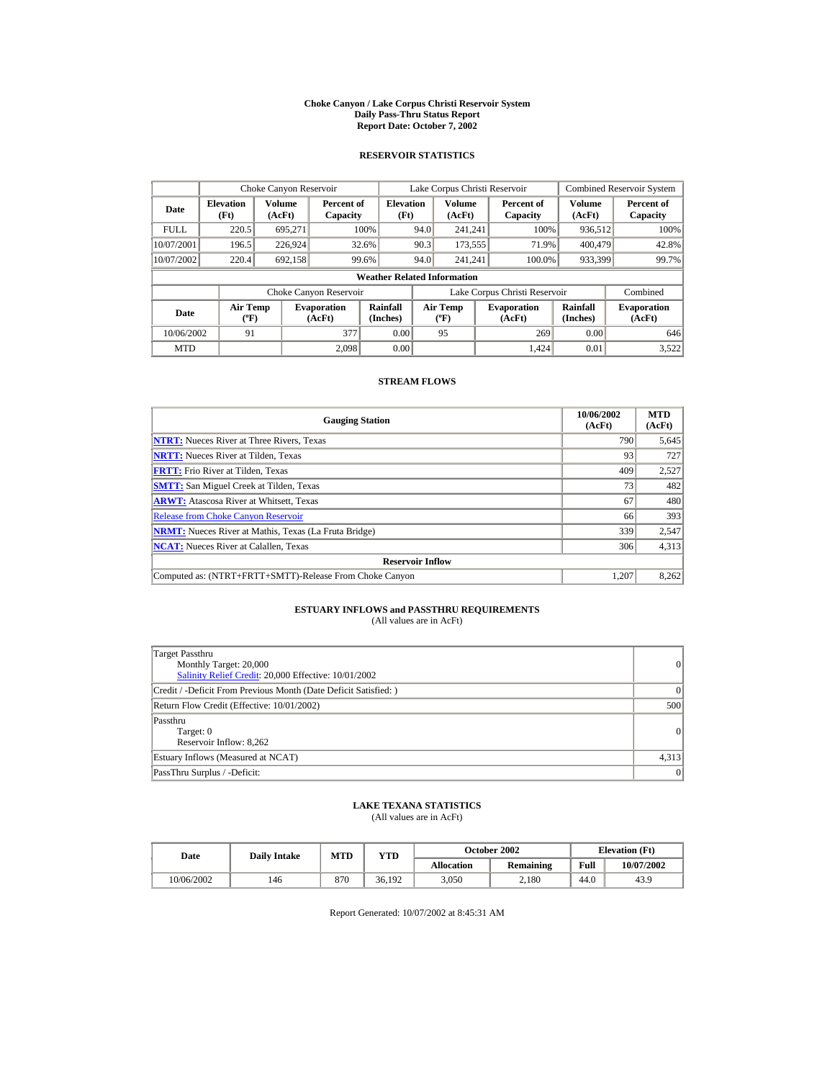#### **Choke Canyon / Lake Corpus Christi Reservoir System Daily Pass-Thru Status Report Report Date: October 7, 2002**

## **RESERVOIR STATISTICS**

|             | Choke Canyon Reservoir                      |                  |                              |                          | Lake Corpus Christi Reservoir |                                             |  |                               |                      | <b>Combined Reservoir System</b> |  |  |  |
|-------------|---------------------------------------------|------------------|------------------------------|--------------------------|-------------------------------|---------------------------------------------|--|-------------------------------|----------------------|----------------------------------|--|--|--|
| Date        | <b>Elevation</b><br>(Ft)                    | Volume<br>(AcFt) | Percent of<br>Capacity       | <b>Elevation</b><br>(Ft) |                               | Volume<br>(AcFt)                            |  | Percent of<br>Capacity        | Volume<br>(AcFt)     | Percent of<br>Capacity           |  |  |  |
| <b>FULL</b> | 220.5                                       | 695.271          |                              | 100%                     | 94.0                          | 241.241                                     |  | 100%                          | 936,512              | 100%                             |  |  |  |
| 10/07/2001  | 196.5                                       | 226,924          |                              | 32.6%                    | 90.3                          | 173,555                                     |  | 71.9%                         | 400,479              | 42.8%                            |  |  |  |
| 10/07/2002  | 220.4                                       | 692.158          |                              | 99.6%                    | 94.0                          | 241.241                                     |  | 100.0%                        | 933,399              | 99.7%                            |  |  |  |
|             | <b>Weather Related Information</b>          |                  |                              |                          |                               |                                             |  |                               |                      |                                  |  |  |  |
|             |                                             |                  | Choke Canyon Reservoir       |                          |                               |                                             |  | Lake Corpus Christi Reservoir |                      | Combined                         |  |  |  |
| Date        | <b>Air Temp</b><br>$({}^{\circ}\mathrm{F})$ |                  | <b>Evaporation</b><br>(AcFt) | Rainfall<br>(Inches)     |                               | <b>Air Temp</b><br>$({}^{\circ}\mathbf{F})$ |  | <b>Evaporation</b><br>(AcFt)  | Rainfall<br>(Inches) | <b>Evaporation</b><br>(AcFt)     |  |  |  |
| 10/06/2002  | 91                                          |                  | 377                          | 0.00                     |                               | 95                                          |  | 269                           | 0.00                 | 646                              |  |  |  |
| <b>MTD</b>  |                                             |                  | 2.098                        | 0.00                     |                               |                                             |  | 1.424                         | 0.01                 | 3,522                            |  |  |  |

## **STREAM FLOWS**

| <b>Gauging Station</b>                                       | 10/06/2002<br>(AcFt) | <b>MTD</b><br>(AcFt) |
|--------------------------------------------------------------|----------------------|----------------------|
| <b>NTRT:</b> Nueces River at Three Rivers, Texas             | 790                  | 5,645                |
| <b>NRTT:</b> Nueces River at Tilden, Texas                   | 93                   | 727                  |
| <b>FRTT:</b> Frio River at Tilden, Texas                     | 409                  | 2,527                |
| <b>SMTT:</b> San Miguel Creek at Tilden, Texas               | 73                   | 482                  |
| <b>ARWT:</b> Atascosa River at Whitsett, Texas               | 67                   | 480                  |
| <b>Release from Choke Canyon Reservoir</b>                   | 66                   | 393                  |
| <b>NRMT:</b> Nueces River at Mathis, Texas (La Fruta Bridge) | 339                  | 2,547                |
| <b>NCAT:</b> Nueces River at Calallen, Texas                 | 306                  | 4,313                |
| <b>Reservoir Inflow</b>                                      |                      |                      |
| Computed as: (NTRT+FRTT+SMTT)-Release From Choke Canyon      | 1.207                | 8,262                |

# **ESTUARY INFLOWS and PASSTHRU REQUIREMENTS**<br>(All values are in AcFt)

| Target Passthru<br>Monthly Target: 20,000<br>Salinity Relief Credit: 20,000 Effective: 10/01/2002 | 0        |
|---------------------------------------------------------------------------------------------------|----------|
| Credit / -Deficit From Previous Month (Date Deficit Satisfied: )                                  | $\Omega$ |
| Return Flow Credit (Effective: 10/01/2002)                                                        | 500      |
| Passthru<br>Target: 0<br>Reservoir Inflow: 8,262                                                  | 0        |
| Estuary Inflows (Measured at NCAT)                                                                | 4,313    |
| PassThru Surplus / -Deficit:                                                                      | 0        |

## **LAKE TEXANA STATISTICS**

(All values are in AcFt)

| Date       |     | <b>MTD</b><br><b>Daily Intake</b> |              |            | October 2002 | <b>Elevation</b> (Ft) |            |
|------------|-----|-----------------------------------|--------------|------------|--------------|-----------------------|------------|
|            |     |                                   | $_{\rm VTD}$ | Allocation | Remaining    | Full                  | 10/07/2002 |
| 10/06/2002 | 146 | 870                               | 36.192       | 3.050      | 2.180        | 44.0                  | 43.9       |

Report Generated: 10/07/2002 at 8:45:31 AM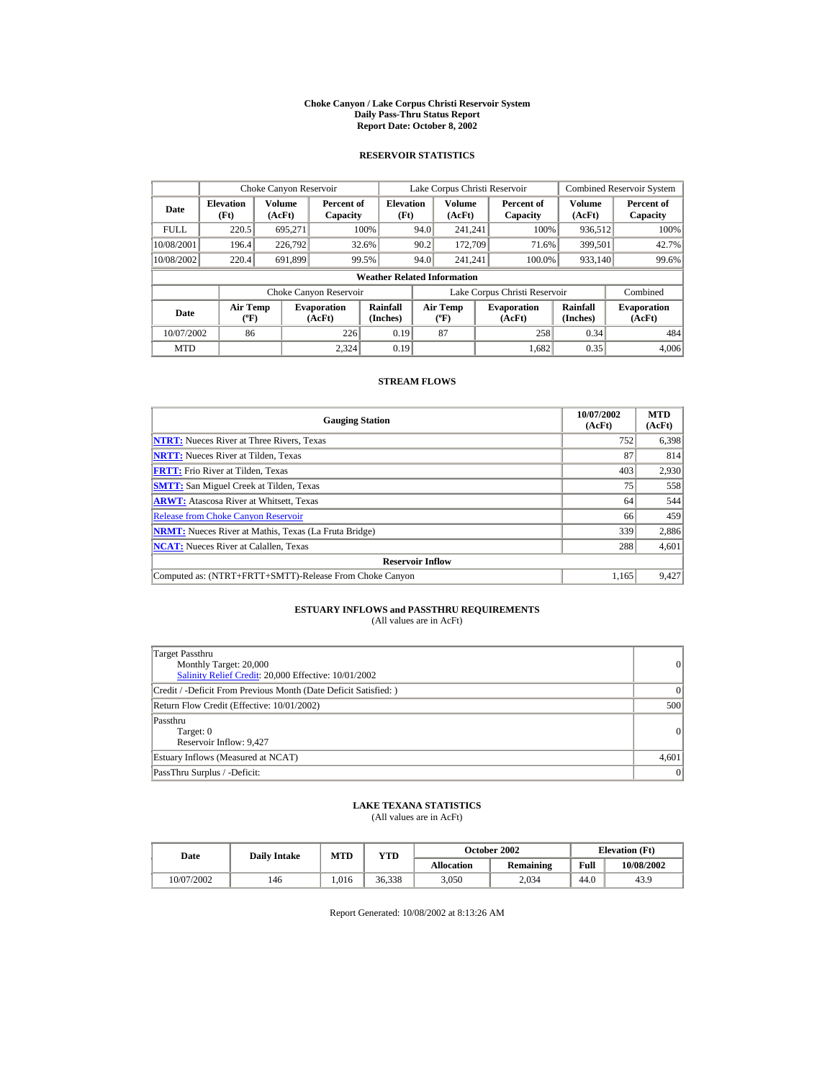#### **Choke Canyon / Lake Corpus Christi Reservoir System Daily Pass-Thru Status Report Report Date: October 8, 2002**

## **RESERVOIR STATISTICS**

|             | Choke Canyon Reservoir                      |                  |                              |                          |      | Lake Corpus Christi Reservoir             |  |                               |                      | <b>Combined Reservoir System</b> |  |  |  |
|-------------|---------------------------------------------|------------------|------------------------------|--------------------------|------|-------------------------------------------|--|-------------------------------|----------------------|----------------------------------|--|--|--|
| Date        | <b>Elevation</b><br>(Ft)                    | Volume<br>(AcFt) | Percent of<br>Capacity       | <b>Elevation</b><br>(Ft) |      | Volume<br>(AcFt)                          |  | Percent of<br>Capacity        | Volume<br>(AcFt)     | Percent of<br>Capacity           |  |  |  |
| <b>FULL</b> | 220.5                                       | 695.271          |                              | 100%                     | 94.0 | 241.241                                   |  | 100%                          | 936,512              | 100%                             |  |  |  |
| 10/08/2001  | 196.4                                       | 226,792          |                              | 32.6%                    | 90.2 | 172,709                                   |  | 71.6%                         | 399.501              | 42.7%                            |  |  |  |
| 10/08/2002  | 220.4                                       | 691.899          |                              | 99.5%                    | 94.0 | 241.241                                   |  | 100.0%                        | 933,140              | 99.6%                            |  |  |  |
|             | <b>Weather Related Information</b>          |                  |                              |                          |      |                                           |  |                               |                      |                                  |  |  |  |
|             |                                             |                  | Choke Canyon Reservoir       |                          |      |                                           |  | Lake Corpus Christi Reservoir |                      | Combined                         |  |  |  |
| Date        | <b>Air Temp</b><br>$({}^{\circ}\mathrm{F})$ |                  | <b>Evaporation</b><br>(AcFt) | Rainfall<br>(Inches)     |      | <b>Air Temp</b><br>$({}^{\circ}\text{F})$ |  | <b>Evaporation</b><br>(AcFt)  | Rainfall<br>(Inches) | <b>Evaporation</b><br>(AcFt)     |  |  |  |
| 10/07/2002  | 86                                          |                  | 226                          | 0.19                     |      | 87                                        |  | 258                           | 0.34                 | 484                              |  |  |  |
| <b>MTD</b>  |                                             |                  | 2.324                        | 0.19                     |      |                                           |  | 1.682                         | 0.35                 | 4.006                            |  |  |  |

## **STREAM FLOWS**

| <b>Gauging Station</b>                                       | 10/07/2002<br>(AcFt) | <b>MTD</b><br>(AcFt) |
|--------------------------------------------------------------|----------------------|----------------------|
| <b>NTRT:</b> Nueces River at Three Rivers, Texas             | 752                  | 6,398                |
| <b>NRTT:</b> Nueces River at Tilden, Texas                   | 87                   | 814                  |
| <b>FRTT:</b> Frio River at Tilden, Texas                     | 403                  | 2,930                |
| <b>SMTT:</b> San Miguel Creek at Tilden, Texas               | 75                   | 558                  |
| <b>ARWT:</b> Atascosa River at Whitsett, Texas               | 64                   | 544                  |
| <b>Release from Choke Canyon Reservoir</b>                   | 66                   | 459                  |
| <b>NRMT:</b> Nueces River at Mathis, Texas (La Fruta Bridge) | 339                  | 2,886                |
| <b>NCAT:</b> Nueces River at Calallen, Texas                 | 288                  | 4,601                |
| <b>Reservoir Inflow</b>                                      |                      |                      |
| Computed as: (NTRT+FRTT+SMTT)-Release From Choke Canyon      | 1.165                | 9,427                |

# **ESTUARY INFLOWS and PASSTHRU REQUIREMENTS**<br>(All values are in AcFt)

| Target Passthru<br>Monthly Target: 20,000<br>Salinity Relief Credit: 20,000 Effective: 10/01/2002 | 0        |
|---------------------------------------------------------------------------------------------------|----------|
| Credit / -Deficit From Previous Month (Date Deficit Satisfied: )                                  | $\Omega$ |
| Return Flow Credit (Effective: 10/01/2002)                                                        | 500      |
| Passthru<br>Target: 0<br>Reservoir Inflow: 9,427                                                  | 0        |
| Estuary Inflows (Measured at NCAT)                                                                | 4,601    |
| PassThru Surplus / -Deficit:                                                                      | 0        |

## **LAKE TEXANA STATISTICS**

(All values are in AcFt)

| Date       | <b>Daily Intake</b> | MTD  | YTD    |                   | <b>October 2002</b> |      | <b>Elevation</b> (Ft) |
|------------|---------------------|------|--------|-------------------|---------------------|------|-----------------------|
|            |                     |      |        | <b>Allocation</b> | <b>Remaining</b>    | Full | 10/08/2002            |
| 10/07/2002 | 146                 | .016 | 36.338 | 3.050             | 2.034               | 44.0 | 43.9                  |

Report Generated: 10/08/2002 at 8:13:26 AM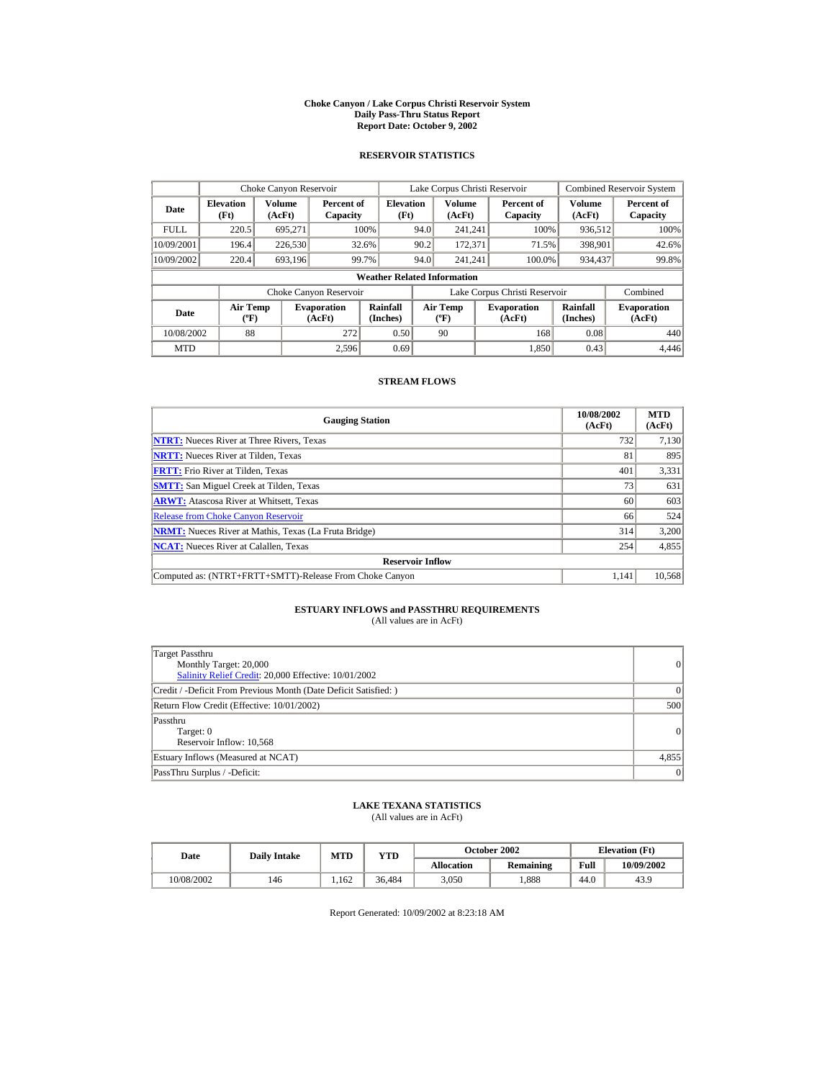#### **Choke Canyon / Lake Corpus Christi Reservoir System Daily Pass-Thru Status Report Report Date: October 9, 2002**

## **RESERVOIR STATISTICS**

|             | Choke Canyon Reservoir                      |                  |                              |                          | Lake Corpus Christi Reservoir |                                             |  |                               |                      | <b>Combined Reservoir System</b> |  |  |  |
|-------------|---------------------------------------------|------------------|------------------------------|--------------------------|-------------------------------|---------------------------------------------|--|-------------------------------|----------------------|----------------------------------|--|--|--|
| Date        | <b>Elevation</b><br>(Ft)                    | Volume<br>(AcFt) | Percent of<br>Capacity       | <b>Elevation</b><br>(Ft) |                               | Volume<br>(AcFt)                            |  | Percent of<br>Capacity        | Volume<br>(AcFt)     | Percent of<br>Capacity           |  |  |  |
| <b>FULL</b> | 220.5                                       | 695.271          |                              | 100%                     | 94.0                          | 241.241                                     |  | 100%                          | 936,512              | 100%                             |  |  |  |
| 10/09/2001  | 196.4                                       | 226,530          |                              | 32.6%                    | 90.2                          | 172,371                                     |  | 71.5%                         | 398,901              | 42.6%                            |  |  |  |
| 10/09/2002  | 220.4                                       | 693.196          |                              | 99.7%                    | 94.0                          | 241.241                                     |  | 100.0%                        | 934,437              | 99.8%                            |  |  |  |
|             | <b>Weather Related Information</b>          |                  |                              |                          |                               |                                             |  |                               |                      |                                  |  |  |  |
|             |                                             |                  | Choke Canyon Reservoir       |                          |                               |                                             |  | Lake Corpus Christi Reservoir |                      | Combined                         |  |  |  |
| Date        | <b>Air Temp</b><br>$({}^{\circ}\mathrm{F})$ |                  | <b>Evaporation</b><br>(AcFt) | Rainfall<br>(Inches)     |                               | <b>Air Temp</b><br>$({}^{\circ}\mathbf{F})$ |  | <b>Evaporation</b><br>(AcFt)  | Rainfall<br>(Inches) | <b>Evaporation</b><br>(AcFt)     |  |  |  |
| 10/08/2002  | 88                                          |                  | 272                          | 0.50                     |                               | 90                                          |  | 168                           | 0.08                 | 440                              |  |  |  |
| <b>MTD</b>  |                                             |                  | 2.596                        | 0.69                     |                               |                                             |  | 1.850                         | 0.43                 | 4.446                            |  |  |  |

## **STREAM FLOWS**

| <b>Gauging Station</b>                                       | 10/08/2002<br>(AcFt) | <b>MTD</b><br>(AcFt) |
|--------------------------------------------------------------|----------------------|----------------------|
| <b>NTRT:</b> Nueces River at Three Rivers, Texas             | 732                  | 7,130                |
| <b>NRTT:</b> Nueces River at Tilden, Texas                   | 81                   | 895                  |
| <b>FRTT:</b> Frio River at Tilden, Texas                     | 401                  | 3,331                |
| <b>SMTT:</b> San Miguel Creek at Tilden, Texas               | 73                   | 631                  |
| <b>ARWT:</b> Atascosa River at Whitsett, Texas               | 60                   | 603                  |
| <b>Release from Choke Canyon Reservoir</b>                   | 66                   | 524                  |
| <b>NRMT:</b> Nueces River at Mathis, Texas (La Fruta Bridge) | 314                  | 3,200                |
| <b>NCAT:</b> Nueces River at Calallen, Texas                 | 254                  | 4,855                |
| <b>Reservoir Inflow</b>                                      |                      |                      |
| Computed as: (NTRT+FRTT+SMTT)-Release From Choke Canyon      | 1.141                | 10,568               |

# **ESTUARY INFLOWS and PASSTHRU REQUIREMENTS**<br>(All values are in AcFt)

| Target Passthru<br>Monthly Target: 20,000<br>Salinity Relief Credit: 20,000 Effective: 10/01/2002 | 0        |
|---------------------------------------------------------------------------------------------------|----------|
| Credit / -Deficit From Previous Month (Date Deficit Satisfied: )                                  | $\Omega$ |
| Return Flow Credit (Effective: 10/01/2002)                                                        | 500      |
| Passthru<br>Target: 0<br>Reservoir Inflow: 10,568                                                 | 0        |
| Estuary Inflows (Measured at NCAT)                                                                | 4,855    |
| PassThru Surplus / -Deficit:                                                                      | 0        |

## **LAKE TEXANA STATISTICS**

(All values are in AcFt)

| Date       |     | <b>MTD</b><br><b>Daily Intake</b> |              |            | October 2002 | <b>Elevation</b> (Ft) |            |
|------------|-----|-----------------------------------|--------------|------------|--------------|-----------------------|------------|
|            |     |                                   | $_{\rm VTD}$ | Allocation | Remaining    | Full                  | 10/09/2002 |
| 10/08/2002 | 146 | .162                              | 36.484       | 3.050      | .888         | 44.0                  | 43.9       |

Report Generated: 10/09/2002 at 8:23:18 AM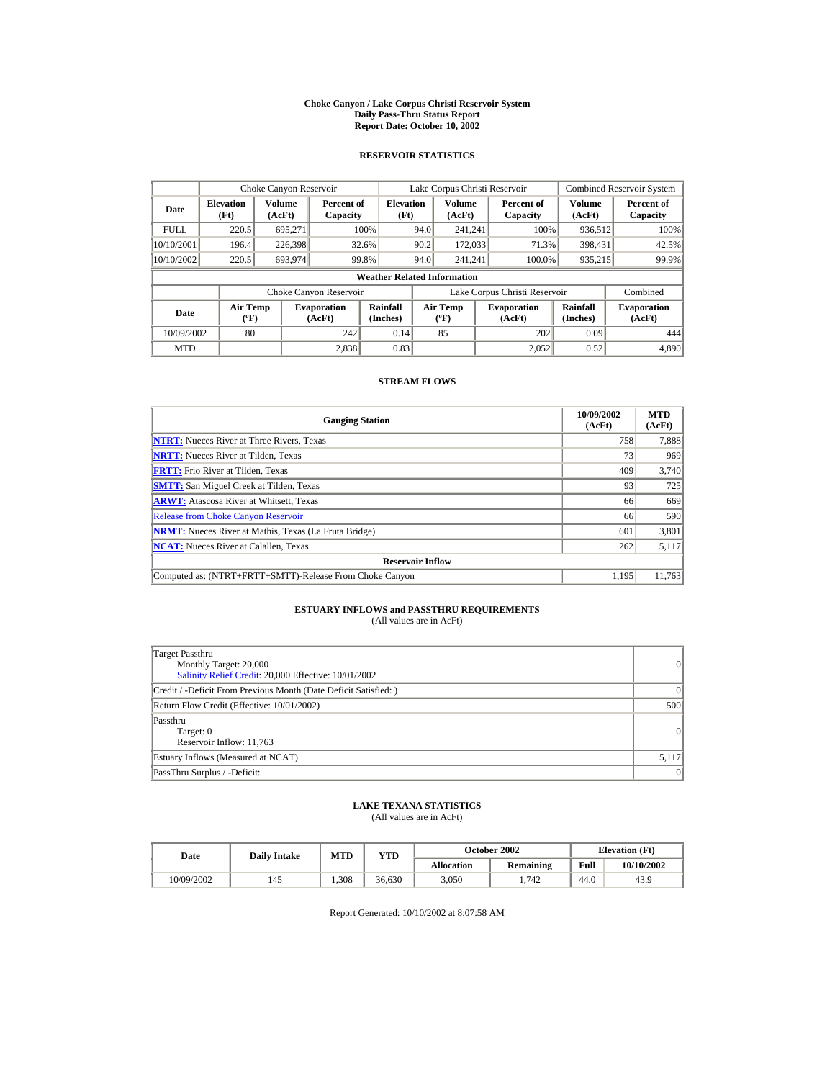#### **Choke Canyon / Lake Corpus Christi Reservoir System Daily Pass-Thru Status Report Report Date: October 10, 2002**

## **RESERVOIR STATISTICS**

|             | Choke Canyon Reservoir                      |                  |                              |                          |      | Lake Corpus Christi Reservoir    |  |                               |                      | <b>Combined Reservoir System</b> |  |  |
|-------------|---------------------------------------------|------------------|------------------------------|--------------------------|------|----------------------------------|--|-------------------------------|----------------------|----------------------------------|--|--|
| Date        | <b>Elevation</b><br>(Ft)                    | Volume<br>(AcFt) | Percent of<br>Capacity       | <b>Elevation</b><br>(Ft) |      | Volume<br>(AcFt)                 |  | Percent of<br>Capacity        | Volume<br>(AcFt)     | Percent of<br>Capacity           |  |  |
| <b>FULL</b> | 220.5                                       | 695.271          |                              | 100%                     | 94.0 | 241.241                          |  | 100%                          | 936,512              | 100%                             |  |  |
| 10/10/2001  | 196.4                                       | 226,398          |                              | 32.6%                    | 90.2 | 172,033                          |  | 71.3%                         | 398.431              | 42.5%                            |  |  |
| 10/10/2002  | 220.5                                       | 693.974          |                              | 99.8%                    | 94.0 | 241.241                          |  | 100.0%                        | 935,215              | 99.9%                            |  |  |
|             | <b>Weather Related Information</b>          |                  |                              |                          |      |                                  |  |                               |                      |                                  |  |  |
|             |                                             |                  | Choke Canyon Reservoir       |                          |      |                                  |  | Lake Corpus Christi Reservoir |                      | Combined                         |  |  |
| Date        | <b>Air Temp</b><br>$({}^{\circ}\mathrm{F})$ |                  | <b>Evaporation</b><br>(AcFt) | Rainfall<br>(Inches)     |      | <b>Air Temp</b><br>$(^{\circ}F)$ |  | <b>Evaporation</b><br>(AcFt)  | Rainfall<br>(Inches) | <b>Evaporation</b><br>(AcFt)     |  |  |
| 10/09/2002  | 80                                          |                  | 242                          | 0.14                     |      | 85                               |  | 202                           | 0.09                 | 444                              |  |  |
| <b>MTD</b>  |                                             |                  | 2.838                        | 0.83                     |      |                                  |  | 2.052                         | 0.52                 | 4,890                            |  |  |

## **STREAM FLOWS**

| <b>Gauging Station</b>                                       | 10/09/2002<br>(AcFt) | <b>MTD</b><br>(AcFt) |
|--------------------------------------------------------------|----------------------|----------------------|
| <b>NTRT:</b> Nueces River at Three Rivers, Texas             | 758                  | 7,888                |
| <b>NRTT:</b> Nueces River at Tilden, Texas                   | 73                   | 969                  |
| <b>FRTT:</b> Frio River at Tilden, Texas                     | 409                  | 3,740                |
| <b>SMTT:</b> San Miguel Creek at Tilden, Texas               | 93                   | 725                  |
| <b>ARWT:</b> Atascosa River at Whitsett, Texas               | 66                   | 669                  |
| <b>Release from Choke Canyon Reservoir</b>                   | 66                   | 590                  |
| <b>NRMT:</b> Nueces River at Mathis, Texas (La Fruta Bridge) | 601                  | 3,801                |
| <b>NCAT:</b> Nueces River at Calallen, Texas                 | 262                  | 5,117                |
| <b>Reservoir Inflow</b>                                      |                      |                      |
| Computed as: (NTRT+FRTT+SMTT)-Release From Choke Canyon      | 1.195                | 11,763               |

# **ESTUARY INFLOWS and PASSTHRU REQUIREMENTS**<br>(All values are in AcFt)

| Target Passthru<br>Monthly Target: 20,000<br>Salinity Relief Credit: 20,000 Effective: 10/01/2002 | $\overline{0}$ |
|---------------------------------------------------------------------------------------------------|----------------|
| Credit / -Deficit From Previous Month (Date Deficit Satisfied: )                                  | $\Omega$       |
| Return Flow Credit (Effective: 10/01/2002)                                                        | 500            |
| Passthru<br>Target: 0<br>Reservoir Inflow: 11,763                                                 | $\Omega$       |
| Estuary Inflows (Measured at NCAT)                                                                | 5,117          |
| PassThru Surplus / -Deficit:                                                                      | 0              |

## **LAKE TEXANA STATISTICS**

(All values are in AcFt)

| Date       |     | <b>MTD</b><br><b>Daily Intake</b> |        |                   | <b>October 2002</b> | <b>Elevation</b> (Ft) |            |
|------------|-----|-----------------------------------|--------|-------------------|---------------------|-----------------------|------------|
|            |     |                                   | YTD    | <b>Allocation</b> | Remaining           | Full                  | 10/10/2002 |
| 10/09/2002 | 145 | .308                              | 36.630 | 3.050             | .742                | 44.0                  | 43.9       |

Report Generated: 10/10/2002 at 8:07:58 AM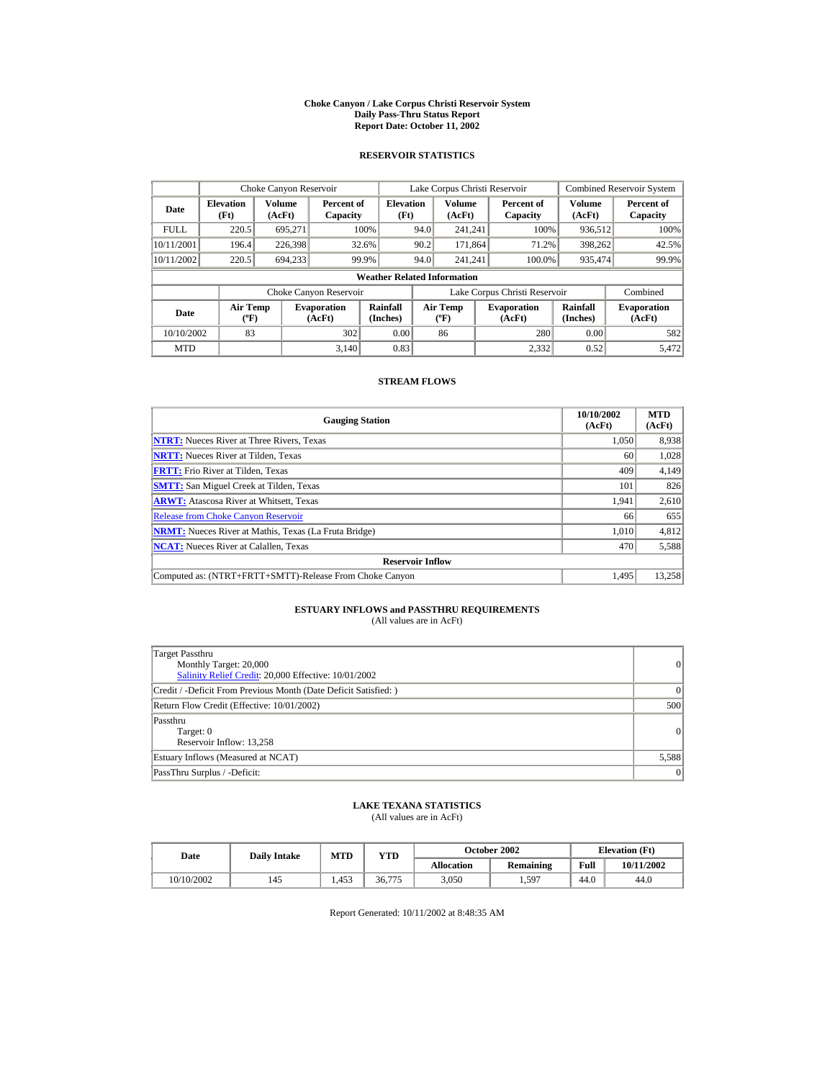#### **Choke Canyon / Lake Corpus Christi Reservoir System Daily Pass-Thru Status Report Report Date: October 11, 2002**

## **RESERVOIR STATISTICS**

|             | Choke Canyon Reservoir                      |                  |                              |                          |      | Lake Corpus Christi Reservoir    |  |                               |                      | <b>Combined Reservoir System</b> |  |  |
|-------------|---------------------------------------------|------------------|------------------------------|--------------------------|------|----------------------------------|--|-------------------------------|----------------------|----------------------------------|--|--|
| Date        | <b>Elevation</b><br>(Ft)                    | Volume<br>(AcFt) | Percent of<br>Capacity       | <b>Elevation</b><br>(Ft) |      | Volume<br>(AcFt)                 |  | Percent of<br>Capacity        | Volume<br>(AcFt)     | Percent of<br>Capacity           |  |  |
| <b>FULL</b> | 220.5                                       | 695.271          |                              | 100%                     | 94.0 | 241.241                          |  | 100%                          | 936,512              | 100%                             |  |  |
| 10/11/2001  | 196.4                                       | 226,398          |                              | 32.6%                    | 90.2 | 171.864                          |  | 71.2%                         | 398,262              | 42.5%                            |  |  |
| 10/11/2002  | 220.5                                       | 694.233          |                              | 99.9%                    | 94.0 | 241.241                          |  | 100.0%                        | 935.474              | 99.9%                            |  |  |
|             | <b>Weather Related Information</b>          |                  |                              |                          |      |                                  |  |                               |                      |                                  |  |  |
|             |                                             |                  | Choke Canyon Reservoir       |                          |      |                                  |  | Lake Corpus Christi Reservoir |                      | Combined                         |  |  |
| Date        | <b>Air Temp</b><br>$({}^{\circ}\mathrm{F})$ |                  | <b>Evaporation</b><br>(AcFt) | Rainfall<br>(Inches)     |      | <b>Air Temp</b><br>$(^{\circ}F)$ |  | <b>Evaporation</b><br>(AcFt)  | Rainfall<br>(Inches) | <b>Evaporation</b><br>(AcFt)     |  |  |
| 10/10/2002  | 83                                          |                  | 302                          | 0.00                     |      | 86                               |  | 280                           | 0.00                 | 582                              |  |  |
| <b>MTD</b>  |                                             |                  | 3.140                        | 0.83                     |      |                                  |  | 2.332                         | 0.52                 | 5.472                            |  |  |

## **STREAM FLOWS**

| <b>Gauging Station</b>                                       | 10/10/2002<br>(AcFt) | <b>MTD</b><br>(AcFt) |
|--------------------------------------------------------------|----------------------|----------------------|
| <b>NTRT:</b> Nueces River at Three Rivers, Texas             | 1.050                | 8,938                |
| <b>NRTT:</b> Nueces River at Tilden, Texas                   | 60                   | 1,028                |
| <b>FRTT:</b> Frio River at Tilden, Texas                     | 409                  | 4,149                |
| <b>SMTT:</b> San Miguel Creek at Tilden, Texas               | 101                  | 826                  |
| <b>ARWT:</b> Atascosa River at Whitsett, Texas               | 1.941                | 2,610                |
| <b>Release from Choke Canvon Reservoir</b>                   | 66                   | 655                  |
| <b>NRMT:</b> Nueces River at Mathis, Texas (La Fruta Bridge) | 1,010                | 4,812                |
| <b>NCAT:</b> Nueces River at Calallen, Texas                 | 470                  | 5,588                |
| <b>Reservoir Inflow</b>                                      |                      |                      |
| Computed as: (NTRT+FRTT+SMTT)-Release From Choke Canyon      | 1.495                | 13.258               |

# **ESTUARY INFLOWS and PASSTHRU REQUIREMENTS**<br>(All values are in AcFt)

| Target Passthru<br>Monthly Target: 20,000<br>Salinity Relief Credit: 20,000 Effective: 10/01/2002 | 0        |
|---------------------------------------------------------------------------------------------------|----------|
| Credit / -Deficit From Previous Month (Date Deficit Satisfied: )                                  | $\Omega$ |
| Return Flow Credit (Effective: 10/01/2002)                                                        | 500      |
| Passthru<br>Target: 0<br>Reservoir Inflow: 13,258                                                 | 0        |
| Estuary Inflows (Measured at NCAT)                                                                | 5,588    |
| PassThru Surplus / -Deficit:                                                                      | 0        |

## **LAKE TEXANA STATISTICS**

(All values are in AcFt)

| Date       | <b>Daily Intake</b> | MTD   | YTD    |                   | October 2002     |      | <b>Elevation</b> (Ft) |
|------------|---------------------|-------|--------|-------------------|------------------|------|-----------------------|
|            |                     |       |        | <b>Allocation</b> | <b>Remaining</b> | Full | 10/11/2002            |
| 10/10/2002 | 145                 | 1.453 | 36,775 | 3.050             | 1,597            | 44.0 | 44.0                  |

Report Generated: 10/11/2002 at 8:48:35 AM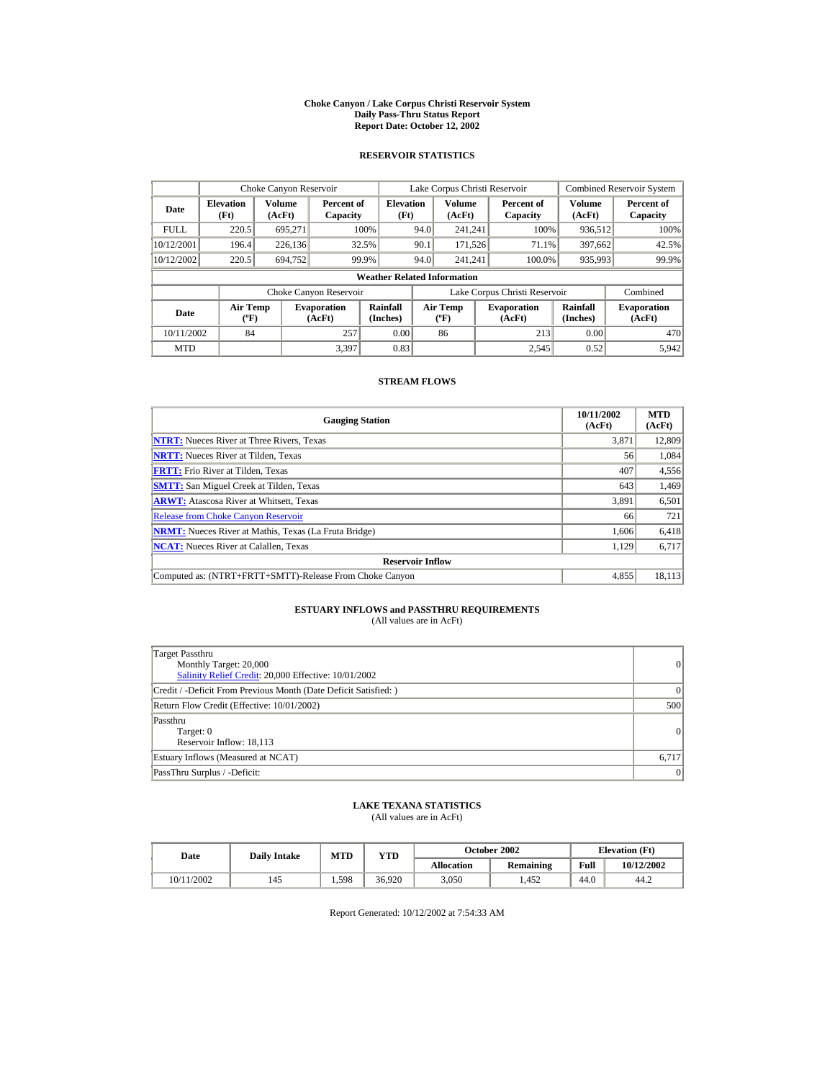#### **Choke Canyon / Lake Corpus Christi Reservoir System Daily Pass-Thru Status Report Report Date: October 12, 2002**

## **RESERVOIR STATISTICS**

|             | Choke Canyon Reservoir                      |                  |                              |                          |      | Lake Corpus Christi Reservoir    |  |                               |                      | <b>Combined Reservoir System</b> |  |  |
|-------------|---------------------------------------------|------------------|------------------------------|--------------------------|------|----------------------------------|--|-------------------------------|----------------------|----------------------------------|--|--|
| Date        | <b>Elevation</b><br>(Ft)                    | Volume<br>(AcFt) | Percent of<br>Capacity       | <b>Elevation</b><br>(Ft) |      | Volume<br>(AcFt)                 |  | Percent of<br>Capacity        | Volume<br>(AcFt)     | Percent of<br>Capacity           |  |  |
| <b>FULL</b> | 220.5                                       | 695.271          |                              | 100%                     | 94.0 | 241.241                          |  | 100%                          | 936,512              | 100%                             |  |  |
| 10/12/2001  | 196.4                                       | 226,136          |                              | 32.5%                    | 90.1 | 171.526                          |  | 71.1%                         | 397.662              | 42.5%                            |  |  |
| 10/12/2002  | 220.5                                       | 694.752          |                              | 99.9%                    | 94.0 | 241.241                          |  | 100.0%                        | 935,993              | 99.9%                            |  |  |
|             | <b>Weather Related Information</b>          |                  |                              |                          |      |                                  |  |                               |                      |                                  |  |  |
|             |                                             |                  | Choke Canyon Reservoir       |                          |      |                                  |  | Lake Corpus Christi Reservoir |                      | Combined                         |  |  |
| Date        | <b>Air Temp</b><br>$({}^{\circ}\mathrm{F})$ |                  | <b>Evaporation</b><br>(AcFt) | Rainfall<br>(Inches)     |      | <b>Air Temp</b><br>$(^{\circ}F)$ |  | <b>Evaporation</b><br>(AcFt)  | Rainfall<br>(Inches) | <b>Evaporation</b><br>(AcFt)     |  |  |
| 10/11/2002  | 84                                          |                  | 257                          | 0.00                     |      | 86                               |  | 213                           | 0.00                 | 470                              |  |  |
| <b>MTD</b>  |                                             |                  | 3.397                        | 0.83                     |      |                                  |  | 2.545                         | 0.52                 | 5,942                            |  |  |

## **STREAM FLOWS**

| <b>Gauging Station</b>                                       | 10/11/2002<br>(AcFt) | <b>MTD</b><br>(AcFt) |
|--------------------------------------------------------------|----------------------|----------------------|
| <b>NTRT:</b> Nueces River at Three Rivers, Texas             | 3.871                | 12,809               |
| <b>NRTT:</b> Nueces River at Tilden, Texas                   | 56                   | 1,084                |
| <b>FRTT:</b> Frio River at Tilden, Texas                     | 407                  | 4,556                |
| <b>SMTT:</b> San Miguel Creek at Tilden, Texas               | 643                  | 1,469                |
| <b>ARWT:</b> Atascosa River at Whitsett, Texas               | 3,891                | 6,501                |
| <b>Release from Choke Canyon Reservoir</b>                   | 66                   | 721                  |
| <b>NRMT:</b> Nueces River at Mathis, Texas (La Fruta Bridge) | 1.606                | 6,418                |
| <b>NCAT:</b> Nueces River at Calallen, Texas                 | 1,129                | 6,717                |
| <b>Reservoir Inflow</b>                                      |                      |                      |
| Computed as: (NTRT+FRTT+SMTT)-Release From Choke Canyon      | 4,855                | 18,113               |

# **ESTUARY INFLOWS and PASSTHRU REQUIREMENTS**<br>(All values are in AcFt)

| Target Passthru<br>Monthly Target: 20,000<br>Salinity Relief Credit: 20,000 Effective: 10/01/2002 | 0        |
|---------------------------------------------------------------------------------------------------|----------|
| Credit / -Deficit From Previous Month (Date Deficit Satisfied: )                                  | $\Omega$ |
| Return Flow Credit (Effective: 10/01/2002)                                                        | 500      |
| Passthru<br>Target: 0<br>Reservoir Inflow: 18,113                                                 | 0        |
| Estuary Inflows (Measured at NCAT)                                                                | 6,717    |
| PassThru Surplus / -Deficit:                                                                      | 0        |

## **LAKE TEXANA STATISTICS**

(All values are in AcFt)

| Date       | <b>Daily Intake</b> | MTD   | $_{\rm VTD}$ |            | October 2002 |      | <b>Elevation</b> (Ft) |
|------------|---------------------|-------|--------------|------------|--------------|------|-----------------------|
|            |                     |       |              | Allocation | Remaining    | Full | 10/12/2002            |
| 10/11/2002 | 145                 | 1.598 | 36.920       | 3.050      | .452         | 44.0 | 44.2                  |

Report Generated: 10/12/2002 at 7:54:33 AM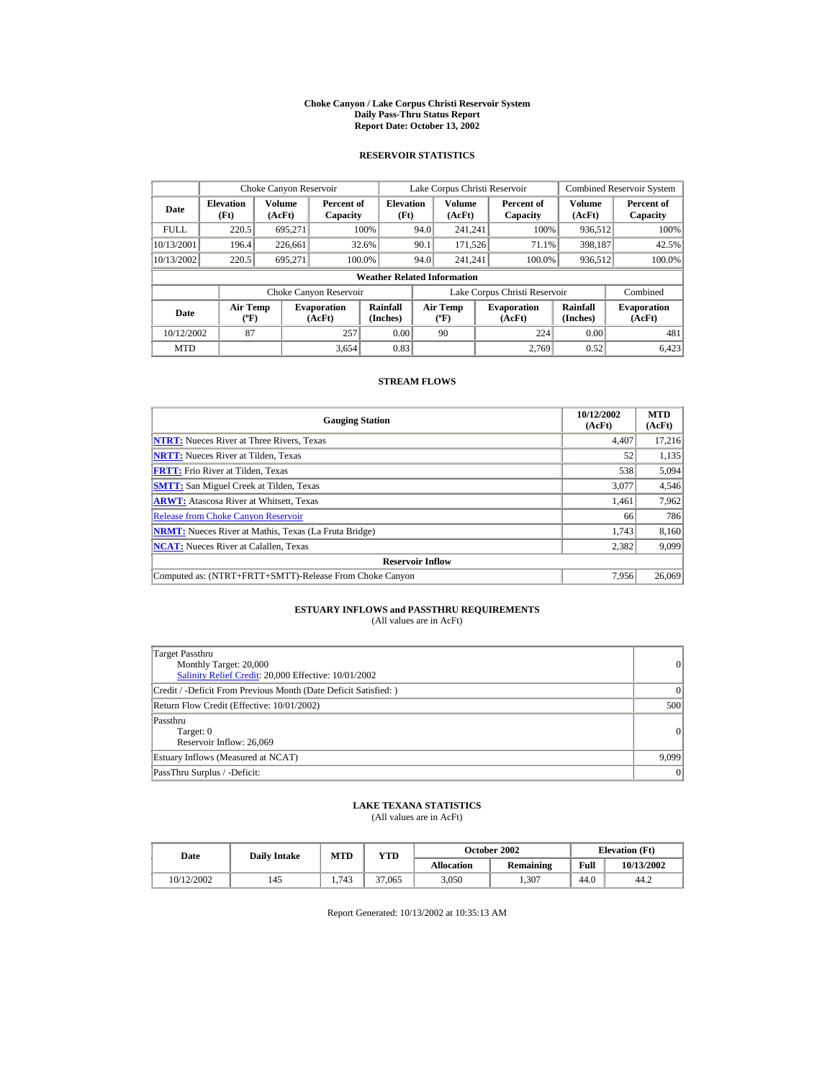#### **Choke Canyon / Lake Corpus Christi Reservoir System Daily Pass-Thru Status Report Report Date: October 13, 2002**

## **RESERVOIR STATISTICS**

|             | Choke Canyon Reservoir                      |                  |                              |                          | Lake Corpus Christi Reservoir |                                  |  |                               |                      | <b>Combined Reservoir System</b> |  |  |
|-------------|---------------------------------------------|------------------|------------------------------|--------------------------|-------------------------------|----------------------------------|--|-------------------------------|----------------------|----------------------------------|--|--|
| Date        | <b>Elevation</b><br>(Ft)                    | Volume<br>(AcFt) | Percent of<br>Capacity       | <b>Elevation</b><br>(Ft) |                               | Volume<br>(AcFt)                 |  | Percent of<br>Capacity        | Volume<br>(AcFt)     | Percent of<br>Capacity           |  |  |
| <b>FULL</b> | 220.5                                       | 695.271          |                              | 100%                     | 94.0                          | 241.241                          |  | 100%                          | 936,512              | 100%                             |  |  |
| 10/13/2001  | 196.4                                       | 226.661          |                              | 32.6%                    | 90.1                          | 171.526                          |  | 71.1%                         | 398.187              | 42.5%                            |  |  |
| 10/13/2002  | 220.5                                       | 695.271          |                              | 100.0%                   | 94.0                          | 241.241                          |  | 100.0%                        | 936,512              | 100.0%                           |  |  |
|             | <b>Weather Related Information</b>          |                  |                              |                          |                               |                                  |  |                               |                      |                                  |  |  |
|             |                                             |                  | Choke Canyon Reservoir       |                          |                               |                                  |  | Lake Corpus Christi Reservoir |                      | Combined                         |  |  |
| Date        | <b>Air Temp</b><br>$({}^{\circ}\mathrm{F})$ |                  | <b>Evaporation</b><br>(AcFt) | Rainfall<br>(Inches)     |                               | <b>Air Temp</b><br>$(^{\circ}F)$ |  | <b>Evaporation</b><br>(AcFt)  | Rainfall<br>(Inches) | <b>Evaporation</b><br>(AcFt)     |  |  |
| 10/12/2002  | 87                                          |                  | 257                          | 0.00                     |                               | 90                               |  | 224                           | 0.00                 | 481                              |  |  |
| <b>MTD</b>  |                                             |                  | 3,654                        | 0.83                     |                               |                                  |  | 2.769                         | 0.52                 | 6.423                            |  |  |

## **STREAM FLOWS**

| <b>Gauging Station</b>                                       | 10/12/2002<br>(AcFt) | <b>MTD</b><br>(AcFt) |
|--------------------------------------------------------------|----------------------|----------------------|
| <b>NTRT:</b> Nueces River at Three Rivers, Texas             | 4,407                | 17,216               |
| <b>NRTT:</b> Nueces River at Tilden, Texas                   | 52                   | 1,135                |
| <b>FRTT:</b> Frio River at Tilden, Texas                     | 538                  | 5,094                |
| <b>SMTT:</b> San Miguel Creek at Tilden, Texas               | 3,077                | 4,546                |
| <b>ARWT:</b> Atascosa River at Whitsett, Texas               | 1.461                | 7,962                |
| <b>Release from Choke Canyon Reservoir</b>                   | 66                   | 786                  |
| <b>NRMT:</b> Nueces River at Mathis, Texas (La Fruta Bridge) | 1.743                | 8,160                |
| <b>NCAT:</b> Nueces River at Calallen, Texas                 | 2,382                | 9,099                |
| <b>Reservoir Inflow</b>                                      |                      |                      |
| Computed as: (NTRT+FRTT+SMTT)-Release From Choke Canyon      | 7.956                | 26,069               |

# **ESTUARY INFLOWS and PASSTHRU REQUIREMENTS**<br>(All values are in AcFt)

| Target Passthru<br>Monthly Target: 20,000<br>Salinity Relief Credit: 20,000 Effective: 10/01/2002 | 0        |
|---------------------------------------------------------------------------------------------------|----------|
| Credit / -Deficit From Previous Month (Date Deficit Satisfied: )                                  | $\Omega$ |
| Return Flow Credit (Effective: 10/01/2002)                                                        | 500      |
| Passthru<br>Target: 0<br>Reservoir Inflow: 26,069                                                 | 0        |
| Estuary Inflows (Measured at NCAT)                                                                | 9,099    |
| PassThru Surplus / -Deficit:                                                                      | 0        |

## **LAKE TEXANA STATISTICS**

(All values are in AcFt)

| Date       | <b>Daily Intake</b> | MTD   | YTD    |                   | October 2002     | <b>Elevation</b> (Ft) |            |
|------------|---------------------|-------|--------|-------------------|------------------|-----------------------|------------|
|            |                     |       |        | <b>Allocation</b> | <b>Remaining</b> | Full                  | 10/13/2002 |
| 10/12/2002 | 145                 | 1.743 | 37,065 | 3.050             | .307             | 44.0                  | 44.2       |

Report Generated: 10/13/2002 at 10:35:13 AM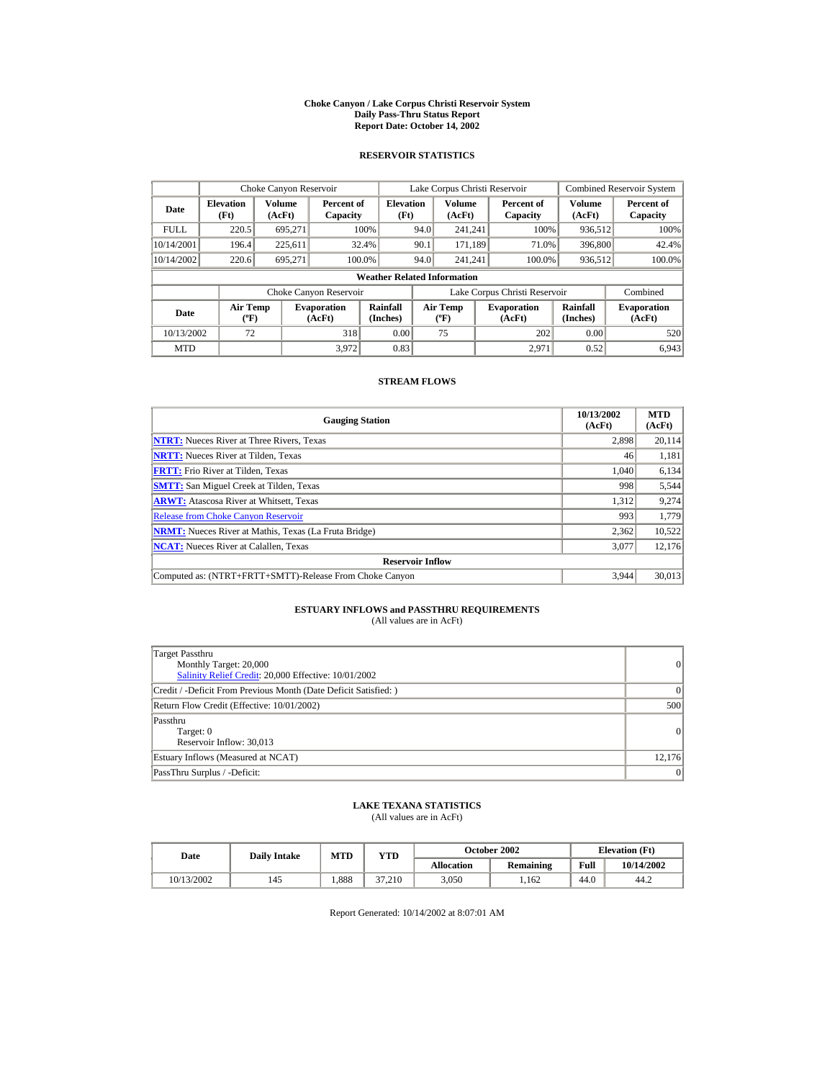#### **Choke Canyon / Lake Corpus Christi Reservoir System Daily Pass-Thru Status Report Report Date: October 14, 2002**

## **RESERVOIR STATISTICS**

|             | Choke Canyon Reservoir                      |                  |                              |                          | Lake Corpus Christi Reservoir |                                  |  |                               |                      | <b>Combined Reservoir System</b> |  |  |
|-------------|---------------------------------------------|------------------|------------------------------|--------------------------|-------------------------------|----------------------------------|--|-------------------------------|----------------------|----------------------------------|--|--|
| Date        | <b>Elevation</b><br>(Ft)                    | Volume<br>(AcFt) | Percent of<br>Capacity       | <b>Elevation</b><br>(Ft) |                               | Volume<br>(AcFt)                 |  | Percent of<br>Capacity        | Volume<br>(AcFt)     | Percent of<br>Capacity           |  |  |
| <b>FULL</b> | 220.5                                       | 695.271          |                              | 100%                     | 94.0                          | 241.241                          |  | 100%                          | 936,512              | 100%                             |  |  |
| 10/14/2001  | 196.4                                       | 225,611          |                              | 32.4%                    | 90.1                          | 171.189                          |  | 71.0%                         | 396,800              | 42.4%                            |  |  |
| 10/14/2002  | 220.6                                       | 695.271          | 100.0%                       |                          | 94.0                          | 241.241                          |  | 100.0%                        | 936,512              | 100.0%                           |  |  |
|             | <b>Weather Related Information</b>          |                  |                              |                          |                               |                                  |  |                               |                      |                                  |  |  |
|             |                                             |                  | Choke Canyon Reservoir       |                          |                               |                                  |  | Lake Corpus Christi Reservoir |                      | Combined                         |  |  |
| Date        | <b>Air Temp</b><br>$({}^{\circ}\mathrm{F})$ |                  | <b>Evaporation</b><br>(AcFt) | Rainfall<br>(Inches)     |                               | <b>Air Temp</b><br>$(^{\circ}F)$ |  | <b>Evaporation</b><br>(AcFt)  | Rainfall<br>(Inches) | <b>Evaporation</b><br>(AcFt)     |  |  |
| 10/13/2002  | 72                                          |                  | 318                          | 0.00                     |                               | 75                               |  | 202                           | 0.00                 | 520                              |  |  |
| <b>MTD</b>  |                                             |                  | 3.972                        | 0.83                     |                               |                                  |  | 2.971                         | 0.52                 | 6.943                            |  |  |

## **STREAM FLOWS**

| <b>Gauging Station</b>                                       | 10/13/2002<br>(AcFt) | <b>MTD</b><br>(AcFt) |
|--------------------------------------------------------------|----------------------|----------------------|
| <b>NTRT:</b> Nueces River at Three Rivers, Texas             | 2,898                | 20,114               |
| <b>NRTT:</b> Nueces River at Tilden, Texas                   | 46                   | 1,181                |
| <b>FRTT:</b> Frio River at Tilden, Texas                     | 1.040                | 6,134                |
| <b>SMTT:</b> San Miguel Creek at Tilden, Texas               | 998                  | 5,544                |
| <b>ARWT:</b> Atascosa River at Whitsett, Texas               | 1,312                | 9,274                |
| <b>Release from Choke Canyon Reservoir</b>                   | 993                  | 1.779                |
| <b>NRMT:</b> Nueces River at Mathis, Texas (La Fruta Bridge) | 2,362                | 10,522               |
| <b>NCAT:</b> Nueces River at Calallen, Texas                 | 3,077                | 12,176               |
| <b>Reservoir Inflow</b>                                      |                      |                      |
| Computed as: (NTRT+FRTT+SMTT)-Release From Choke Canyon      | 3.944                | 30,013               |

# **ESTUARY INFLOWS and PASSTHRU REQUIREMENTS**<br>(All values are in AcFt)

| Target Passthru<br>Monthly Target: 20,000<br>Salinity Relief Credit: 20,000 Effective: 10/01/2002 | $\overline{0}$ |
|---------------------------------------------------------------------------------------------------|----------------|
| Credit / -Deficit From Previous Month (Date Deficit Satisfied: )                                  | $\Omega$       |
| Return Flow Credit (Effective: 10/01/2002)                                                        | 500            |
| Passthru<br>Target: 0<br>Reservoir Inflow: 30,013                                                 | $\Omega$       |
| Estuary Inflows (Measured at NCAT)                                                                | 12,176         |
| PassThru Surplus / -Deficit:                                                                      | 0              |

## **LAKE TEXANA STATISTICS**

(All values are in AcFt)

| Date       | <b>Daily Intake</b> | MTD  | $_{\rm VTD}$ |            | October 2002 | <b>Elevation</b> (Ft) |            |
|------------|---------------------|------|--------------|------------|--------------|-----------------------|------------|
|            |                     |      |              | Allocation | Remaining    | Full                  | 10/14/2002 |
| 10/13/2002 | 145                 | .888 | 27<br>37.210 | 3.050      | .162         | 44.0                  | 44.2       |

Report Generated: 10/14/2002 at 8:07:01 AM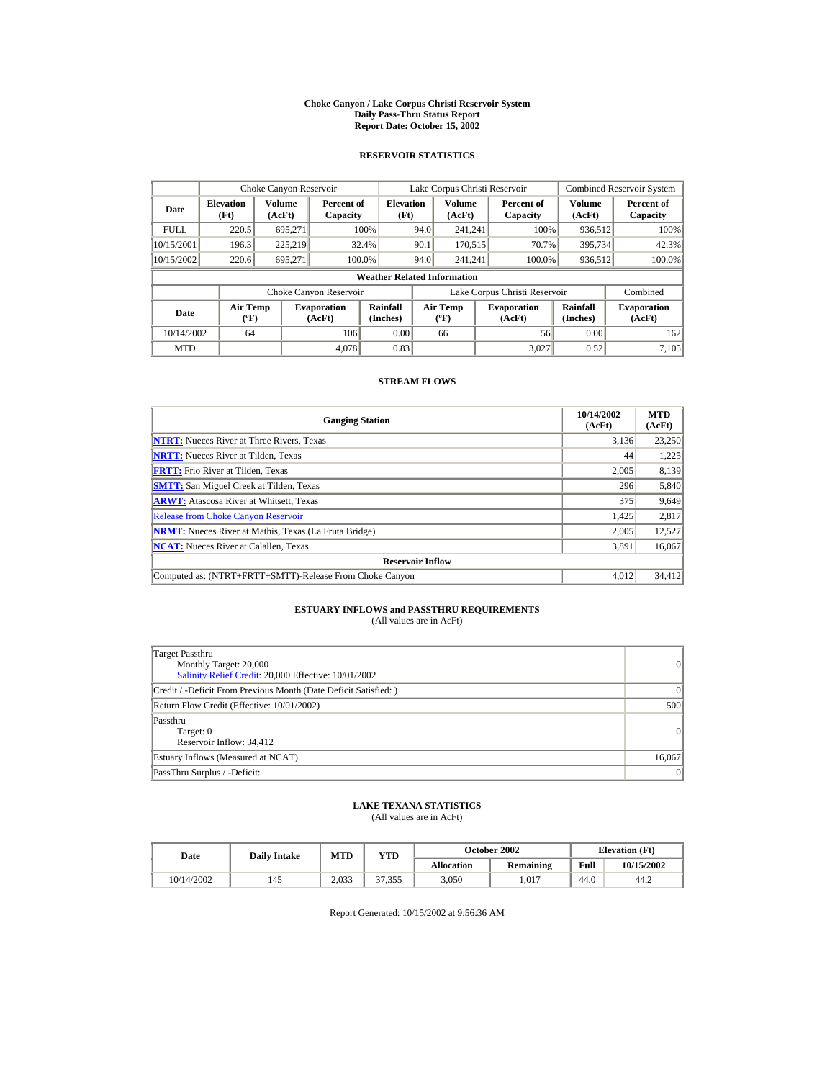#### **Choke Canyon / Lake Corpus Christi Reservoir System Daily Pass-Thru Status Report Report Date: October 15, 2002**

## **RESERVOIR STATISTICS**

|             | Choke Canyon Reservoir                      |                  |                              |                          | Lake Corpus Christi Reservoir |                                             |  |                               |                         | <b>Combined Reservoir System</b> |  |  |
|-------------|---------------------------------------------|------------------|------------------------------|--------------------------|-------------------------------|---------------------------------------------|--|-------------------------------|-------------------------|----------------------------------|--|--|
| Date        | <b>Elevation</b><br>(Ft)                    | Volume<br>(AcFt) | Percent of<br>Capacity       | <b>Elevation</b><br>(Ft) |                               | Volume<br>(AcFt)                            |  | Percent of<br>Capacity        | <b>Volume</b><br>(AcFt) | Percent of<br>Capacity           |  |  |
| <b>FULL</b> | 220.5                                       | 695,271          |                              | 100%                     | 94.0                          | 241.241                                     |  | 100%                          | 936,512                 | 100%                             |  |  |
| 10/15/2001  | 196.3                                       | 225.219          |                              | 32.4%                    | 90.1                          | 170.515                                     |  | 70.7%                         | 395,734                 | 42.3%                            |  |  |
| 10/15/2002  | 220.6                                       | 695.271          |                              | 100.0%                   | 94.0                          | 241.241                                     |  | 100.0%                        | 936,512                 | 100.0%                           |  |  |
|             | <b>Weather Related Information</b>          |                  |                              |                          |                               |                                             |  |                               |                         |                                  |  |  |
|             |                                             |                  | Choke Canyon Reservoir       |                          |                               |                                             |  | Lake Corpus Christi Reservoir |                         | Combined                         |  |  |
| Date        | <b>Air Temp</b><br>$({}^{\circ}\mathrm{F})$ |                  | <b>Evaporation</b><br>(AcFt) | Rainfall<br>(Inches)     |                               | <b>Air Temp</b><br>$({}^{\circ}\mathbf{F})$ |  | <b>Evaporation</b><br>(AcFt)  | Rainfall<br>(Inches)    | <b>Evaporation</b><br>(AcFt)     |  |  |
| 10/14/2002  | 64                                          |                  | 106                          | 0.00                     |                               | 66                                          |  | 56                            | 0.00                    | 162                              |  |  |
| <b>MTD</b>  |                                             |                  | 4.078                        | 0.83                     |                               |                                             |  | 3.027                         | 0.52                    | 7,105                            |  |  |

## **STREAM FLOWS**

| <b>Gauging Station</b>                                       | 10/14/2002<br>(AcFt) | <b>MTD</b><br>(AcFt) |
|--------------------------------------------------------------|----------------------|----------------------|
| <b>NTRT:</b> Nueces River at Three Rivers, Texas             | 3,136                | 23,250               |
| <b>NRTT:</b> Nueces River at Tilden, Texas                   | 44                   | 1,225                |
| <b>FRTT:</b> Frio River at Tilden, Texas                     | 2,005                | 8,139                |
| <b>SMTT:</b> San Miguel Creek at Tilden, Texas               | 296                  | 5,840                |
| <b>ARWT:</b> Atascosa River at Whitsett, Texas               | 375                  | 9,649                |
| <b>Release from Choke Canyon Reservoir</b>                   | 1,425                | 2,817                |
| <b>NRMT:</b> Nueces River at Mathis, Texas (La Fruta Bridge) | 2,005                | 12,527               |
| <b>NCAT:</b> Nueces River at Calallen, Texas                 | 3,891                | 16,067               |
| <b>Reservoir Inflow</b>                                      |                      |                      |
| Computed as: (NTRT+FRTT+SMTT)-Release From Choke Canyon      | 4.012                | 34,412               |

# **ESTUARY INFLOWS and PASSTHRU REQUIREMENTS**<br>(All values are in AcFt)

| Target Passthru<br>Monthly Target: 20,000<br>Salinity Relief Credit: 20,000 Effective: 10/01/2002 | 0               |
|---------------------------------------------------------------------------------------------------|-----------------|
| Credit / -Deficit From Previous Month (Date Deficit Satisfied: )                                  | $\vert$ 0       |
| Return Flow Credit (Effective: 10/01/2002)                                                        | 500             |
| Passthru<br>Target: 0<br>Reservoir Inflow: 34.412                                                 | 0               |
| Estuary Inflows (Measured at NCAT)                                                                | 16,067          |
| PassThru Surplus / -Deficit:                                                                      | $\vert 0 \vert$ |

## **LAKE TEXANA STATISTICS**

(All values are in AcFt)

| Date       | <b>Daily Intake</b> | MTD   | VTD    | October 2002 |           | <b>Elevation</b> (Ft) |            |
|------------|---------------------|-------|--------|--------------|-----------|-----------------------|------------|
|            |                     |       |        | Allocation   | Remaining | Full                  | 10/15/2002 |
| 10/14/2002 | 145                 | 2.033 | 37.355 | 3.050        | .017      | 44.0                  | 44.2       |

Report Generated: 10/15/2002 at 9:56:36 AM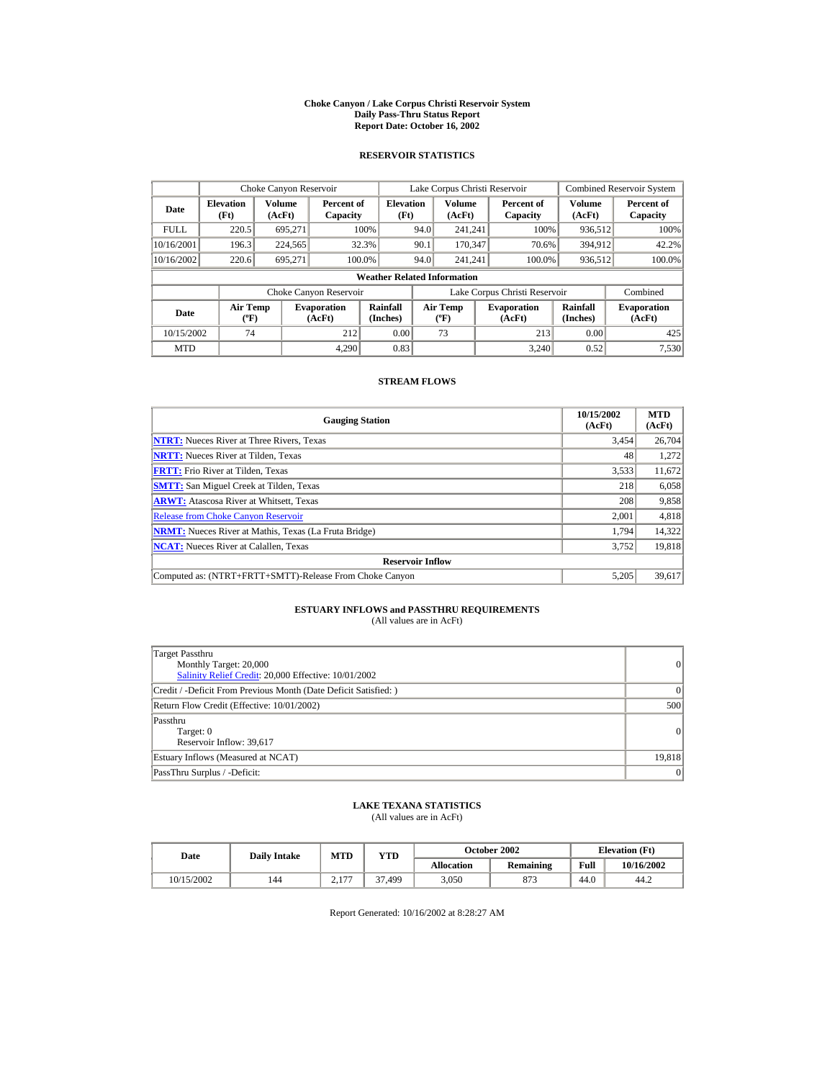#### **Choke Canyon / Lake Corpus Christi Reservoir System Daily Pass-Thru Status Report Report Date: October 16, 2002**

## **RESERVOIR STATISTICS**

|             | Choke Canyon Reservoir                      |                  |                              |                          | Lake Corpus Christi Reservoir |                                             |  |                               |                      | <b>Combined Reservoir System</b> |  |  |
|-------------|---------------------------------------------|------------------|------------------------------|--------------------------|-------------------------------|---------------------------------------------|--|-------------------------------|----------------------|----------------------------------|--|--|
| Date        | <b>Elevation</b><br>(Ft)                    | Volume<br>(AcFt) | Percent of<br>Capacity       | <b>Elevation</b><br>(Ft) |                               | Volume<br>(AcFt)                            |  | Percent of<br>Capacity        | Volume<br>(AcFt)     | Percent of<br>Capacity           |  |  |
| <b>FULL</b> | 220.5                                       | 695.271          |                              | 100%                     | 94.0                          | 241.241                                     |  | 100%                          | 936,512              | 100%                             |  |  |
| 10/16/2001  | 196.3                                       | 224,565          |                              | 32.3%                    | 90.1                          | 170.347                                     |  | 70.6%                         | 394,912              | 42.2%                            |  |  |
| 10/16/2002  | 220.6                                       | 695.271          |                              | 100.0%                   | 94.0                          | 241.241                                     |  | 100.0%                        | 936,512              | 100.0%                           |  |  |
|             | <b>Weather Related Information</b>          |                  |                              |                          |                               |                                             |  |                               |                      |                                  |  |  |
|             |                                             |                  | Choke Canyon Reservoir       |                          |                               |                                             |  | Lake Corpus Christi Reservoir |                      | Combined                         |  |  |
| Date        | <b>Air Temp</b><br>$({}^{\circ}\mathrm{F})$ |                  | <b>Evaporation</b><br>(AcFt) | Rainfall<br>(Inches)     |                               | <b>Air Temp</b><br>$({}^{\circ}\mathbf{F})$ |  | <b>Evaporation</b><br>(AcFt)  | Rainfall<br>(Inches) | <b>Evaporation</b><br>(AcFt)     |  |  |
| 10/15/2002  | 74                                          |                  | 212                          | 0.00                     |                               | 73                                          |  | 213                           | 0.00                 | 425                              |  |  |
| <b>MTD</b>  |                                             |                  | 4.290                        | 0.83                     |                               |                                             |  | 3.240                         | 0.52                 | 7,530                            |  |  |

## **STREAM FLOWS**

| <b>Gauging Station</b>                                       | 10/15/2002<br>(AcFt) | <b>MTD</b><br>(AcFt) |
|--------------------------------------------------------------|----------------------|----------------------|
| <b>NTRT:</b> Nueces River at Three Rivers, Texas             | 3,454                | 26,704               |
| <b>NRTT:</b> Nueces River at Tilden, Texas                   | 48                   | 1,272                |
| <b>FRTT:</b> Frio River at Tilden, Texas                     | 3,533                | 11,672               |
| <b>SMTT:</b> San Miguel Creek at Tilden, Texas               | 218                  | 6,058                |
| <b>ARWT:</b> Atascosa River at Whitsett, Texas               | 208                  | 9,858                |
| <b>Release from Choke Canyon Reservoir</b>                   | 2.001                | 4,818                |
| <b>NRMT:</b> Nueces River at Mathis, Texas (La Fruta Bridge) | 1.794                | 14,322               |
| <b>NCAT:</b> Nueces River at Calallen, Texas                 | 3,752                | 19,818               |
| <b>Reservoir Inflow</b>                                      |                      |                      |
| Computed as: (NTRT+FRTT+SMTT)-Release From Choke Canyon      | 5.205                | 39,617               |

# **ESTUARY INFLOWS and PASSTHRU REQUIREMENTS**<br>(All values are in AcFt)

| Target Passthru<br>Monthly Target: 20,000<br>Salinity Relief Credit: 20,000 Effective: 10/01/2002 | 0               |
|---------------------------------------------------------------------------------------------------|-----------------|
| Credit / -Deficit From Previous Month (Date Deficit Satisfied: )                                  | $\vert$ 0       |
| Return Flow Credit (Effective: 10/01/2002)                                                        | 500             |
| Passthru<br>Target: 0<br>Reservoir Inflow: 39,617                                                 | 0               |
| Estuary Inflows (Measured at NCAT)                                                                | 19,818          |
| PassThru Surplus / -Deficit:                                                                      | $\vert 0 \vert$ |

## **LAKE TEXANA STATISTICS**

(All values are in AcFt)

| Date       | <b>Daily Intake</b> | MTD             | $_{\rm VTD}$ |            | October 2002 | <b>Elevation</b> (Ft) |            |
|------------|---------------------|-----------------|--------------|------------|--------------|-----------------------|------------|
|            |                     |                 |              | Allocation | Remaining    | Full                  | 10/16/2002 |
| 10/15/2002 | 144                 | 177<br>$\sim$ 1 | 37.499       | 3.050      | 873          | 44.0                  | 44.2       |

Report Generated: 10/16/2002 at 8:28:27 AM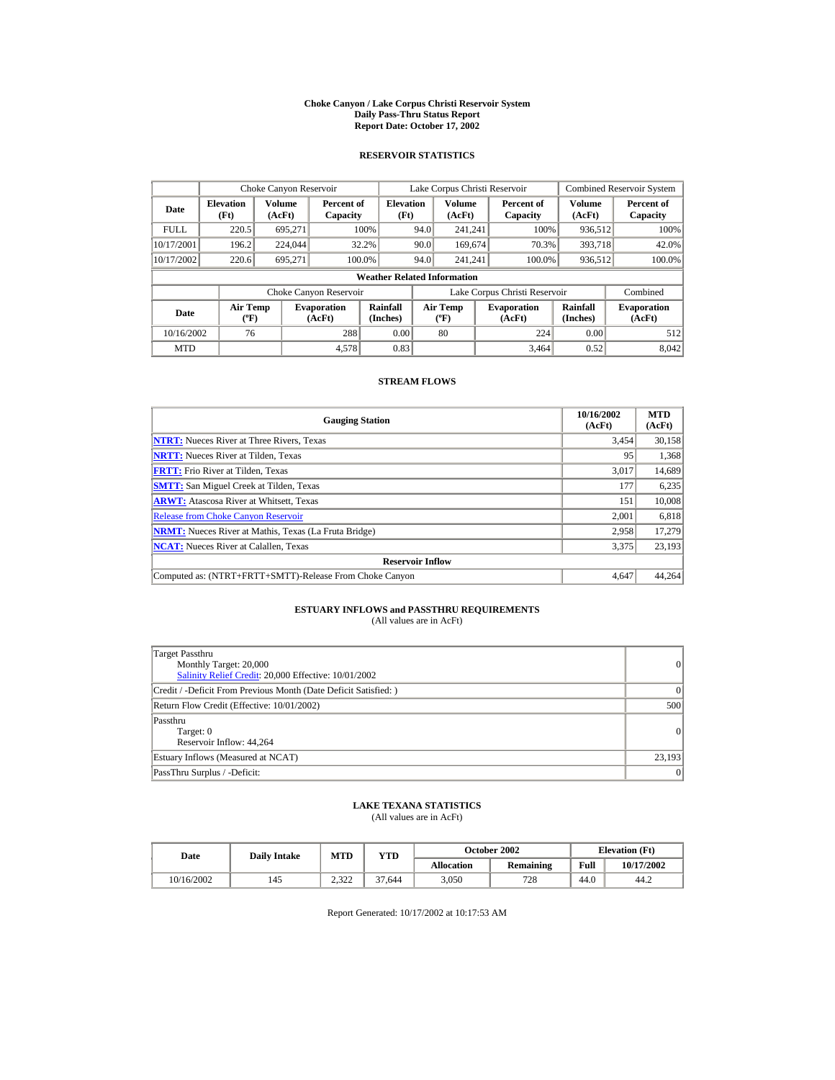#### **Choke Canyon / Lake Corpus Christi Reservoir System Daily Pass-Thru Status Report Report Date: October 17, 2002**

## **RESERVOIR STATISTICS**

|             | Choke Canyon Reservoir                      |                  |                              |                          | Lake Corpus Christi Reservoir |                                          |  |                               |                      | <b>Combined Reservoir System</b> |  |  |
|-------------|---------------------------------------------|------------------|------------------------------|--------------------------|-------------------------------|------------------------------------------|--|-------------------------------|----------------------|----------------------------------|--|--|
| Date        | <b>Elevation</b><br>(Ft)                    | Volume<br>(AcFt) | Percent of<br>Capacity       | <b>Elevation</b><br>(Ft) |                               | <b>Volume</b><br>(AcFt)                  |  | Percent of<br>Capacity        | Volume<br>(AcFt)     | Percent of<br>Capacity           |  |  |
| <b>FULL</b> | 220.5                                       | 695.271          |                              | 100%                     | 94.0                          | 241.241                                  |  | 100%                          | 936,512              | 100%                             |  |  |
| 10/17/2001  | 196.2                                       | 224,044          |                              | 32.2%                    | 90.0                          | 169,674                                  |  | 70.3%                         | 393,718              | 42.0%                            |  |  |
| 10/17/2002  | 220.6                                       | 695,271          | 100.0%                       |                          | 94.0                          | 241.241                                  |  | 100.0%                        | 936,512              | 100.0%                           |  |  |
|             | <b>Weather Related Information</b>          |                  |                              |                          |                               |                                          |  |                               |                      |                                  |  |  |
|             |                                             |                  | Choke Canyon Reservoir       |                          |                               |                                          |  | Lake Corpus Christi Reservoir |                      | Combined                         |  |  |
| Date        | <b>Air Temp</b><br>$({}^{\circ}\mathrm{F})$ |                  | <b>Evaporation</b><br>(AcFt) | Rainfall<br>(Inches)     |                               | <b>Air Temp</b><br>$({}^{\circ}{\rm F})$ |  | <b>Evaporation</b><br>(AcFt)  | Rainfall<br>(Inches) | <b>Evaporation</b><br>(AcFt)     |  |  |
| 10/16/2002  | 76                                          |                  | 288                          | 0.00                     |                               | 80                                       |  | 224                           | 0.00                 | 512                              |  |  |
| <b>MTD</b>  |                                             |                  | 4.578                        | 0.83                     |                               |                                          |  | 3.464                         | 0.52                 | 8.042                            |  |  |

## **STREAM FLOWS**

| <b>Gauging Station</b>                                       | 10/16/2002<br>(AcFt) | <b>MTD</b><br>(AcFt) |
|--------------------------------------------------------------|----------------------|----------------------|
| <b>NTRT:</b> Nueces River at Three Rivers, Texas             | 3,454                | 30,158               |
| <b>NRTT:</b> Nueces River at Tilden, Texas                   | 95                   | 1,368                |
| <b>FRTT:</b> Frio River at Tilden, Texas                     | 3,017                | 14,689               |
| <b>SMTT:</b> San Miguel Creek at Tilden, Texas               | 177                  | 6,235                |
| <b>ARWT:</b> Atascosa River at Whitsett, Texas               | 151                  | 10,008               |
| <b>Release from Choke Canvon Reservoir</b>                   | 2.001                | 6,818                |
| <b>NRMT:</b> Nueces River at Mathis, Texas (La Fruta Bridge) | 2,958                | 17.279               |
| <b>NCAT:</b> Nueces River at Calallen, Texas                 | 3,375                | 23,193               |
| <b>Reservoir Inflow</b>                                      |                      |                      |
| Computed as: (NTRT+FRTT+SMTT)-Release From Choke Canyon      | 4.647                | 44.264               |

## **ESTUARY INFLOWS and PASSTHRU REQUIREMENTS**<br>(All values are in AcFt)

| Target Passthru<br>Monthly Target: 20,000<br>Salinity Relief Credit: 20,000 Effective: 10/01/2002 | 0               |
|---------------------------------------------------------------------------------------------------|-----------------|
| Credit / -Deficit From Previous Month (Date Deficit Satisfied: )                                  | $\vert$ 0       |
| Return Flow Credit (Effective: 10/01/2002)                                                        | 500             |
| Passthru<br>Target: 0<br>Reservoir Inflow: 44.264                                                 | 0               |
| Estuary Inflows (Measured at NCAT)                                                                | 23,193          |
| PassThru Surplus / -Deficit:                                                                      | $\vert 0 \vert$ |

## **LAKE TEXANA STATISTICS**

(All values are in AcFt)

| Date       | <b>Daily Intake</b> | <b>MTD</b>         | YTD    |                   | October 2002 | <b>Elevation</b> (Ft) |            |
|------------|---------------------|--------------------|--------|-------------------|--------------|-----------------------|------------|
|            |                     |                    |        | <b>Allocation</b> | Remaining    | Full                  | 10/17/2002 |
| 10/16/2002 | 145                 | າ 200<br>ے کے قدمت | 37.644 | 3.050             | 728          | 44.0                  | 44.2       |

Report Generated: 10/17/2002 at 10:17:53 AM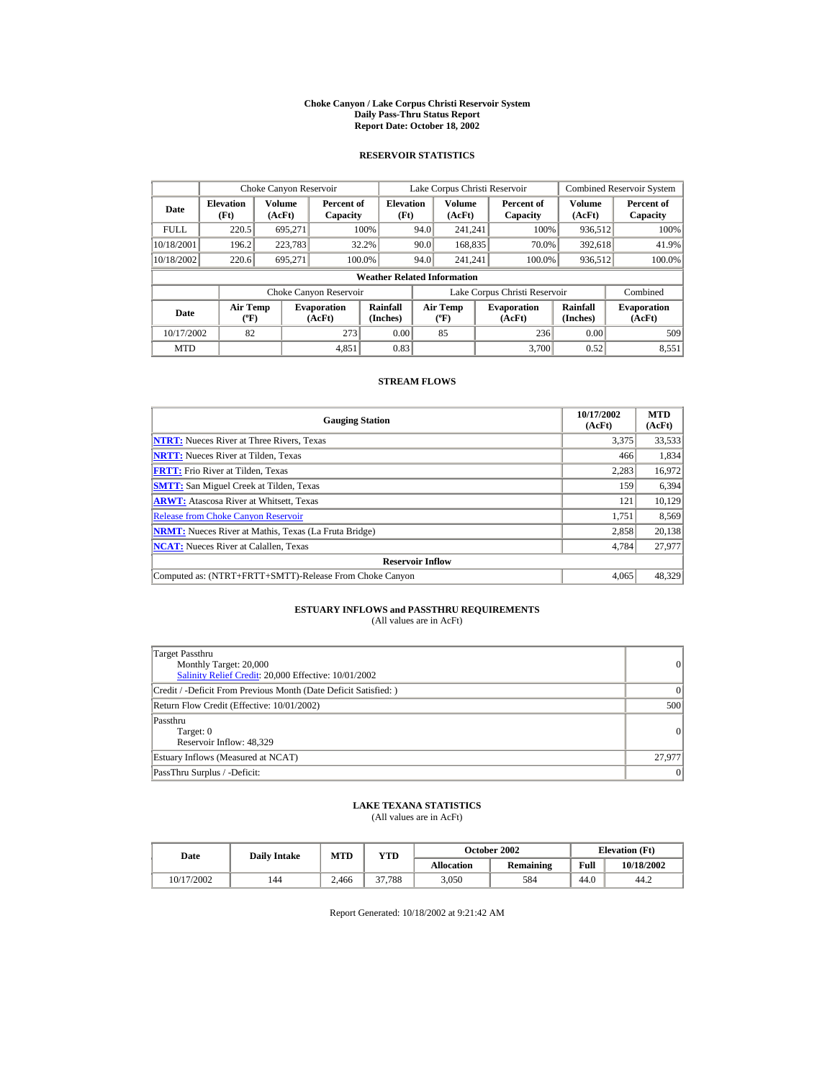#### **Choke Canyon / Lake Corpus Christi Reservoir System Daily Pass-Thru Status Report Report Date: October 18, 2002**

## **RESERVOIR STATISTICS**

|             | Choke Canyon Reservoir                      |                  |                              |                          | Lake Corpus Christi Reservoir             |                  |  |                               |                      | <b>Combined Reservoir System</b> |  |  |
|-------------|---------------------------------------------|------------------|------------------------------|--------------------------|-------------------------------------------|------------------|--|-------------------------------|----------------------|----------------------------------|--|--|
| Date        | <b>Elevation</b><br>(Ft)                    | Volume<br>(AcFt) | Percent of<br>Capacity       | <b>Elevation</b><br>(Ft) |                                           | Volume<br>(AcFt) |  | Percent of<br>Capacity        | Volume<br>(AcFt)     | Percent of<br>Capacity           |  |  |
| <b>FULL</b> | 220.5                                       | 695.271          |                              | 100%                     | 94.0                                      | 241.241          |  | 100%                          | 936,512              | 100%                             |  |  |
| 10/18/2001  | 196.2                                       | 223,783          |                              | 32.2%                    | 90.0                                      | 168,835          |  | 70.0%                         | 392,618              | 41.9%                            |  |  |
| 10/18/2002  | 220.6                                       | 695.271          | 100.0%                       |                          | 94.0                                      | 241.241          |  | 100.0%                        | 936,512              | 100.0%                           |  |  |
|             | <b>Weather Related Information</b>          |                  |                              |                          |                                           |                  |  |                               |                      |                                  |  |  |
|             |                                             |                  | Choke Canyon Reservoir       |                          |                                           |                  |  | Lake Corpus Christi Reservoir |                      | Combined                         |  |  |
| Date        | <b>Air Temp</b><br>$({}^{\circ}\mathrm{F})$ |                  | <b>Evaporation</b><br>(AcFt) | Rainfall<br>(Inches)     | <b>Air Temp</b><br>$({}^{\circ}\text{F})$ |                  |  | <b>Evaporation</b><br>(AcFt)  | Rainfall<br>(Inches) | <b>Evaporation</b><br>(AcFt)     |  |  |
| 10/17/2002  | 82                                          |                  | 273                          | 0.00                     |                                           | 85               |  | 236                           | 0.00                 | 509                              |  |  |
| <b>MTD</b>  |                                             |                  | 4,851                        | 0.83                     |                                           |                  |  | 3.700                         | 0.52                 | 8,551                            |  |  |

## **STREAM FLOWS**

| <b>Gauging Station</b>                                       | 10/17/2002<br>(AcFt) | <b>MTD</b><br>(AcFt) |
|--------------------------------------------------------------|----------------------|----------------------|
| <b>NTRT:</b> Nueces River at Three Rivers, Texas             | 3,375                | 33,533               |
| <b>NRTT:</b> Nueces River at Tilden, Texas                   | 466                  | 1,834                |
| <b>FRTT:</b> Frio River at Tilden, Texas                     | 2,283                | 16,972               |
| <b>SMTT:</b> San Miguel Creek at Tilden, Texas               | 159                  | 6,394                |
| <b>ARWT:</b> Atascosa River at Whitsett, Texas               | 121                  | 10,129               |
| <b>Release from Choke Canyon Reservoir</b>                   | 1.751                | 8,569                |
| <b>NRMT:</b> Nueces River at Mathis, Texas (La Fruta Bridge) | 2.858                | 20.138               |
| <b>NCAT:</b> Nueces River at Calallen, Texas                 | 4,784                | 27,977               |
| <b>Reservoir Inflow</b>                                      |                      |                      |
| Computed as: (NTRT+FRTT+SMTT)-Release From Choke Canyon      | 4.065                | 48,329               |

# **ESTUARY INFLOWS and PASSTHRU REQUIREMENTS**<br>(All values are in AcFt)

| Target Passthru<br>Monthly Target: 20,000<br>Salinity Relief Credit: 20,000 Effective: 10/01/2002 | 0        |
|---------------------------------------------------------------------------------------------------|----------|
| Credit / -Deficit From Previous Month (Date Deficit Satisfied: )                                  | $\Omega$ |
| Return Flow Credit (Effective: 10/01/2002)                                                        | 500      |
| Passthru<br>Target: 0<br>Reservoir Inflow: 48,329                                                 | 0        |
| Estuary Inflows (Measured at NCAT)                                                                | 27,977   |
| PassThru Surplus / -Deficit:                                                                      | 0        |

## **LAKE TEXANA STATISTICS**

(All values are in AcFt)

| Date       | <b>Daily Intake</b> | <b>MTD</b> | YTD    |                   | October 2002 | <b>Elevation</b> (Ft) |            |
|------------|---------------------|------------|--------|-------------------|--------------|-----------------------|------------|
|            |                     |            |        | <b>Allocation</b> | Remaining    | Full                  | 10/18/2002 |
| 10/17/2002 | 144                 | 2.466      | 37.788 | 3.050             | 584          | 44.0                  | 44.2       |

Report Generated: 10/18/2002 at 9:21:42 AM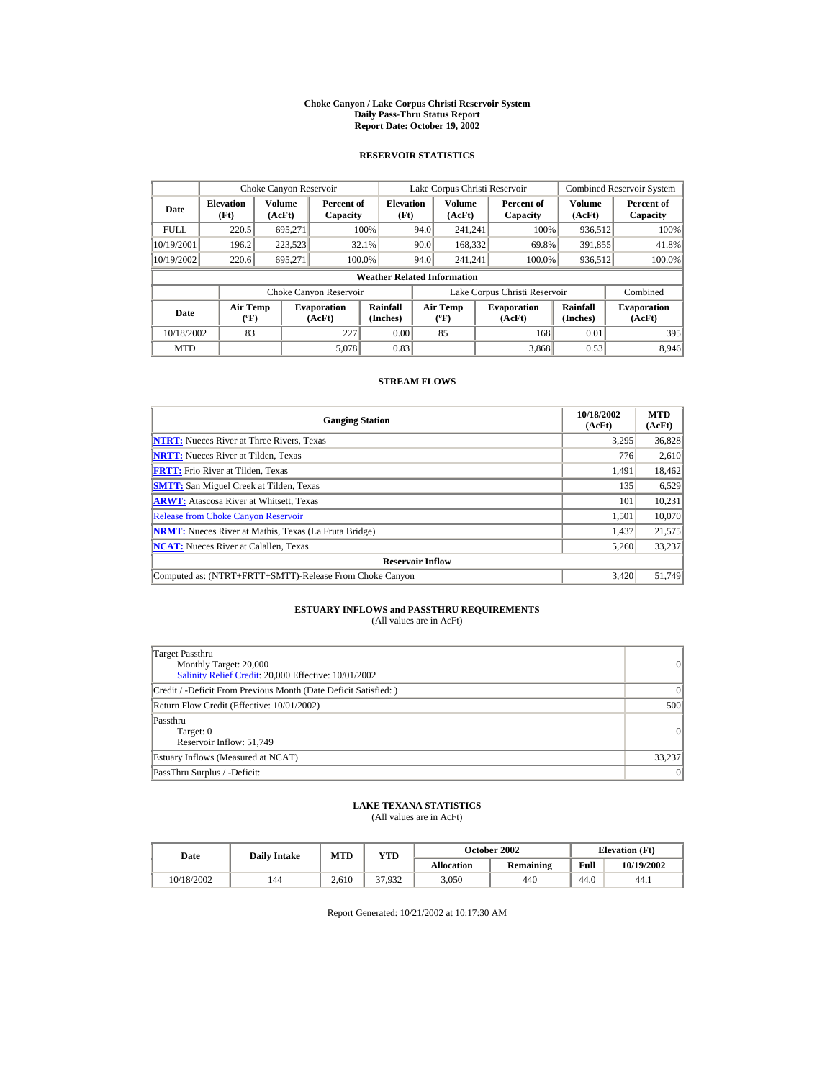#### **Choke Canyon / Lake Corpus Christi Reservoir System Daily Pass-Thru Status Report Report Date: October 19, 2002**

## **RESERVOIR STATISTICS**

|             | Choke Canyon Reservoir                      |                  |                              |                          | Lake Corpus Christi Reservoir |                                           |  |                               |                      | <b>Combined Reservoir System</b> |  |  |
|-------------|---------------------------------------------|------------------|------------------------------|--------------------------|-------------------------------|-------------------------------------------|--|-------------------------------|----------------------|----------------------------------|--|--|
| Date        | <b>Elevation</b><br>(Ft)                    | Volume<br>(AcFt) | Percent of<br>Capacity       | <b>Elevation</b><br>(Ft) |                               | Volume<br>(AcFt)                          |  | Percent of<br>Capacity        | Volume<br>(AcFt)     | Percent of<br>Capacity           |  |  |
| <b>FULL</b> | 220.5                                       | 695.271          |                              | 100%                     | 94.0                          | 241.241                                   |  | 100%                          | 936,512              | 100%                             |  |  |
| 10/19/2001  | 196.2                                       | 223,523          |                              | 32.1%                    | 90.0                          | 168,332                                   |  | 69.8%                         | 391,855              | 41.8%                            |  |  |
| 10/19/2002  | 220.6                                       | 695.271          | 100.0%                       |                          | 94.0                          | 241.241                                   |  | 100.0%                        | 936,512              | 100.0%                           |  |  |
|             | <b>Weather Related Information</b>          |                  |                              |                          |                               |                                           |  |                               |                      |                                  |  |  |
|             |                                             |                  | Choke Canyon Reservoir       |                          |                               |                                           |  | Lake Corpus Christi Reservoir |                      | Combined                         |  |  |
| Date        | <b>Air Temp</b><br>$({}^{\circ}\mathrm{F})$ |                  | <b>Evaporation</b><br>(AcFt) | Rainfall<br>(Inches)     |                               | <b>Air Temp</b><br>$({}^{\circ}\text{F})$ |  | <b>Evaporation</b><br>(AcFt)  | Rainfall<br>(Inches) | <b>Evaporation</b><br>(AcFt)     |  |  |
| 10/18/2002  | 83                                          |                  | 227                          | 0.00                     |                               | 85                                        |  | 168                           | 0.01                 | 395                              |  |  |
| <b>MTD</b>  |                                             |                  | 5.078                        | 0.83                     |                               |                                           |  | 3.868                         | 0.53                 | 8.946                            |  |  |

## **STREAM FLOWS**

| <b>Gauging Station</b>                                       | 10/18/2002<br>(AcFt) | <b>MTD</b><br>(AcFt) |
|--------------------------------------------------------------|----------------------|----------------------|
| <b>NTRT:</b> Nueces River at Three Rivers, Texas             | 3,295                | 36,828               |
| <b>NRTT:</b> Nueces River at Tilden, Texas                   | 776                  | 2,610                |
| <b>FRTT:</b> Frio River at Tilden, Texas                     | 1,491                | 18,462               |
| <b>SMTT:</b> San Miguel Creek at Tilden, Texas               | 135                  | 6,529                |
| <b>ARWT:</b> Atascosa River at Whitsett, Texas               | 101                  | 10,231               |
| <b>Release from Choke Canyon Reservoir</b>                   | 1.501                | 10,070               |
| <b>NRMT:</b> Nueces River at Mathis, Texas (La Fruta Bridge) | 1,437                | 21,575               |
| <b>NCAT:</b> Nueces River at Calallen, Texas                 | 5,260                | 33,237               |
| <b>Reservoir Inflow</b>                                      |                      |                      |
| Computed as: (NTRT+FRTT+SMTT)-Release From Choke Canyon      | 3.420                | 51,749               |

## **ESTUARY INFLOWS and PASSTHRU REQUIREMENTS**<br>(All values are in AcFt)

| Target Passthru<br>Monthly Target: 20,000<br>Salinity Relief Credit: 20,000 Effective: 10/01/2002 | 0               |
|---------------------------------------------------------------------------------------------------|-----------------|
| Credit / -Deficit From Previous Month (Date Deficit Satisfied: )                                  | $\vert$ 0       |
| Return Flow Credit (Effective: 10/01/2002)                                                        | 500             |
| Passthru<br>Target: 0<br>Reservoir Inflow: 51.749                                                 | 0               |
| Estuary Inflows (Measured at NCAT)                                                                | 33,237          |
| PassThru Surplus / -Deficit:                                                                      | $\vert 0 \vert$ |

## **LAKE TEXANA STATISTICS**

(All values are in AcFt)

| Date       | <b>Daily Intake</b> | <b>MTD</b> | YTD    |                   | <b>October 2002</b> | <b>Elevation</b> (Ft) |            |
|------------|---------------------|------------|--------|-------------------|---------------------|-----------------------|------------|
|            |                     |            |        | <b>Allocation</b> | Remaining           | Full                  | 10/19/2002 |
| 10/18/2002 | 144                 | 2.610      | 37.932 | 3.050             | 440                 | 44.0                  | 44.1       |

Report Generated: 10/21/2002 at 10:17:30 AM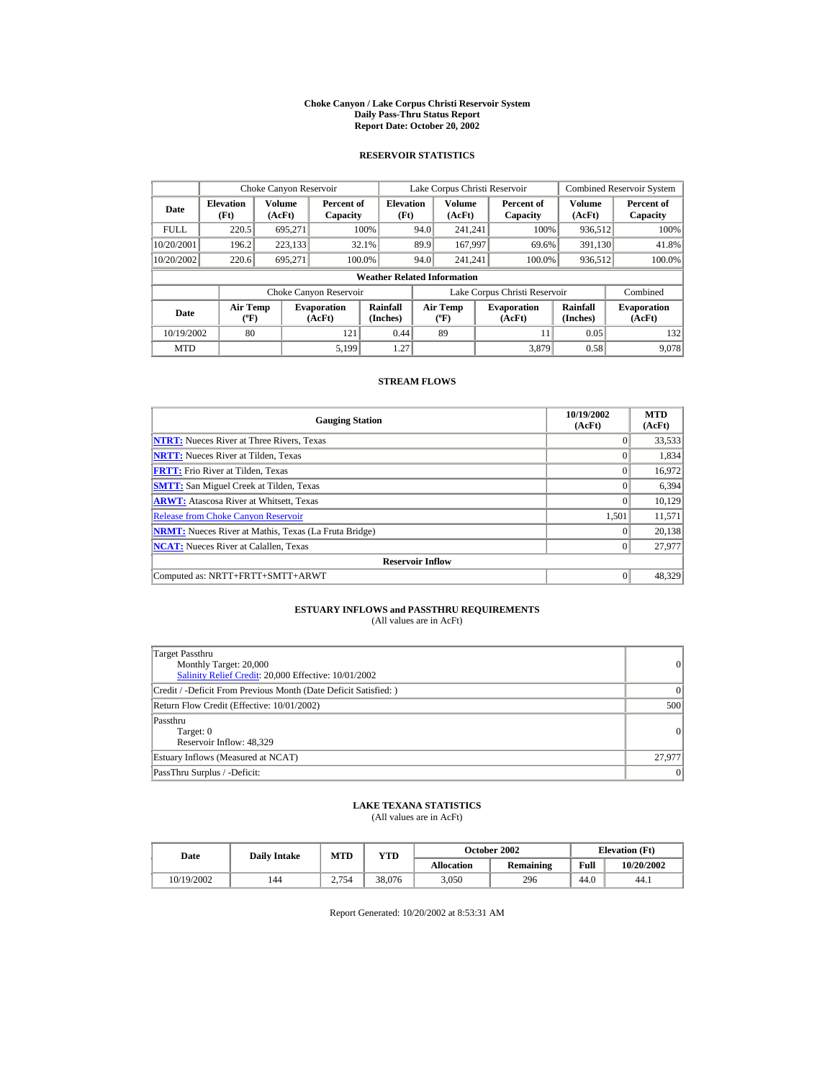#### **Choke Canyon / Lake Corpus Christi Reservoir System Daily Pass-Thru Status Report Report Date: October 20, 2002**

## **RESERVOIR STATISTICS**

|             | Choke Canyon Reservoir                      |                  |                              |                          | Lake Corpus Christi Reservoir |                                           |  |                               |                      | <b>Combined Reservoir System</b> |  |  |
|-------------|---------------------------------------------|------------------|------------------------------|--------------------------|-------------------------------|-------------------------------------------|--|-------------------------------|----------------------|----------------------------------|--|--|
| Date        | <b>Elevation</b><br>(Ft)                    | Volume<br>(AcFt) | Percent of<br>Capacity       | <b>Elevation</b><br>(Ft) |                               | Volume<br>(AcFt)                          |  | Percent of<br>Capacity        | Volume<br>(AcFt)     | Percent of<br>Capacity           |  |  |
| <b>FULL</b> | 220.5                                       | 695.271          |                              | 100%                     | 94.0                          | 241.241                                   |  | 100%                          | 936,512              | 100%                             |  |  |
| 10/20/2001  | 196.2                                       | 223,133          |                              | 32.1%                    | 89.9                          | 167,997                                   |  | 69.6%                         | 391,130              | 41.8%                            |  |  |
| 10/20/2002  | 220.6                                       | 695.271          | 100.0%                       |                          | 94.0                          | 241.241                                   |  | 100.0%                        | 936,512              | 100.0%                           |  |  |
|             | <b>Weather Related Information</b>          |                  |                              |                          |                               |                                           |  |                               |                      |                                  |  |  |
|             |                                             |                  | Choke Canyon Reservoir       |                          |                               |                                           |  | Lake Corpus Christi Reservoir |                      | Combined                         |  |  |
| Date        | <b>Air Temp</b><br>$({}^{\circ}\mathrm{F})$ |                  | <b>Evaporation</b><br>(AcFt) | Rainfall<br>(Inches)     |                               | <b>Air Temp</b><br>$({}^{\circ}\text{F})$ |  | <b>Evaporation</b><br>(AcFt)  | Rainfall<br>(Inches) | <b>Evaporation</b><br>(AcFt)     |  |  |
| 10/19/2002  | 80                                          |                  | 121                          | 0.44                     |                               | 89                                        |  | 11                            | 0.05                 | 132                              |  |  |
| <b>MTD</b>  |                                             |                  | 5.199                        | 1.27                     |                               |                                           |  | 3.879                         | 0.58                 | 9.078                            |  |  |

## **STREAM FLOWS**

| <b>Gauging Station</b>                                       | 10/19/2002<br>(AcFt) | <b>MTD</b><br>(AcFt) |
|--------------------------------------------------------------|----------------------|----------------------|
| <b>NTRT:</b> Nueces River at Three Rivers, Texas             |                      | 33,533               |
| <b>NRTT:</b> Nueces River at Tilden, Texas                   |                      | 1,834                |
| <b>FRTT:</b> Frio River at Tilden, Texas                     |                      | 16,972               |
| <b>SMTT:</b> San Miguel Creek at Tilden, Texas               | $\theta$             | 6,394                |
| <b>ARWT:</b> Atascosa River at Whitsett, Texas               | $\Omega$             | 10,129               |
| <b>Release from Choke Canyon Reservoir</b>                   | 1.501                | 11,571               |
| <b>NRMT:</b> Nueces River at Mathis, Texas (La Fruta Bridge) |                      | 20.138               |
| <b>NCAT:</b> Nueces River at Calallen, Texas                 | $\Omega$             | 27.977               |
| <b>Reservoir Inflow</b>                                      |                      |                      |
| Computed as: NRTT+FRTT+SMTT+ARWT                             | $\Omega$             | 48,329               |

# **ESTUARY INFLOWS and PASSTHRU REQUIREMENTS**<br>(All values are in AcFt)

| Target Passthru<br>Monthly Target: 20,000<br>Salinity Relief Credit: 20,000 Effective: 10/01/2002 | $\overline{0}$ |
|---------------------------------------------------------------------------------------------------|----------------|
| Credit / -Deficit From Previous Month (Date Deficit Satisfied: )                                  | $\Omega$       |
| Return Flow Credit (Effective: 10/01/2002)                                                        | 500            |
| Passthru<br>Target: 0<br>Reservoir Inflow: 48,329                                                 | 0              |
| Estuary Inflows (Measured at NCAT)                                                                | 27,977         |
| PassThru Surplus / -Deficit:                                                                      | 0              |

## **LAKE TEXANA STATISTICS**

(All values are in AcFt)

| Date       | <b>Daily Intake</b> | <b>MTD</b> | YTD    |                   | <b>October 2002</b> | <b>Elevation</b> (Ft) |            |
|------------|---------------------|------------|--------|-------------------|---------------------|-----------------------|------------|
|            |                     |            |        | <b>Allocation</b> | Remaining           | Full                  | 10/20/2002 |
| 10/19/2002 | 144                 | 2.754      | 38.076 | 3.050             | 296                 | 44.0                  | 44.1       |

Report Generated: 10/20/2002 at 8:53:31 AM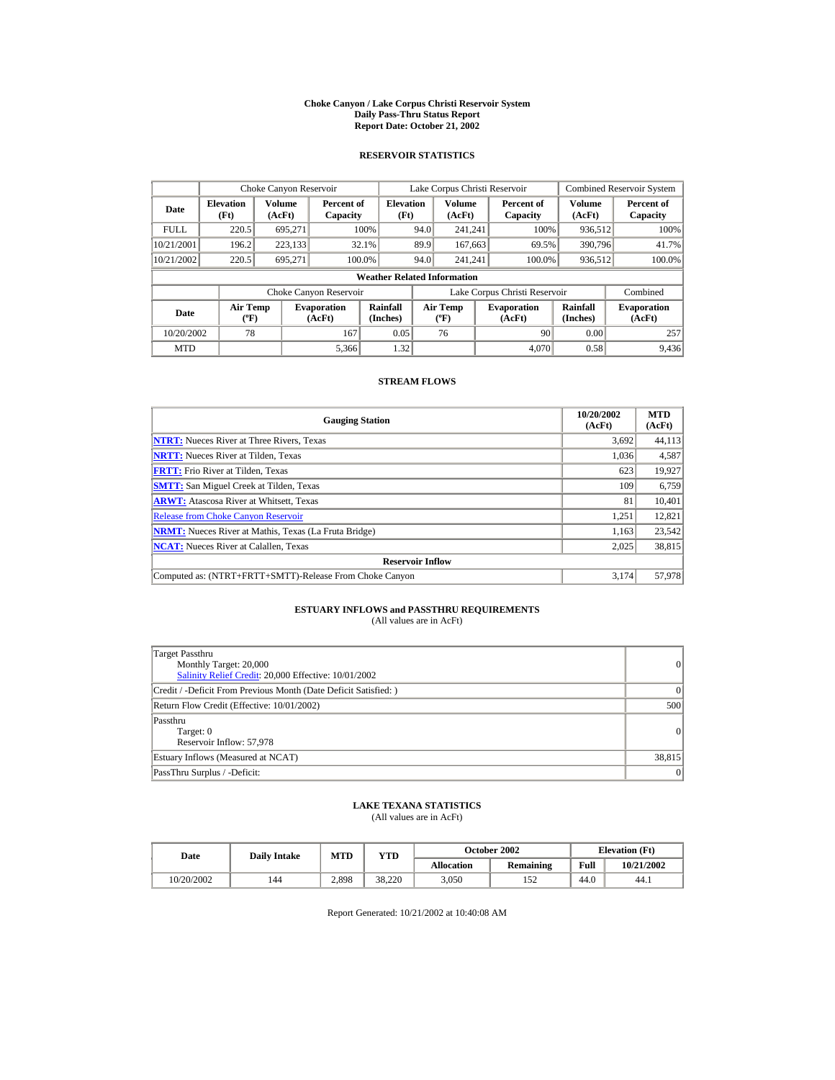#### **Choke Canyon / Lake Corpus Christi Reservoir System Daily Pass-Thru Status Report Report Date: October 21, 2002**

## **RESERVOIR STATISTICS**

|             | Choke Canyon Reservoir                      |                  |                              |                          | Lake Corpus Christi Reservoir |                                             |  |                               |                      | <b>Combined Reservoir System</b> |  |  |
|-------------|---------------------------------------------|------------------|------------------------------|--------------------------|-------------------------------|---------------------------------------------|--|-------------------------------|----------------------|----------------------------------|--|--|
| Date        | <b>Elevation</b><br>(Ft)                    | Volume<br>(AcFt) | Percent of<br>Capacity       | <b>Elevation</b><br>(Ft) |                               | Volume<br>(AcFt)                            |  | Percent of<br>Capacity        | Volume<br>(AcFt)     | Percent of<br>Capacity           |  |  |
| <b>FULL</b> | 220.5                                       | 695.271          |                              | 100%                     | 94.0                          | 241.241                                     |  | 100%                          | 936,512              | 100%                             |  |  |
| 10/21/2001  | 196.2                                       | 223,133          |                              | 32.1%                    | 89.9                          | 167,663                                     |  | 69.5%                         | 390,796              | 41.7%                            |  |  |
| 10/21/2002  | 220.5                                       | 695.271          |                              | 100.0%                   | 94.0                          | 241.241                                     |  | 100.0%                        | 936,512              | 100.0%                           |  |  |
|             | <b>Weather Related Information</b>          |                  |                              |                          |                               |                                             |  |                               |                      |                                  |  |  |
|             |                                             |                  | Choke Canyon Reservoir       |                          |                               |                                             |  | Lake Corpus Christi Reservoir |                      | Combined                         |  |  |
| Date        | <b>Air Temp</b><br>$({}^{\circ}\mathrm{F})$ |                  | <b>Evaporation</b><br>(AcFt) | Rainfall<br>(Inches)     |                               | <b>Air Temp</b><br>$({}^{\circ}\mathbf{F})$ |  | <b>Evaporation</b><br>(AcFt)  | Rainfall<br>(Inches) | <b>Evaporation</b><br>(AcFt)     |  |  |
| 10/20/2002  | 78                                          |                  | 167                          | 0.05                     |                               | 76                                          |  | 90                            | 0.00                 | 257                              |  |  |
| <b>MTD</b>  |                                             |                  | 5.366                        | 1.32                     |                               |                                             |  | 4.070                         | 0.58                 | 9,436                            |  |  |

## **STREAM FLOWS**

| <b>Gauging Station</b>                                       | 10/20/2002<br>(AcFt) | <b>MTD</b><br>(AcFt) |
|--------------------------------------------------------------|----------------------|----------------------|
| <b>NTRT:</b> Nueces River at Three Rivers, Texas             | 3,692                | 44,113               |
| <b>NRTT:</b> Nueces River at Tilden, Texas                   | 1,036                | 4,587                |
| <b>FRTT:</b> Frio River at Tilden, Texas                     | 623                  | 19,927               |
| <b>SMTT:</b> San Miguel Creek at Tilden, Texas               | 109                  | 6,759                |
| <b>ARWT:</b> Atascosa River at Whitsett, Texas               | 81                   | 10,401               |
| <b>Release from Choke Canyon Reservoir</b>                   | 1.251                | 12,821               |
| <b>NRMT:</b> Nueces River at Mathis, Texas (La Fruta Bridge) | 1,163                | 23,542               |
| <b>NCAT:</b> Nueces River at Calallen, Texas                 | 2,025                | 38,815               |
| <b>Reservoir Inflow</b>                                      |                      |                      |
| Computed as: (NTRT+FRTT+SMTT)-Release From Choke Canyon      | 3.174                | 57,978               |

# **ESTUARY INFLOWS and PASSTHRU REQUIREMENTS**<br>(All values are in AcFt)

| Target Passthru<br>Monthly Target: 20,000<br>Salinity Relief Credit: 20,000 Effective: 10/01/2002 | $\overline{0}$ |
|---------------------------------------------------------------------------------------------------|----------------|
| Credit / -Deficit From Previous Month (Date Deficit Satisfied: )                                  | $\Omega$       |
| Return Flow Credit (Effective: 10/01/2002)                                                        | 500            |
| Passthru<br>Target: 0<br>Reservoir Inflow: 57,978                                                 | 0              |
| Estuary Inflows (Measured at NCAT)                                                                | 38,815         |
| PassThru Surplus / -Deficit:                                                                      | 0              |

## **LAKE TEXANA STATISTICS**

(All values are in AcFt)

| Date       | <b>Daily Intake</b> | <b>MTD</b> | YTD    |                   | October 2002 | <b>Elevation</b> (Ft) |            |
|------------|---------------------|------------|--------|-------------------|--------------|-----------------------|------------|
|            |                     |            |        | <b>Allocation</b> | Remaining    | Full                  | 10/21/2002 |
| 10/20/2002 | 144                 | 2,898      | 38.220 | 3.050             | 152          | 44.0                  | 44.1       |

Report Generated: 10/21/2002 at 10:40:08 AM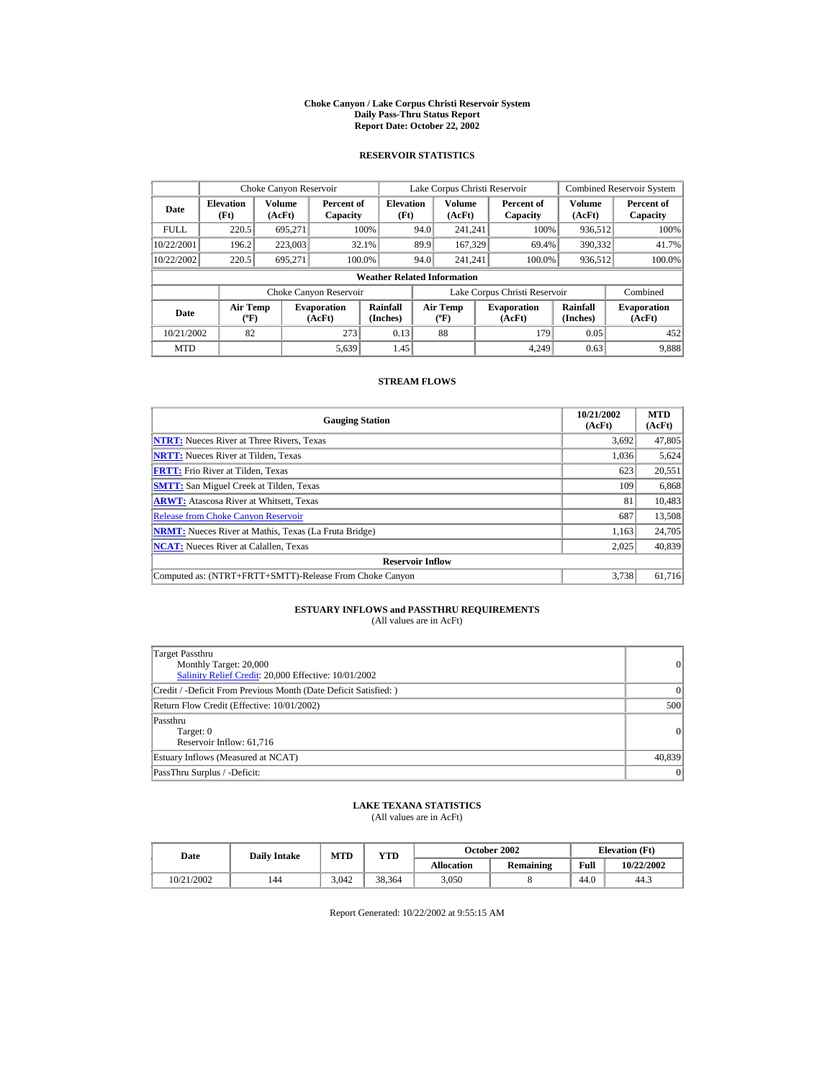#### **Choke Canyon / Lake Corpus Christi Reservoir System Daily Pass-Thru Status Report Report Date: October 22, 2002**

## **RESERVOIR STATISTICS**

|             | Choke Canyon Reservoir                      |                  |                              |                          | Lake Corpus Christi Reservoir |                                           |  |                               |                      | <b>Combined Reservoir System</b> |  |  |
|-------------|---------------------------------------------|------------------|------------------------------|--------------------------|-------------------------------|-------------------------------------------|--|-------------------------------|----------------------|----------------------------------|--|--|
| Date        | <b>Elevation</b><br>(Ft)                    | Volume<br>(AcFt) | Percent of<br>Capacity       | <b>Elevation</b><br>(Ft) |                               | Volume<br>(AcFt)                          |  | Percent of<br>Capacity        | Volume<br>(AcFt)     | Percent of<br>Capacity           |  |  |
| <b>FULL</b> | 220.5                                       | 695.271          |                              | 100%                     | 94.0                          | 241.241                                   |  | 100%                          | 936,512              | 100%                             |  |  |
| 10/22/2001  | 196.2                                       | 223,003          |                              | 32.1%                    | 89.9                          | 167.329                                   |  | 69.4%                         | 390,332              | 41.7%                            |  |  |
| 10/22/2002  | 220.5                                       | 695.271          |                              | 100.0%                   | 94.0                          | 241.241                                   |  | 100.0%                        | 936,512              | 100.0%                           |  |  |
|             | <b>Weather Related Information</b>          |                  |                              |                          |                               |                                           |  |                               |                      |                                  |  |  |
|             |                                             |                  | Choke Canyon Reservoir       |                          |                               |                                           |  | Lake Corpus Christi Reservoir |                      | Combined                         |  |  |
| Date        | <b>Air Temp</b><br>$({}^{\circ}\mathrm{F})$ |                  | <b>Evaporation</b><br>(AcFt) | Rainfall<br>(Inches)     |                               | <b>Air Temp</b><br>$({}^{\circ}\text{F})$ |  | <b>Evaporation</b><br>(AcFt)  | Rainfall<br>(Inches) | <b>Evaporation</b><br>(AcFt)     |  |  |
| 10/21/2002  | 82                                          |                  | 273                          | 0.13                     |                               | 88                                        |  | 179                           | 0.05                 | 452                              |  |  |
| <b>MTD</b>  |                                             |                  | 5,639                        | 1.45                     |                               |                                           |  | 4.249                         | 0.63                 | 9,888                            |  |  |

## **STREAM FLOWS**

| <b>Gauging Station</b>                                       | 10/21/2002<br>(AcFt) | <b>MTD</b><br>(AcFt) |
|--------------------------------------------------------------|----------------------|----------------------|
| <b>NTRT:</b> Nueces River at Three Rivers, Texas             | 3.692                | 47,805               |
| <b>NRTT:</b> Nueces River at Tilden, Texas                   | 1,036                | 5,624                |
| <b>FRTT:</b> Frio River at Tilden, Texas                     | 623                  | 20,551               |
| <b>SMTT:</b> San Miguel Creek at Tilden, Texas               | 109                  | 6,868                |
| <b>ARWT:</b> Atascosa River at Whitsett, Texas               | 81                   | 10,483               |
| <b>Release from Choke Canyon Reservoir</b>                   | 687                  | 13,508               |
| <b>NRMT:</b> Nueces River at Mathis, Texas (La Fruta Bridge) | 1,163                | 24,705               |
| <b>NCAT:</b> Nueces River at Calallen, Texas                 | 2,025                | 40,839               |
| <b>Reservoir Inflow</b>                                      |                      |                      |
| Computed as: (NTRT+FRTT+SMTT)-Release From Choke Canyon      | 3.738                | 61,716               |

# **ESTUARY INFLOWS and PASSTHRU REQUIREMENTS**<br>(All values are in AcFt)

| Target Passthru<br>Monthly Target: 20,000<br>Salinity Relief Credit: 20,000 Effective: 10/01/2002 | $\overline{0}$ |
|---------------------------------------------------------------------------------------------------|----------------|
| Credit / -Deficit From Previous Month (Date Deficit Satisfied: )                                  | $\Omega$       |
| Return Flow Credit (Effective: 10/01/2002)                                                        | 500            |
| Passthru<br>Target: 0<br>Reservoir Inflow: 61,716                                                 | 0              |
| Estuary Inflows (Measured at NCAT)                                                                | 40,839         |
| PassThru Surplus / -Deficit:                                                                      | 0              |

## **LAKE TEXANA STATISTICS**

(All values are in AcFt)

| Date       | <b>Daily Intake</b> | <b>MTD</b> | YTD    |                   | <b>October 2002</b> | <b>Elevation</b> (Ft) |            |
|------------|---------------------|------------|--------|-------------------|---------------------|-----------------------|------------|
|            |                     |            |        | <b>Allocation</b> | Remaining           | Full                  | 10/22/2002 |
| 10/21/2002 | 144                 | 3.042      | 38.364 | 3.050             |                     | 44.0                  | 44.3       |

Report Generated: 10/22/2002 at 9:55:15 AM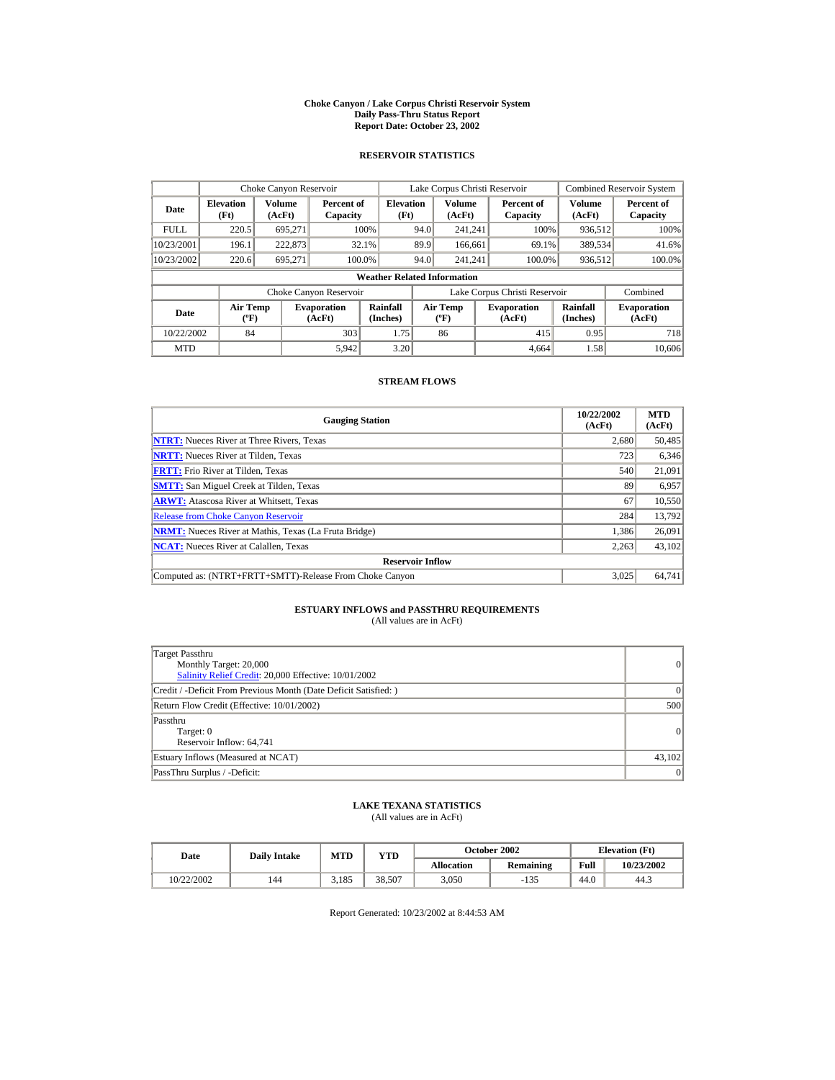#### **Choke Canyon / Lake Corpus Christi Reservoir System Daily Pass-Thru Status Report Report Date: October 23, 2002**

## **RESERVOIR STATISTICS**

|             | Choke Canyon Reservoir                      |                  |                              |                          | Lake Corpus Christi Reservoir               |                  |  |                               |                      | <b>Combined Reservoir System</b> |  |  |
|-------------|---------------------------------------------|------------------|------------------------------|--------------------------|---------------------------------------------|------------------|--|-------------------------------|----------------------|----------------------------------|--|--|
| Date        | <b>Elevation</b><br>(Ft)                    | Volume<br>(AcFt) | Percent of<br>Capacity       | <b>Elevation</b><br>(Ft) |                                             | Volume<br>(AcFt) |  | Percent of<br>Capacity        | Volume<br>(AcFt)     | Percent of<br>Capacity           |  |  |
| <b>FULL</b> | 220.5                                       | 695.271          |                              | 100%                     | 94.0                                        | 241.241          |  | 100%                          | 936,512              | 100%                             |  |  |
| 10/23/2001  | 196.1                                       | 222,873          |                              | 32.1%                    | 89.9                                        | 166,661          |  | 69.1%                         | 389,534              | 41.6%                            |  |  |
| 10/23/2002  | 220.6                                       | 695.271          |                              | 100.0%                   | 94.0                                        | 241.241          |  | 100.0%                        | 936,512              | 100.0%                           |  |  |
|             | <b>Weather Related Information</b>          |                  |                              |                          |                                             |                  |  |                               |                      |                                  |  |  |
|             |                                             |                  | Choke Canyon Reservoir       |                          |                                             |                  |  | Lake Corpus Christi Reservoir |                      | Combined                         |  |  |
| Date        | <b>Air Temp</b><br>$({}^{\circ}\mathrm{F})$ |                  | <b>Evaporation</b><br>(AcFt) | Rainfall<br>(Inches)     | <b>Air Temp</b><br>$({}^{\circ}\mathbf{F})$ |                  |  | <b>Evaporation</b><br>(AcFt)  | Rainfall<br>(Inches) | <b>Evaporation</b><br>(AcFt)     |  |  |
| 10/22/2002  | 84                                          |                  | 303                          | 1.75                     |                                             | 86               |  | 415                           | 0.95                 | 718                              |  |  |
| <b>MTD</b>  |                                             |                  | 5,942                        | 3.20                     |                                             |                  |  | 4.664                         | 1.58                 | 10.606                           |  |  |

## **STREAM FLOWS**

| <b>Gauging Station</b>                                       | 10/22/2002<br>(AcFt) | <b>MTD</b><br>(AcFt) |
|--------------------------------------------------------------|----------------------|----------------------|
| <b>NTRT:</b> Nueces River at Three Rivers, Texas             | 2,680                | 50,485               |
| <b>NRTT:</b> Nueces River at Tilden, Texas                   | 723                  | 6,346                |
| <b>FRTT:</b> Frio River at Tilden, Texas                     | 540                  | 21,091               |
| <b>SMTT:</b> San Miguel Creek at Tilden, Texas               | 89                   | 6,957                |
| <b>ARWT:</b> Atascosa River at Whitsett, Texas               | 67                   | 10,550               |
| <b>Release from Choke Canyon Reservoir</b>                   | 284                  | 13,792               |
| <b>NRMT:</b> Nueces River at Mathis, Texas (La Fruta Bridge) | 1.386                | 26,091               |
| <b>NCAT:</b> Nueces River at Calallen, Texas                 | 2,263                | 43,102               |
| <b>Reservoir Inflow</b>                                      |                      |                      |
| Computed as: (NTRT+FRTT+SMTT)-Release From Choke Canyon      | 3.025                | 64,741               |

# **ESTUARY INFLOWS and PASSTHRU REQUIREMENTS**<br>(All values are in AcFt)

| Target Passthru<br>Monthly Target: 20,000<br>Salinity Relief Credit: 20,000 Effective: 10/01/2002 | 0               |
|---------------------------------------------------------------------------------------------------|-----------------|
| Credit / -Deficit From Previous Month (Date Deficit Satisfied: )                                  | 0               |
| Return Flow Credit (Effective: 10/01/2002)                                                        | 500             |
| Passthru<br>Target: 0<br>Reservoir Inflow: 64,741                                                 | 0               |
| Estuary Inflows (Measured at NCAT)                                                                | 43,102          |
| PassThru Surplus / -Deficit:                                                                      | $\vert 0 \vert$ |

## **LAKE TEXANA STATISTICS**

(All values are in AcFt)

| Date       | <b>Daily Intake</b> | MTD   | $_{\rm VTD}$ |            | October 2002 | <b>Elevation</b> (Ft) |            |
|------------|---------------------|-------|--------------|------------|--------------|-----------------------|------------|
|            |                     |       |              | Allocation | Remaining    | Full                  | 10/23/2002 |
| 10/22/2002 | 144                 | 3.185 | 38.507       | 3.050      | $-135$       | 44.0                  | 44.3       |

Report Generated: 10/23/2002 at 8:44:53 AM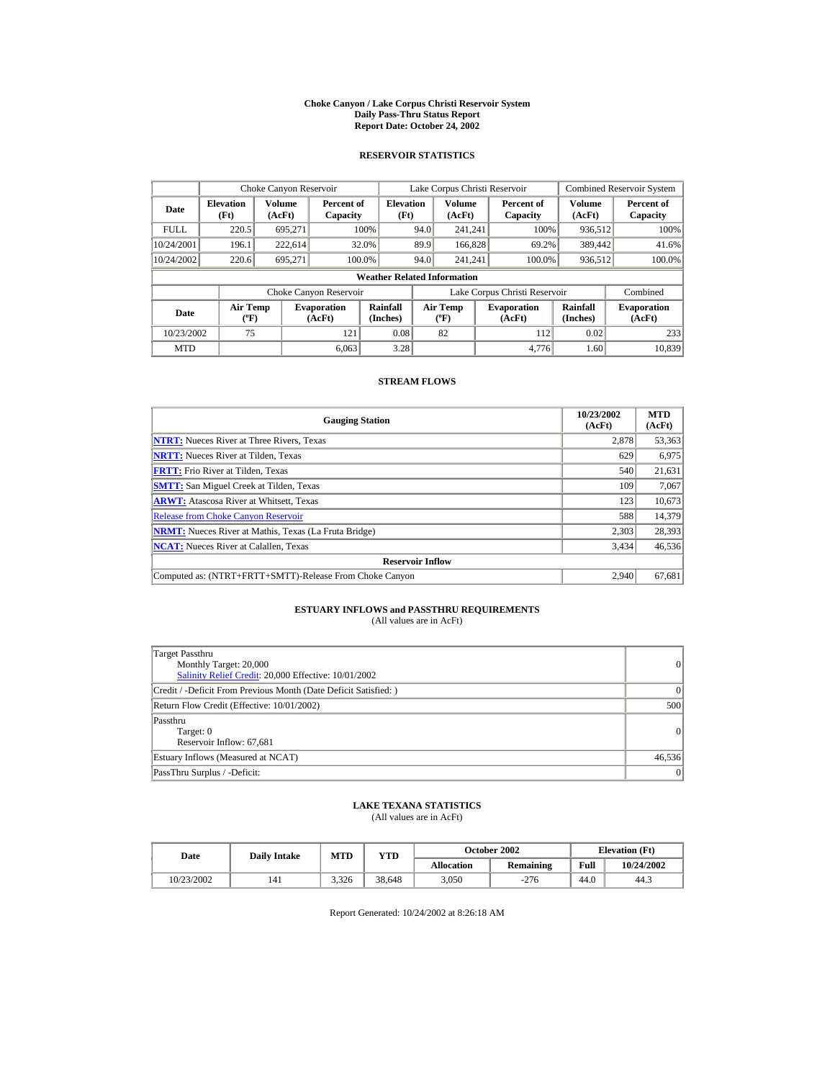#### **Choke Canyon / Lake Corpus Christi Reservoir System Daily Pass-Thru Status Report Report Date: October 24, 2002**

## **RESERVOIR STATISTICS**

|             | Choke Canyon Reservoir                      |                  |                              |                          | Lake Corpus Christi Reservoir             |                  |  |                               |                      | <b>Combined Reservoir System</b> |  |  |
|-------------|---------------------------------------------|------------------|------------------------------|--------------------------|-------------------------------------------|------------------|--|-------------------------------|----------------------|----------------------------------|--|--|
| Date        | <b>Elevation</b><br>(Ft)                    | Volume<br>(AcFt) | Percent of<br>Capacity       | <b>Elevation</b><br>(Ft) |                                           | Volume<br>(AcFt) |  | Percent of<br>Capacity        | Volume<br>(AcFt)     | Percent of<br>Capacity           |  |  |
| <b>FULL</b> | 220.5                                       | 695.271          |                              | 100%                     | 94.0                                      | 241.241          |  | 100%                          | 936,512              | 100%                             |  |  |
| 10/24/2001  | 196.1                                       | 222,614          |                              | 32.0%                    | 89.9                                      | 166,828          |  | 69.2%                         | 389,442              | 41.6%                            |  |  |
| 10/24/2002  | 220.6                                       | 695.271          |                              | 100.0%                   | 94.0                                      | 241.241          |  | 100.0%                        | 936,512              | 100.0%                           |  |  |
|             | <b>Weather Related Information</b>          |                  |                              |                          |                                           |                  |  |                               |                      |                                  |  |  |
|             |                                             |                  | Choke Canyon Reservoir       |                          |                                           |                  |  | Lake Corpus Christi Reservoir |                      | Combined                         |  |  |
| Date        | <b>Air Temp</b><br>$({}^{\circ}\mathrm{F})$ |                  | <b>Evaporation</b><br>(AcFt) | Rainfall<br>(Inches)     | <b>Air Temp</b><br>$({}^{\circ}\text{F})$ |                  |  | <b>Evaporation</b><br>(AcFt)  | Rainfall<br>(Inches) | <b>Evaporation</b><br>(AcFt)     |  |  |
| 10/23/2002  | 75                                          |                  | 121                          | 0.08                     |                                           | 82               |  | 112                           | 0.02                 | 233                              |  |  |
| <b>MTD</b>  |                                             |                  | 6.063                        | 3.28                     |                                           |                  |  | 4.776                         | 1.60                 | 10.839                           |  |  |

## **STREAM FLOWS**

| <b>Gauging Station</b>                                       | 10/23/2002<br>(AcFt) | <b>MTD</b><br>(AcFt) |
|--------------------------------------------------------------|----------------------|----------------------|
| <b>NTRT:</b> Nueces River at Three Rivers, Texas             | 2,878                | 53,363               |
| <b>NRTT:</b> Nueces River at Tilden, Texas                   | 629                  | 6,975                |
| <b>FRTT:</b> Frio River at Tilden, Texas                     | 540                  | 21,631               |
| <b>SMTT:</b> San Miguel Creek at Tilden, Texas               | 109                  | 7,067                |
| <b>ARWT:</b> Atascosa River at Whitsett, Texas               | 123                  | 10,673               |
| <b>Release from Choke Canyon Reservoir</b>                   | 588                  | 14,379               |
| <b>NRMT:</b> Nueces River at Mathis, Texas (La Fruta Bridge) | 2,303                | 28,393               |
| <b>NCAT:</b> Nueces River at Calallen, Texas                 | 3,434                | 46,536               |
| <b>Reservoir Inflow</b>                                      |                      |                      |
| Computed as: (NTRT+FRTT+SMTT)-Release From Choke Canyon      | 2.940                | 67,681               |

# **ESTUARY INFLOWS and PASSTHRU REQUIREMENTS**<br>(All values are in AcFt)

| Target Passthru<br>Monthly Target: 20,000<br>Salinity Relief Credit: 20,000 Effective: 10/01/2002 | $\overline{0}$ |
|---------------------------------------------------------------------------------------------------|----------------|
| Credit / -Deficit From Previous Month (Date Deficit Satisfied: )                                  | $\Omega$       |
| Return Flow Credit (Effective: 10/01/2002)                                                        | 500            |
| Passthru<br>Target: 0<br>Reservoir Inflow: 67,681                                                 | 0              |
| Estuary Inflows (Measured at NCAT)                                                                | 46,536         |
| PassThru Surplus / -Deficit:                                                                      | 0              |

## **LAKE TEXANA STATISTICS**

(All values are in AcFt)

| Date       | <b>Daily Intake</b> | MTD   | $_{\rm VTD}$ |            | October 2002 |      | <b>Elevation</b> (Ft) |
|------------|---------------------|-------|--------------|------------|--------------|------|-----------------------|
|            |                     |       |              | Allocation | Remaining    | Full | 10/24/2002            |
| 10/23/2002 | 141                 | 3.326 | 38.648       | 3.050      | $-276$       | 44.0 | 44.3                  |

Report Generated: 10/24/2002 at 8:26:18 AM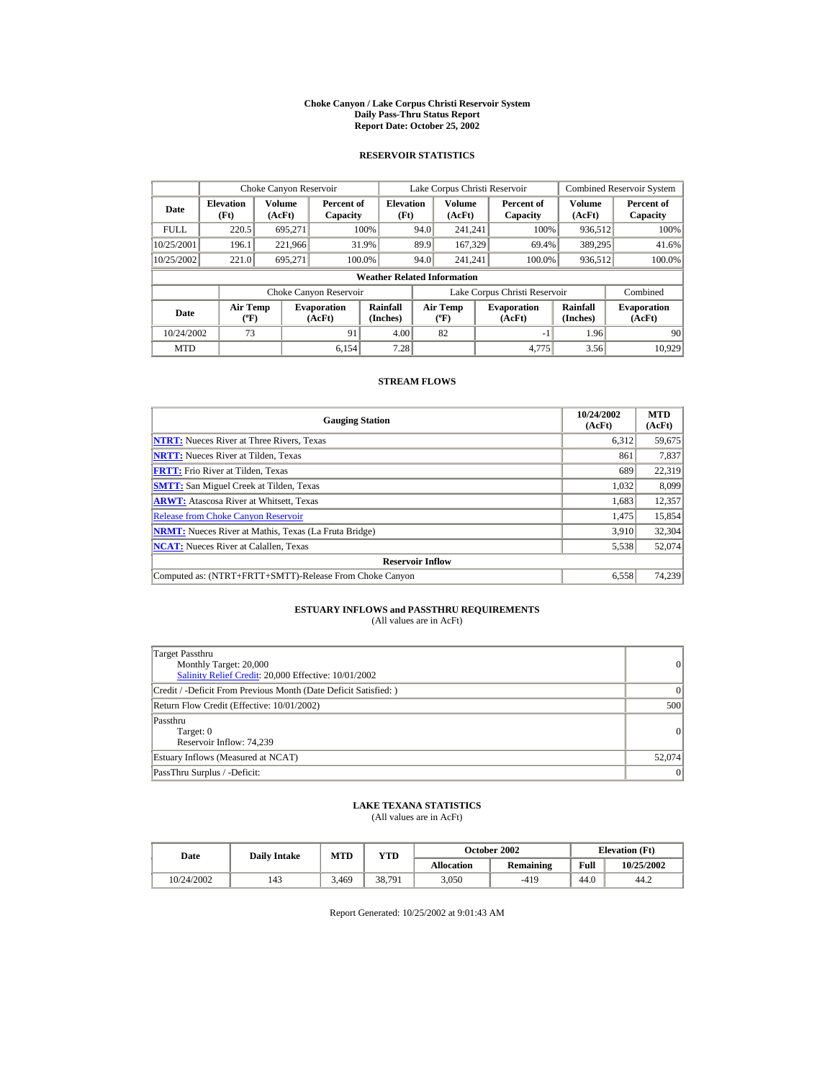#### **Choke Canyon / Lake Corpus Christi Reservoir System Daily Pass-Thru Status Report Report Date: October 25, 2002**

## **RESERVOIR STATISTICS**

|             | Choke Canyon Reservoir                      |                  |                              |                          | Lake Corpus Christi Reservoir |                                          |  |                               |                      | <b>Combined Reservoir System</b> |  |  |
|-------------|---------------------------------------------|------------------|------------------------------|--------------------------|-------------------------------|------------------------------------------|--|-------------------------------|----------------------|----------------------------------|--|--|
| Date        | <b>Elevation</b><br>(Ft)                    | Volume<br>(AcFt) | Percent of<br>Capacity       | <b>Elevation</b><br>(Ft) |                               | <b>Volume</b><br>(AcFt)                  |  | Percent of<br>Capacity        | Volume<br>(AcFt)     | Percent of<br>Capacity           |  |  |
| <b>FULL</b> | 220.5                                       | 695.271          |                              | 100%                     | 94.0                          | 241.241                                  |  | 100%                          | 936,512              | 100%                             |  |  |
| 10/25/2001  | 196.1                                       | 221,966          |                              | 31.9%                    | 89.9                          | 167,329                                  |  | 69.4%                         | 389,295              | 41.6%                            |  |  |
| 10/25/2002  | 221.0                                       | 695,271          | 100.0%                       |                          | 94.0                          | 241.241                                  |  | 100.0%                        | 936,512              | 100.0%                           |  |  |
|             | <b>Weather Related Information</b>          |                  |                              |                          |                               |                                          |  |                               |                      |                                  |  |  |
|             |                                             |                  | Choke Canyon Reservoir       |                          |                               |                                          |  | Lake Corpus Christi Reservoir |                      | Combined                         |  |  |
| Date        | <b>Air Temp</b><br>$({}^{\circ}\mathrm{F})$ |                  | <b>Evaporation</b><br>(AcFt) | Rainfall<br>(Inches)     |                               | <b>Air Temp</b><br>$({}^{\circ}{\rm F})$ |  | <b>Evaporation</b><br>(AcFt)  | Rainfall<br>(Inches) | <b>Evaporation</b><br>(AcFt)     |  |  |
| 10/24/2002  | 73                                          |                  | 91                           | 4.00                     |                               | 82                                       |  | -1                            | 1.96                 | 90                               |  |  |
| <b>MTD</b>  |                                             |                  | 6.154                        | 7.28                     |                               |                                          |  | 4.775                         | 3.56                 | 10.929                           |  |  |

## **STREAM FLOWS**

| <b>Gauging Station</b>                                       | 10/24/2002<br>(AcFt) | <b>MTD</b><br>(AcFt) |
|--------------------------------------------------------------|----------------------|----------------------|
| <b>NTRT:</b> Nueces River at Three Rivers, Texas             | 6,312                | 59,675               |
| <b>NRTT:</b> Nueces River at Tilden, Texas                   | 861                  | 7,837                |
| <b>FRTT:</b> Frio River at Tilden, Texas                     | 689                  | 22,319               |
| <b>SMTT:</b> San Miguel Creek at Tilden, Texas               | 1.032                | 8,099                |
| <b>ARWT:</b> Atascosa River at Whitsett, Texas               | 1,683                | 12,357               |
| <b>Release from Choke Canyon Reservoir</b>                   | 1.475                | 15,854               |
| <b>NRMT:</b> Nueces River at Mathis, Texas (La Fruta Bridge) | 3,910                | 32,304               |
| <b>NCAT:</b> Nueces River at Calallen, Texas                 | 5,538                | 52,074               |
| <b>Reservoir Inflow</b>                                      |                      |                      |
| Computed as: (NTRT+FRTT+SMTT)-Release From Choke Canyon      | 6,558                | 74,239               |

## **ESTUARY INFLOWS and PASSTHRU REQUIREMENTS**<br>(All values are in AcFt)

| Target Passthru<br>Monthly Target: 20,000<br>Salinity Relief Credit: 20,000 Effective: 10/01/2002 | 0               |
|---------------------------------------------------------------------------------------------------|-----------------|
| Credit / -Deficit From Previous Month (Date Deficit Satisfied: )                                  | $\vert$ 0       |
| Return Flow Credit (Effective: 10/01/2002)                                                        | 500             |
| Passthru<br>Target: 0<br>Reservoir Inflow: 74.239                                                 | 0               |
| Estuary Inflows (Measured at NCAT)                                                                | 52,074          |
| PassThru Surplus / -Deficit:                                                                      | $\vert 0 \vert$ |

## **LAKE TEXANA STATISTICS**

(All values are in AcFt)

| Date       | <b>Daily Intake</b> | MTD   | $_{\rm VTD}$ |            | October 2002 | <b>Elevation</b> (Ft) |            |
|------------|---------------------|-------|--------------|------------|--------------|-----------------------|------------|
|            |                     |       |              | Allocation | Remaining    | Full                  | 10/25/2002 |
| 10/24/2002 | 143                 | 3.469 | 38,791       | 3.050      | $-419$       | 44.0                  | 44.2       |

Report Generated: 10/25/2002 at 9:01:43 AM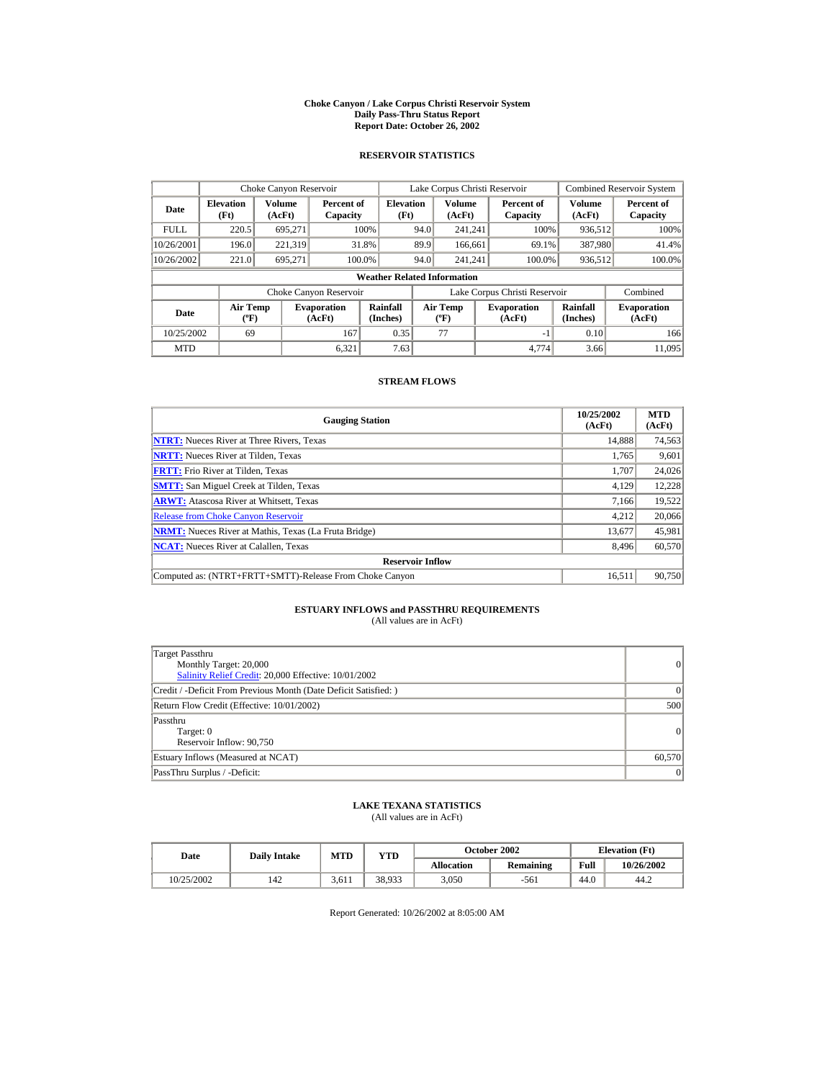#### **Choke Canyon / Lake Corpus Christi Reservoir System Daily Pass-Thru Status Report Report Date: October 26, 2002**

## **RESERVOIR STATISTICS**

|             | Choke Canyon Reservoir                      |                  |                              |                          | Lake Corpus Christi Reservoir |                                           |  |                               |                         | <b>Combined Reservoir System</b> |  |  |
|-------------|---------------------------------------------|------------------|------------------------------|--------------------------|-------------------------------|-------------------------------------------|--|-------------------------------|-------------------------|----------------------------------|--|--|
| Date        | <b>Elevation</b><br>(Ft)                    | Volume<br>(AcFt) | Percent of<br>Capacity       | <b>Elevation</b><br>(Ft) |                               | Volume<br>(AcFt)                          |  | Percent of<br>Capacity        | <b>Volume</b><br>(AcFt) | Percent of<br>Capacity           |  |  |
| <b>FULL</b> | 220.5                                       | 695,271          |                              | 100%                     | 94.0                          | 241.241                                   |  | 100%                          | 936,512                 | 100%                             |  |  |
| 10/26/2001  | 196.0                                       | 221,319          |                              | 31.8%                    | 89.9                          | 166,661                                   |  | 69.1%                         | 387,980                 | 41.4%                            |  |  |
| 10/26/2002  | 221.0                                       | 695.271          |                              | 100.0%                   | 94.0                          | 241.241                                   |  | 100.0%                        | 936,512                 | 100.0%                           |  |  |
|             | <b>Weather Related Information</b>          |                  |                              |                          |                               |                                           |  |                               |                         |                                  |  |  |
|             |                                             |                  | Choke Canyon Reservoir       |                          |                               |                                           |  | Lake Corpus Christi Reservoir |                         | Combined                         |  |  |
| Date        | <b>Air Temp</b><br>$({}^{\circ}\mathrm{F})$ |                  | <b>Evaporation</b><br>(AcFt) | Rainfall<br>(Inches)     |                               | <b>Air Temp</b><br>$({}^{\circ}\text{F})$ |  | <b>Evaporation</b><br>(AcFt)  | Rainfall<br>(Inches)    | <b>Evaporation</b><br>(AcFt)     |  |  |
| 10/25/2002  | 69                                          |                  | 167                          | 0.35                     |                               | 77                                        |  | $-1$                          | 0.10                    | 166                              |  |  |
| <b>MTD</b>  |                                             |                  | 6.321                        | 7.63                     |                               |                                           |  | 4.774                         | 3.66                    | 11.095                           |  |  |

## **STREAM FLOWS**

| <b>Gauging Station</b>                                       | 10/25/2002<br>(AcFt) | <b>MTD</b><br>(AcFt) |
|--------------------------------------------------------------|----------------------|----------------------|
| <b>NTRT:</b> Nueces River at Three Rivers, Texas             | 14.888               | 74,563               |
| <b>NRTT:</b> Nueces River at Tilden, Texas                   | 1,765                | 9,601                |
| <b>FRTT:</b> Frio River at Tilden, Texas                     | 1,707                | 24,026               |
| <b>SMTT:</b> San Miguel Creek at Tilden, Texas               | 4,129                | 12,228               |
| <b>ARWT:</b> Atascosa River at Whitsett, Texas               | 7,166                | 19,522               |
| <b>Release from Choke Canyon Reservoir</b>                   | 4,212                | 20,066               |
| <b>NRMT:</b> Nueces River at Mathis, Texas (La Fruta Bridge) | 13.677               | 45,981               |
| <b>NCAT:</b> Nueces River at Calallen, Texas                 | 8,496                | 60,570               |
| <b>Reservoir Inflow</b>                                      |                      |                      |
| Computed as: (NTRT+FRTT+SMTT)-Release From Choke Canyon      | 16.511               | 90,750               |

## **ESTUARY INFLOWS and PASSTHRU REQUIREMENTS**<br>(All values are in AcFt)

| Target Passthru<br>Monthly Target: 20,000<br>Salinity Relief Credit: 20,000 Effective: 10/01/2002 | $\overline{0}$ |
|---------------------------------------------------------------------------------------------------|----------------|
| Credit / -Deficit From Previous Month (Date Deficit Satisfied: )                                  | $\Omega$       |
| Return Flow Credit (Effective: 10/01/2002)                                                        | 500            |
| Passthru<br>Target: 0<br>Reservoir Inflow: 90,750                                                 | 0              |
| Estuary Inflows (Measured at NCAT)                                                                | 60,570         |
| PassThru Surplus / -Deficit:                                                                      | 0              |

## **LAKE TEXANA STATISTICS**

(All values are in AcFt)

| Date       | <b>Daily Intake</b> | MTD   | VTD    |            | October 2002 | <b>Elevation</b> (Ft) |            |
|------------|---------------------|-------|--------|------------|--------------|-----------------------|------------|
|            |                     |       |        | Allocation | Remaining    | Full                  | 10/26/2002 |
| 10/25/2002 | 42ء                 | 3.611 | 38.933 | 3.050      | -561         | 44.0                  | 44.2       |

Report Generated: 10/26/2002 at 8:05:00 AM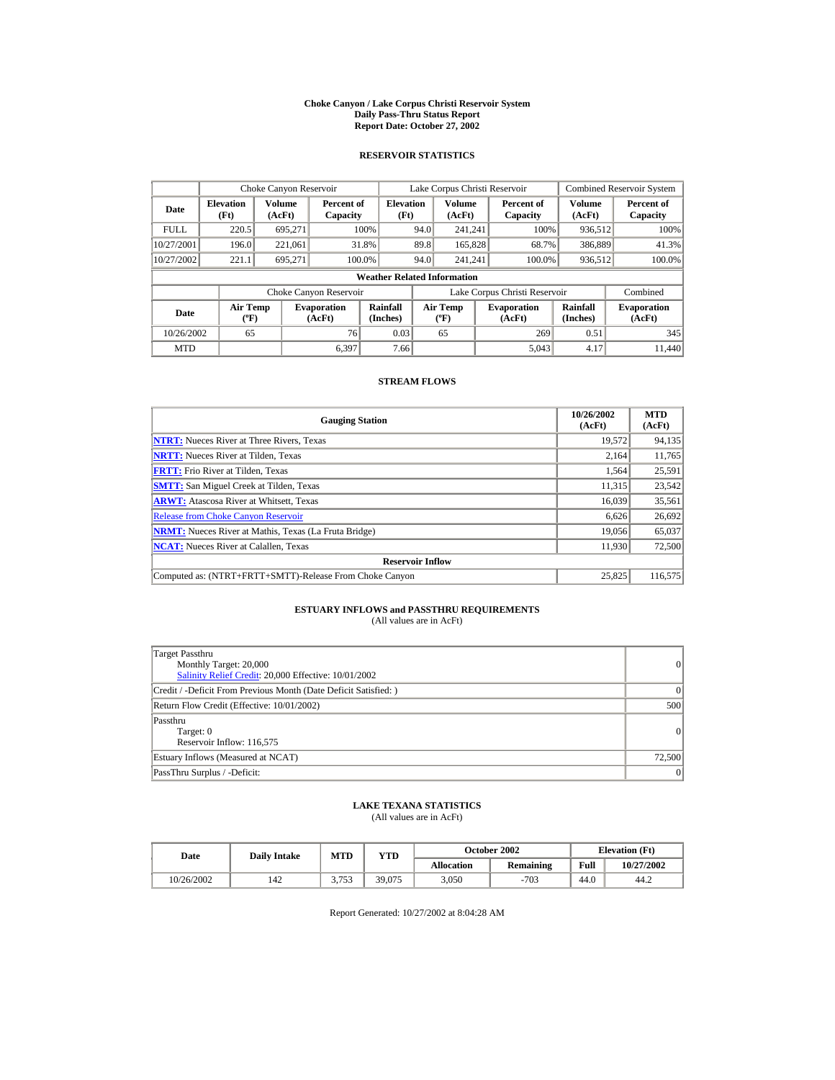#### **Choke Canyon / Lake Corpus Christi Reservoir System Daily Pass-Thru Status Report Report Date: October 27, 2002**

## **RESERVOIR STATISTICS**

|             | Choke Canyon Reservoir                      |                  |                              |                          | Lake Corpus Christi Reservoir |                                           |  |                               |                         | <b>Combined Reservoir System</b> |  |  |
|-------------|---------------------------------------------|------------------|------------------------------|--------------------------|-------------------------------|-------------------------------------------|--|-------------------------------|-------------------------|----------------------------------|--|--|
| Date        | <b>Elevation</b><br>(Ft)                    | Volume<br>(AcFt) | Percent of<br>Capacity       | <b>Elevation</b><br>(Ft) |                               | Volume<br>(AcFt)                          |  | Percent of<br>Capacity        | <b>Volume</b><br>(AcFt) | Percent of<br>Capacity           |  |  |
| <b>FULL</b> | 220.5                                       | 695,271          |                              | 100%                     | 94.0                          | 241.241                                   |  | 100%                          | 936,512                 | 100%                             |  |  |
| 10/27/2001  | 196.0                                       | 221.061          |                              | 31.8%                    | 89.8                          | 165,828                                   |  | 68.7%                         | 386,889                 | 41.3%                            |  |  |
| 10/27/2002  | 221.1                                       | 695.271          |                              | 100.0%                   | 94.0                          | 241.241                                   |  | 100.0%                        | 936,512                 | 100.0%                           |  |  |
|             | <b>Weather Related Information</b>          |                  |                              |                          |                               |                                           |  |                               |                         |                                  |  |  |
|             |                                             |                  | Choke Canyon Reservoir       |                          |                               |                                           |  | Lake Corpus Christi Reservoir |                         | Combined                         |  |  |
| Date        | <b>Air Temp</b><br>$({}^{\circ}\mathrm{F})$ |                  | <b>Evaporation</b><br>(AcFt) | Rainfall<br>(Inches)     |                               | <b>Air Temp</b><br>$({}^{\circ}\text{F})$ |  | <b>Evaporation</b><br>(AcFt)  | Rainfall<br>(Inches)    | <b>Evaporation</b><br>(AcFt)     |  |  |
| 10/26/2002  | 65                                          |                  | 76                           | 0.03                     |                               | 65                                        |  | 269                           | 0.51                    | 345                              |  |  |
| <b>MTD</b>  |                                             |                  | 6.397                        | 7.66                     |                               |                                           |  | 5.043                         | 4.17                    | 11.440                           |  |  |

## **STREAM FLOWS**

| <b>Gauging Station</b>                                       | 10/26/2002<br>(AcFt) | <b>MTD</b><br>(AcFt) |
|--------------------------------------------------------------|----------------------|----------------------|
| <b>NTRT:</b> Nueces River at Three Rivers, Texas             | 19,572               | 94,135               |
| <b>NRTT:</b> Nueces River at Tilden, Texas                   | 2.164                | 11,765               |
| <b>FRTT:</b> Frio River at Tilden, Texas                     | 1,564                | 25,591               |
| <b>SMTT:</b> San Miguel Creek at Tilden, Texas               | 11,315               | 23,542               |
| <b>ARWT:</b> Atascosa River at Whitsett, Texas               | 16.039               | 35,561               |
| <b>Release from Choke Canyon Reservoir</b>                   | 6,626                | 26,692               |
| <b>NRMT:</b> Nueces River at Mathis, Texas (La Fruta Bridge) | 19.056               | 65,037               |
| <b>NCAT:</b> Nueces River at Calallen, Texas                 | 11,930               | 72,500               |
| <b>Reservoir Inflow</b>                                      |                      |                      |
| Computed as: (NTRT+FRTT+SMTT)-Release From Choke Canyon      | 25.825               | 116,575              |

## **ESTUARY INFLOWS and PASSTHRU REQUIREMENTS**<br>(All values are in AcFt)

| Target Passthru<br>Monthly Target: 20,000<br>Salinity Relief Credit: 20,000 Effective: 10/01/2002 | 0               |
|---------------------------------------------------------------------------------------------------|-----------------|
| Credit / -Deficit From Previous Month (Date Deficit Satisfied: )                                  | $\vert$ 0       |
| Return Flow Credit (Effective: 10/01/2002)                                                        | 500             |
| Passthru<br>Target: 0<br>Reservoir Inflow: 116,575                                                | 0               |
| Estuary Inflows (Measured at NCAT)                                                                | 72,500          |
| PassThru Surplus / -Deficit:                                                                      | $\vert 0 \vert$ |

## **LAKE TEXANA STATISTICS**

(All values are in AcFt)

| Date       | <b>Daily Intake</b> | <b>MTD</b>       | YTD    |                   | October 2002 | <b>Elevation</b> (Ft) |            |
|------------|---------------------|------------------|--------|-------------------|--------------|-----------------------|------------|
|            |                     |                  |        | <b>Allocation</b> | Remaining    | Full                  | 10/27/2002 |
| 10/26/2002 | 142                 | 3753<br><u>.</u> | 39.075 | 3.050             | $-703$       | 44.0                  | 44.2       |

Report Generated: 10/27/2002 at 8:04:28 AM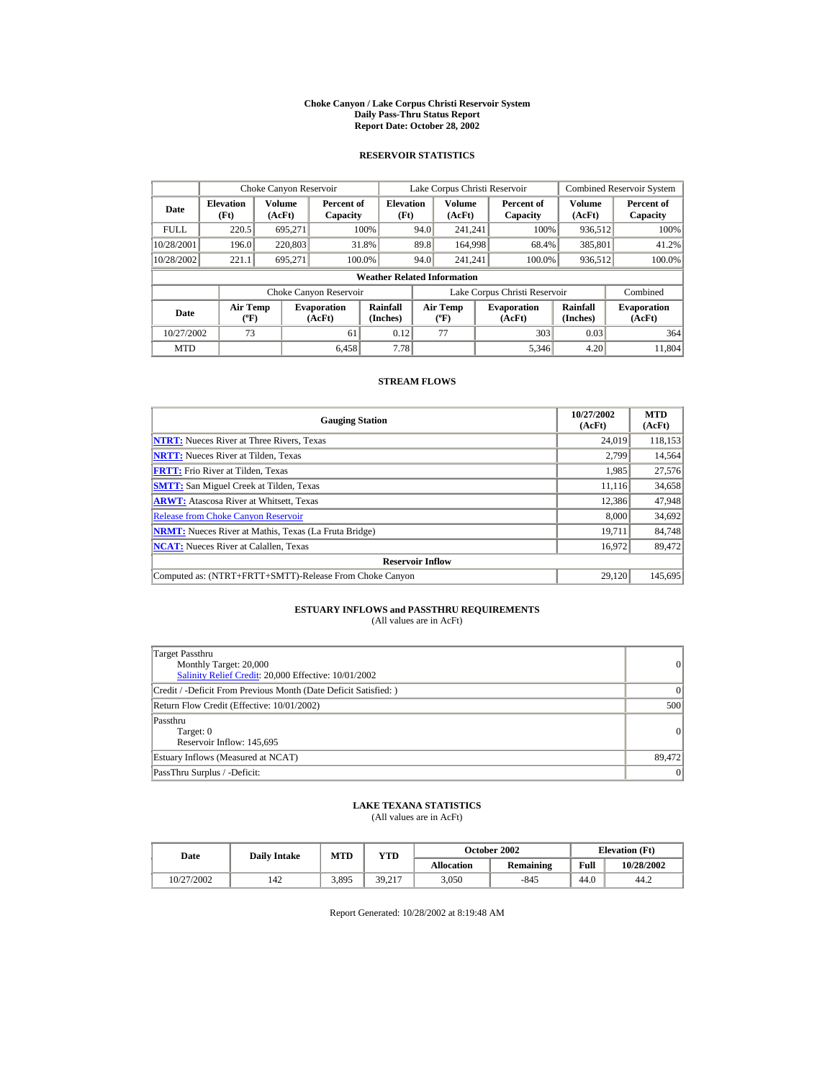#### **Choke Canyon / Lake Corpus Christi Reservoir System Daily Pass-Thru Status Report Report Date: October 28, 2002**

## **RESERVOIR STATISTICS**

|             | Choke Canyon Reservoir                      |                  |                              |                          | Lake Corpus Christi Reservoir |                                          |  |                               |                      | <b>Combined Reservoir System</b> |  |  |
|-------------|---------------------------------------------|------------------|------------------------------|--------------------------|-------------------------------|------------------------------------------|--|-------------------------------|----------------------|----------------------------------|--|--|
| Date        | <b>Elevation</b><br>(Ft)                    | Volume<br>(AcFt) | Percent of<br>Capacity       | <b>Elevation</b><br>(Ft) |                               | <b>Volume</b><br>(AcFt)                  |  | Percent of<br>Capacity        | Volume<br>(AcFt)     | Percent of<br>Capacity           |  |  |
| <b>FULL</b> | 220.5                                       | 695.271          |                              | 100%                     | 94.0                          | 241.241                                  |  | 100%                          | 936,512              | 100%                             |  |  |
| 10/28/2001  | 196.0                                       | 220,803          |                              | 31.8%                    | 89.8                          | 164,998                                  |  | 68.4%                         | 385,801              | 41.2%                            |  |  |
| 10/28/2002  | 221.1                                       | 695,271          | 100.0%                       |                          | 94.0                          | 241.241                                  |  | 100.0%                        | 936,512              | 100.0%                           |  |  |
|             | <b>Weather Related Information</b>          |                  |                              |                          |                               |                                          |  |                               |                      |                                  |  |  |
|             |                                             |                  | Choke Canyon Reservoir       |                          |                               |                                          |  | Lake Corpus Christi Reservoir |                      | Combined                         |  |  |
| Date        | <b>Air Temp</b><br>$({}^{\circ}\mathrm{F})$ |                  | <b>Evaporation</b><br>(AcFt) | Rainfall<br>(Inches)     |                               | <b>Air Temp</b><br>$({}^{\circ}{\rm F})$ |  | <b>Evaporation</b><br>(AcFt)  | Rainfall<br>(Inches) | <b>Evaporation</b><br>(AcFt)     |  |  |
| 10/27/2002  | 73                                          |                  | 61                           | 0.12                     |                               | 77                                       |  | 303                           | 0.03                 | 364                              |  |  |
| <b>MTD</b>  |                                             |                  | 6.458                        | 7.78                     |                               |                                          |  | 5.346                         | 4.20                 | 11.804                           |  |  |

## **STREAM FLOWS**

| <b>Gauging Station</b>                                       | 10/27/2002<br>(AcFt) | <b>MTD</b><br>(AcFt) |
|--------------------------------------------------------------|----------------------|----------------------|
| <b>NTRT:</b> Nueces River at Three Rivers, Texas             | 24,019               | 118,153              |
| <b>NRTT:</b> Nueces River at Tilden, Texas                   | 2,799                | 14,564               |
| <b>FRTT:</b> Frio River at Tilden, Texas                     | 1,985                | 27,576               |
| <b>SMTT:</b> San Miguel Creek at Tilden, Texas               | 11.116               | 34,658               |
| <b>ARWT:</b> Atascosa River at Whitsett, Texas               | 12,386               | 47,948               |
| <b>Release from Choke Canyon Reservoir</b>                   | 8,000                | 34,692               |
| <b>NRMT:</b> Nueces River at Mathis, Texas (La Fruta Bridge) | 19.711               | 84,748               |
| <b>NCAT:</b> Nueces River at Calallen, Texas                 | 16,972               | 89,472               |
| <b>Reservoir Inflow</b>                                      |                      |                      |
| Computed as: (NTRT+FRTT+SMTT)-Release From Choke Canyon      | 29.120               | 145,695              |

## **ESTUARY INFLOWS and PASSTHRU REQUIREMENTS**<br>(All values are in AcFt)

| Target Passthru<br>Monthly Target: 20,000<br>Salinity Relief Credit: 20,000 Effective: 10/01/2002 | 0               |
|---------------------------------------------------------------------------------------------------|-----------------|
| Credit / -Deficit From Previous Month (Date Deficit Satisfied: )                                  | $\vert$ 0       |
| Return Flow Credit (Effective: 10/01/2002)                                                        | 500             |
| Passthru<br>Target: 0<br>Reservoir Inflow: 145,695                                                | 0               |
| Estuary Inflows (Measured at NCAT)                                                                | 89,472          |
| PassThru Surplus / -Deficit:                                                                      | $\vert 0 \vert$ |

## **LAKE TEXANA STATISTICS**

(All values are in AcFt)

| Date       | <b>Daily Intake</b> | MTD   | VTD    |            | October 2002 | <b>Elevation</b> (Ft) |            |
|------------|---------------------|-------|--------|------------|--------------|-----------------------|------------|
|            |                     |       |        | Allocation | Remaining    | Full                  | 10/28/2002 |
| 10/27/2002 | 42ء                 | 3,895 | 39.217 | 3.050      | -845         | 44.0                  | 44.2       |

Report Generated: 10/28/2002 at 8:19:48 AM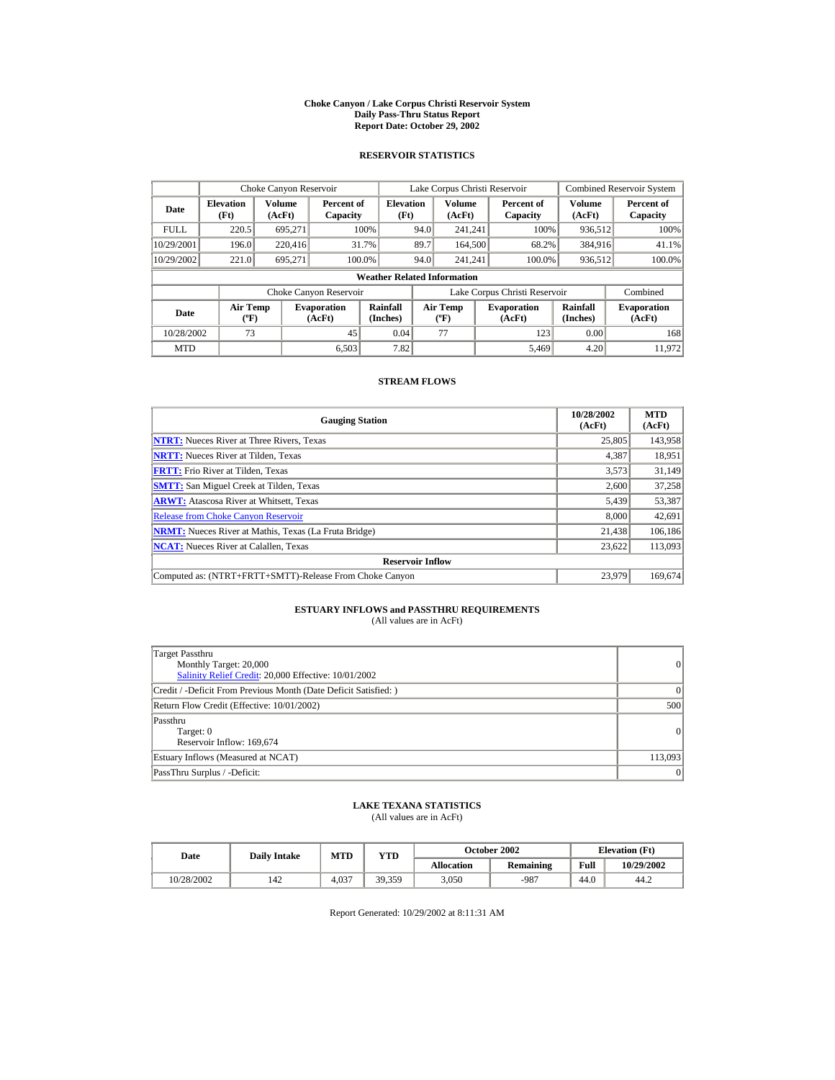#### **Choke Canyon / Lake Corpus Christi Reservoir System Daily Pass-Thru Status Report Report Date: October 29, 2002**

## **RESERVOIR STATISTICS**

|             | Choke Canyon Reservoir                      |                  |                              |                          | Lake Corpus Christi Reservoir |                                             |  |                               |                      | <b>Combined Reservoir System</b> |  |  |
|-------------|---------------------------------------------|------------------|------------------------------|--------------------------|-------------------------------|---------------------------------------------|--|-------------------------------|----------------------|----------------------------------|--|--|
| Date        | <b>Elevation</b><br>(Ft)                    | Volume<br>(AcFt) | Percent of<br>Capacity       | <b>Elevation</b><br>(Ft) |                               | Volume<br>(AcFt)                            |  | Percent of<br>Capacity        | Volume<br>(AcFt)     | Percent of<br>Capacity           |  |  |
| <b>FULL</b> | 220.5                                       | 695.271          |                              | 100%                     | 94.0                          | 241.241                                     |  | 100%                          | 936,512              | 100%                             |  |  |
| 10/29/2001  | 196.0                                       | 220,416          |                              | 31.7%                    | 89.7                          | 164,500                                     |  | 68.2%                         | 384,916              | 41.1%                            |  |  |
| 10/29/2002  | 221.0                                       | 695.271          |                              | 100.0%                   | 94.0                          | 241.241                                     |  | 100.0%                        | 936,512              | 100.0%                           |  |  |
|             | <b>Weather Related Information</b>          |                  |                              |                          |                               |                                             |  |                               |                      |                                  |  |  |
|             |                                             |                  | Choke Canyon Reservoir       |                          |                               |                                             |  | Lake Corpus Christi Reservoir |                      | Combined                         |  |  |
| Date        | <b>Air Temp</b><br>$({}^{\circ}\mathrm{F})$ |                  | <b>Evaporation</b><br>(AcFt) | Rainfall<br>(Inches)     |                               | <b>Air Temp</b><br>$({}^{\circ}\mathbf{F})$ |  | <b>Evaporation</b><br>(AcFt)  | Rainfall<br>(Inches) | <b>Evaporation</b><br>(AcFt)     |  |  |
| 10/28/2002  | 73                                          |                  | 45                           | 0.04                     |                               | 77                                          |  | 123                           | 0.00                 | 168                              |  |  |
| <b>MTD</b>  |                                             |                  | 6.503                        | 7.82                     |                               |                                             |  | 5.469                         | 4.20                 | 11.972                           |  |  |

## **STREAM FLOWS**

| <b>Gauging Station</b>                                       | 10/28/2002<br>(AcFt) | <b>MTD</b><br>(AcFt) |
|--------------------------------------------------------------|----------------------|----------------------|
| <b>NTRT:</b> Nueces River at Three Rivers, Texas             | 25,805               | 143,958              |
| <b>NRTT:</b> Nueces River at Tilden, Texas                   | 4,387                | 18,951               |
| <b>FRTT:</b> Frio River at Tilden, Texas                     | 3,573                | 31,149               |
| <b>SMTT:</b> San Miguel Creek at Tilden, Texas               | 2,600                | 37,258               |
| <b>ARWT:</b> Atascosa River at Whitsett, Texas               | 5,439                | 53,387               |
| <b>Release from Choke Canyon Reservoir</b>                   | 8,000                | 42,691               |
| <b>NRMT:</b> Nueces River at Mathis, Texas (La Fruta Bridge) | 21.438               | 106,186              |
| <b>NCAT:</b> Nueces River at Calallen, Texas                 | 23,622               | 113,093              |
| <b>Reservoir Inflow</b>                                      |                      |                      |
| Computed as: (NTRT+FRTT+SMTT)-Release From Choke Canyon      | 23.979               | 169,674              |

## **ESTUARY INFLOWS and PASSTHRU REQUIREMENTS**<br>(All values are in AcFt)

| Target Passthru<br>Monthly Target: 20,000<br>Salinity Relief Credit: 20,000 Effective: 10/01/2002 | 0               |
|---------------------------------------------------------------------------------------------------|-----------------|
| Credit / -Deficit From Previous Month (Date Deficit Satisfied:)                                   | $\Omega$        |
| Return Flow Credit (Effective: 10/01/2002)                                                        | 500             |
| Passthru<br>Target: 0<br>Reservoir Inflow: 169,674                                                | $\vert$ 0       |
| Estuary Inflows (Measured at NCAT)                                                                | 113,093         |
| PassThru Surplus / -Deficit:                                                                      | $\vert 0 \vert$ |

## **LAKE TEXANA STATISTICS**

(All values are in AcFt)

| Date       | <b>Daily Intake</b> | MTD   | $_{\rm VTD}$ |                   | October 2002 | <b>Elevation</b> (Ft) |            |
|------------|---------------------|-------|--------------|-------------------|--------------|-----------------------|------------|
|            |                     |       |              | <b>Allocation</b> | Remaining    | Full                  | 10/29/2002 |
| 10/28/2002 | 142                 | 4.037 | 39.359       | 3.050             | $-987$       | 44.0                  | 44.2       |

Report Generated: 10/29/2002 at 8:11:31 AM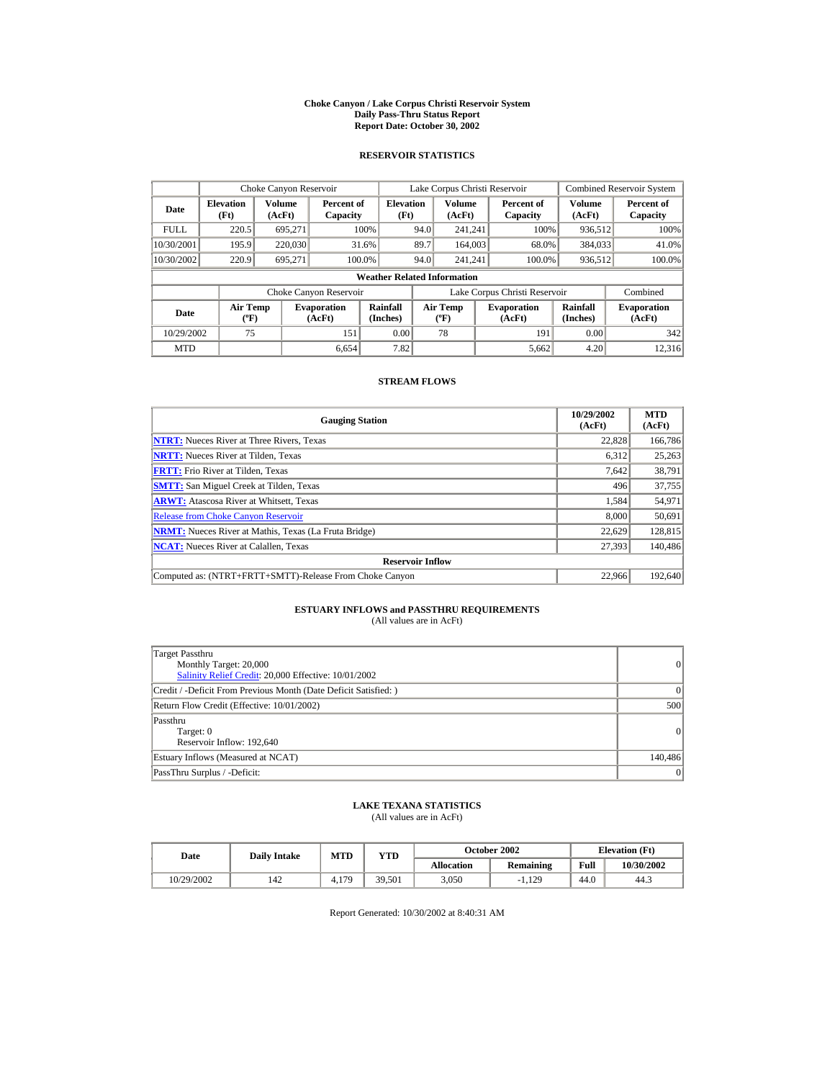#### **Choke Canyon / Lake Corpus Christi Reservoir System Daily Pass-Thru Status Report Report Date: October 30, 2002**

## **RESERVOIR STATISTICS**

|             | Choke Canyon Reservoir                      |                  |                              |                          | Lake Corpus Christi Reservoir |                                           |  |                               |                      | <b>Combined Reservoir System</b> |  |  |
|-------------|---------------------------------------------|------------------|------------------------------|--------------------------|-------------------------------|-------------------------------------------|--|-------------------------------|----------------------|----------------------------------|--|--|
| Date        | <b>Elevation</b><br>(Ft)                    | Volume<br>(AcFt) | Percent of<br>Capacity       | <b>Elevation</b><br>(Ft) |                               | Volume<br>(AcFt)                          |  | Percent of<br>Capacity        | Volume<br>(AcFt)     | Percent of<br>Capacity           |  |  |
| <b>FULL</b> | 220.5                                       | 695.271          |                              | 100%                     | 94.0                          | 241.241                                   |  | 100%                          | 936,512              | 100%                             |  |  |
| 10/30/2001  | 195.9                                       | 220,030          |                              | 31.6%                    | 89.7                          | 164,003                                   |  | 68.0%                         | 384,033              | 41.0%                            |  |  |
| 10/30/2002  | 220.9                                       | 695.271          |                              | 100.0%                   | 94.0                          | 241.241                                   |  | 100.0%                        | 936,512              | 100.0%                           |  |  |
|             | <b>Weather Related Information</b>          |                  |                              |                          |                               |                                           |  |                               |                      |                                  |  |  |
|             |                                             |                  | Choke Canyon Reservoir       |                          |                               |                                           |  | Lake Corpus Christi Reservoir |                      | Combined                         |  |  |
| Date        | <b>Air Temp</b><br>$({}^{\circ}\mathrm{F})$ |                  | <b>Evaporation</b><br>(AcFt) | Rainfall<br>(Inches)     |                               | <b>Air Temp</b><br>$({}^{\circ}\text{F})$ |  | <b>Evaporation</b><br>(AcFt)  | Rainfall<br>(Inches) | <b>Evaporation</b><br>(AcFt)     |  |  |
| 10/29/2002  | 75                                          |                  | 151                          | 0.00                     |                               | 78                                        |  | 191                           | 0.00                 | 342                              |  |  |
| <b>MTD</b>  |                                             |                  | 6.654                        | 7.82                     |                               |                                           |  | 5,662                         | 4.20                 | 12,316                           |  |  |

## **STREAM FLOWS**

| <b>Gauging Station</b>                                       | 10/29/2002<br>(AcFt) | <b>MTD</b><br>(AcFt) |
|--------------------------------------------------------------|----------------------|----------------------|
| <b>NTRT:</b> Nueces River at Three Rivers, Texas             | 22,828               | 166,786              |
| <b>NRTT:</b> Nueces River at Tilden, Texas                   | 6.312                | 25,263               |
| <b>FRTT:</b> Frio River at Tilden, Texas                     | 7,642                | 38,791               |
| <b>SMTT:</b> San Miguel Creek at Tilden, Texas               | 496                  | 37,755               |
| <b>ARWT:</b> Atascosa River at Whitsett, Texas               | 1,584                | 54,971               |
| <b>Release from Choke Canvon Reservoir</b>                   | 8,000                | 50.691               |
| <b>NRMT:</b> Nueces River at Mathis, Texas (La Fruta Bridge) | 22.629               | 128,815              |
| <b>NCAT:</b> Nueces River at Calallen, Texas                 | 27,393               | 140,486              |
| <b>Reservoir Inflow</b>                                      |                      |                      |
| Computed as: (NTRT+FRTT+SMTT)-Release From Choke Canyon      | 22.966               | 192,640              |

## **ESTUARY INFLOWS and PASSTHRU REQUIREMENTS**<br>(All values are in AcFt)

| Target Passthru<br>Monthly Target: 20,000<br>Salinity Relief Credit: 20,000 Effective: 10/01/2002 | 0               |
|---------------------------------------------------------------------------------------------------|-----------------|
| Credit / -Deficit From Previous Month (Date Deficit Satisfied:)                                   | $\Omega$        |
| Return Flow Credit (Effective: 10/01/2002)                                                        | 500             |
| Passthru<br>Target: 0<br>Reservoir Inflow: 192.640                                                | $\vert$ 0       |
| Estuary Inflows (Measured at NCAT)                                                                | 140,486         |
| PassThru Surplus / -Deficit:                                                                      | $\vert 0 \vert$ |

## **LAKE TEXANA STATISTICS**

(All values are in AcFt)

| Date       | <b>Daily Intake</b> | MTD   | $_{\rm VTD}$ |                   | October 2002 | <b>Elevation</b> (Ft) |            |
|------------|---------------------|-------|--------------|-------------------|--------------|-----------------------|------------|
|            |                     |       |              | <b>Allocation</b> | Remaining    | Full                  | 10/30/2002 |
| 10/29/2002 | 142                 | 4.179 | 39.501       | 3.050             | $-1.129$     | 44.0                  | 44.3       |

Report Generated: 10/30/2002 at 8:40:31 AM